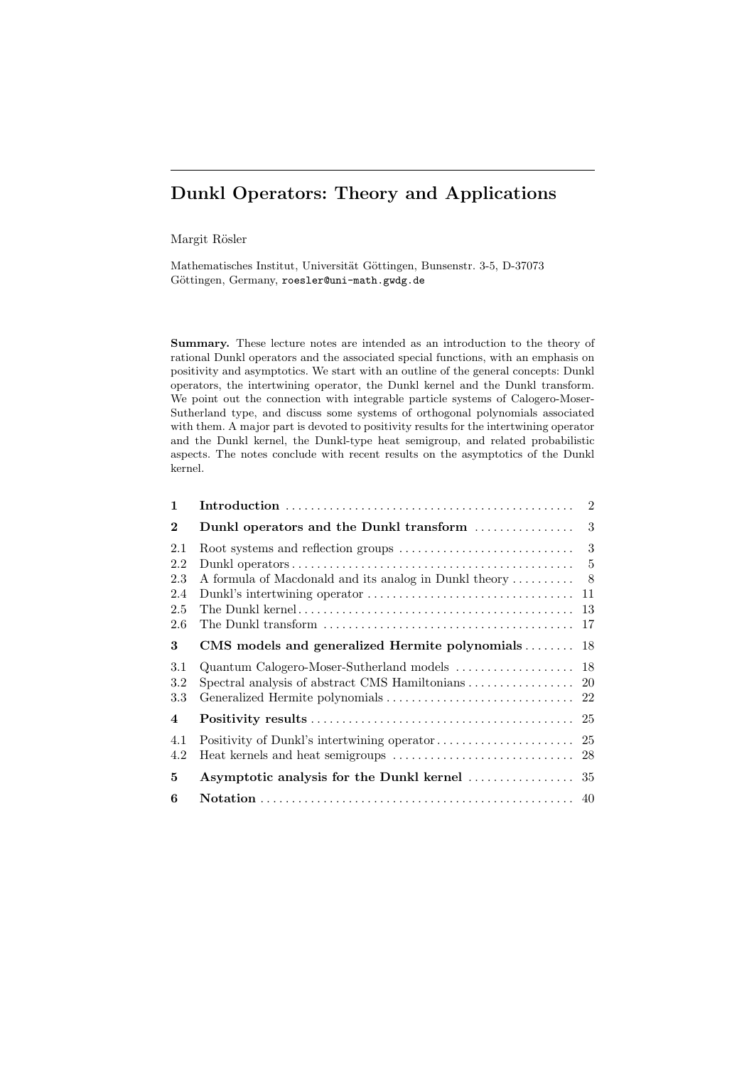# Dunkl Operators: Theory and Applications

Margit Rösler

Mathematisches Institut, Universität Göttingen, Bunsenstr. 3-5, D-37073 Göttingen, Germany, roesler@uni-math.gwdg.de

Summary. These lecture notes are intended as an introduction to the theory of rational Dunkl operators and the associated special functions, with an emphasis on positivity and asymptotics. We start with an outline of the general concepts: Dunkl operators, the intertwining operator, the Dunkl kernel and the Dunkl transform. We point out the connection with integrable particle systems of Calogero-Moser-Sutherland type, and discuss some systems of orthogonal polynomials associated with them. A major part is devoted to positivity results for the intertwining operator and the Dunkl kernel, the Dunkl-type heat semigroup, and related probabilistic aspects. The notes conclude with recent results on the asymptotics of the Dunkl kernel.

| 1                 |                                                                                                 | $\overline{2}$ |
|-------------------|-------------------------------------------------------------------------------------------------|----------------|
| $\bf{2}$          | Dunkl operators and the Dunkl transform                                                         | 3              |
| 2.1               |                                                                                                 | 3              |
| 2.2               |                                                                                                 | 5              |
| 2.3               | A formula of Macdonald and its analog in Dunkl theory                                           | 8              |
| 2.4               |                                                                                                 | 11             |
| 2.5               |                                                                                                 | 13             |
| 2.6               |                                                                                                 | 17             |
| 3                 | CMS models and generalized Hermite polynomials                                                  | 18             |
| 3.1<br>3.2<br>3.3 | Quantum Calogero-Moser-Sutherland models<br>Spectral analysis of abstract CMS Hamiltonians      | 18<br>20<br>22 |
| 4                 |                                                                                                 | 25             |
| 4.1<br>4.2        |                                                                                                 | 25<br>28       |
| 5                 |                                                                                                 |                |
| 6                 | Notation $\ldots$ and $\ldots$ and $\ldots$ and $\ldots$ and $\ldots$ and $\ldots$ and $\ldots$ |                |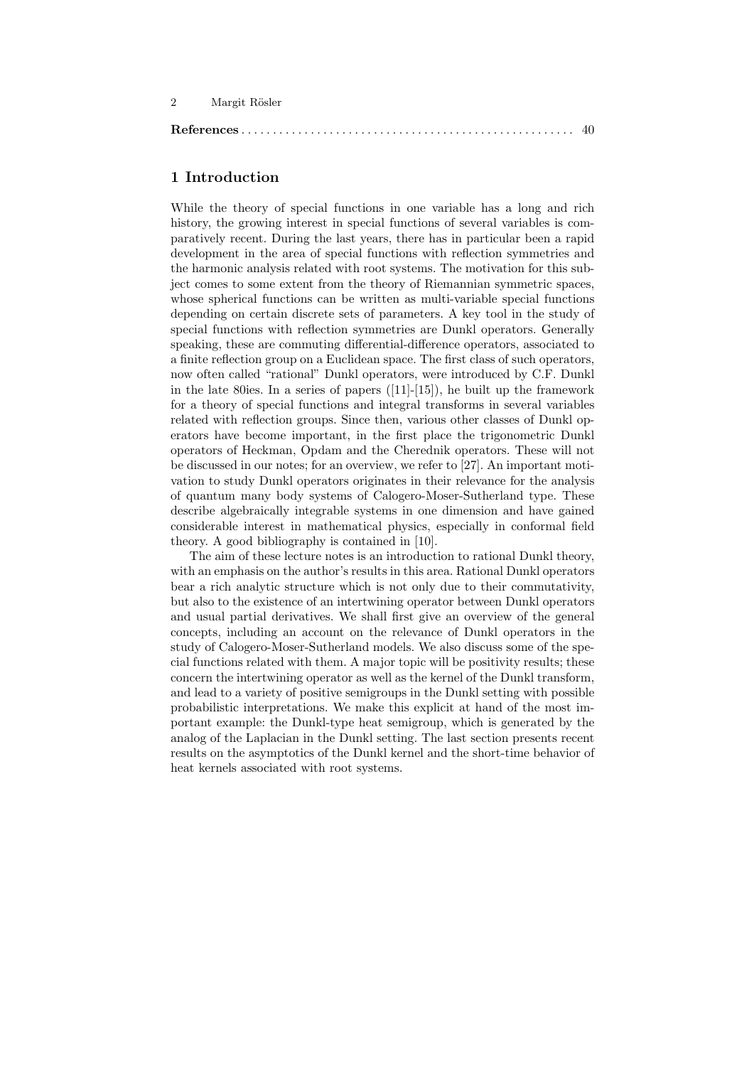References . . . . . . . . . . . . . . . . . . . . . . . . . . . . . . . . . . . . . . . . . . . . . . . . . . . . . 40

## 1 Introduction

While the theory of special functions in one variable has a long and rich history, the growing interest in special functions of several variables is comparatively recent. During the last years, there has in particular been a rapid development in the area of special functions with reflection symmetries and the harmonic analysis related with root systems. The motivation for this subject comes to some extent from the theory of Riemannian symmetric spaces, whose spherical functions can be written as multi-variable special functions depending on certain discrete sets of parameters. A key tool in the study of special functions with reflection symmetries are Dunkl operators. Generally speaking, these are commuting differential-difference operators, associated to a finite reflection group on a Euclidean space. The first class of such operators, now often called "rational" Dunkl operators, were introduced by C.F. Dunkl in the late 80ies. In a series of papers ([11]-[15]), he built up the framework for a theory of special functions and integral transforms in several variables related with reflection groups. Since then, various other classes of Dunkl operators have become important, in the first place the trigonometric Dunkl operators of Heckman, Opdam and the Cherednik operators. These will not be discussed in our notes; for an overview, we refer to [27]. An important motivation to study Dunkl operators originates in their relevance for the analysis of quantum many body systems of Calogero-Moser-Sutherland type. These describe algebraically integrable systems in one dimension and have gained considerable interest in mathematical physics, especially in conformal field theory. A good bibliography is contained in [10].

The aim of these lecture notes is an introduction to rational Dunkl theory, with an emphasis on the author's results in this area. Rational Dunkl operators bear a rich analytic structure which is not only due to their commutativity, but also to the existence of an intertwining operator between Dunkl operators and usual partial derivatives. We shall first give an overview of the general concepts, including an account on the relevance of Dunkl operators in the study of Calogero-Moser-Sutherland models. We also discuss some of the special functions related with them. A major topic will be positivity results; these concern the intertwining operator as well as the kernel of the Dunkl transform, and lead to a variety of positive semigroups in the Dunkl setting with possible probabilistic interpretations. We make this explicit at hand of the most important example: the Dunkl-type heat semigroup, which is generated by the analog of the Laplacian in the Dunkl setting. The last section presents recent results on the asymptotics of the Dunkl kernel and the short-time behavior of heat kernels associated with root systems.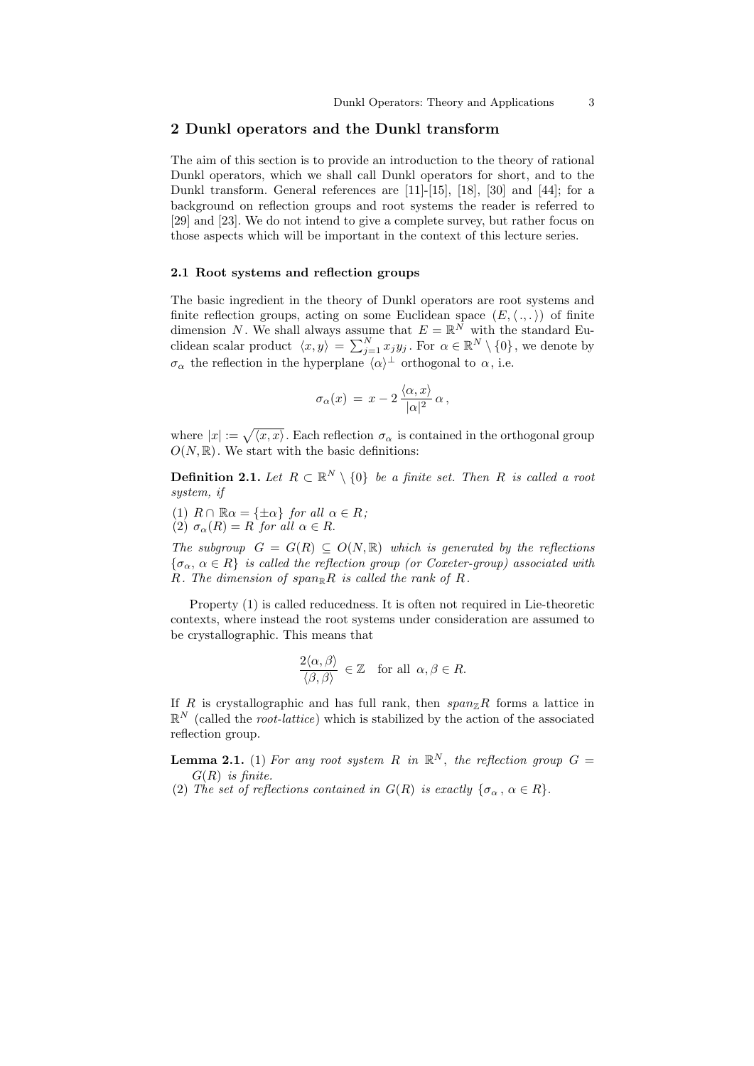## 2 Dunkl operators and the Dunkl transform

The aim of this section is to provide an introduction to the theory of rational Dunkl operators, which we shall call Dunkl operators for short, and to the Dunkl transform. General references are [11]-[15], [18], [30] and [44]; for a background on reflection groups and root systems the reader is referred to [29] and [23]. We do not intend to give a complete survey, but rather focus on those aspects which will be important in the context of this lecture series.

#### 2.1 Root systems and reflection groups

The basic ingredient in the theory of Dunkl operators are root systems and finite reflection groups, acting on some Euclidean space  $(E, \langle ., . \rangle)$  of finite dimension N. We shall always assume that  $E = \mathbb{R}^N$  with the standard Euclidean scalar product  $\langle x, y \rangle = \sum_{j=1}^{N} x_j y_j$ . For  $\alpha \in \mathbb{R}^N \setminus \{0\}$ , we denote by  $\sigma_{\alpha}$  the reflection in the hyperplane  $\langle \alpha \rangle^{\perp}$  orthogonal to  $\alpha$ , i.e.

$$
\sigma_\alpha(x) \,=\, x-2\,\frac{\langle \alpha,x\rangle}{\vert\alpha\vert^2}\,\alpha\,,
$$

where  $|x| := \sqrt{\langle x, x \rangle}$ . Each reflection  $\sigma_{\alpha}$  is contained in the orthogonal group  $O(N, \mathbb{R})$ . We start with the basic definitions:

**Definition 2.1.** Let  $R \subset \mathbb{R}^N \setminus \{0\}$  be a finite set. Then R is called a root system, if

- (1)  $R \cap \mathbb{R}\alpha = {\pm \alpha}$  for all  $\alpha \in R$ ;
- (2)  $\sigma_{\alpha}(R) = R$  for all  $\alpha \in R$ .

The subgroup  $G = G(R) \subseteq O(N, \mathbb{R})$  which is generated by the reflections  ${\sigma_{\alpha}, \alpha \in R}$  is called the reflection group (or Coxeter-group) associated with R. The dimension of span<sub>R</sub>R is called the rank of R.

Property (1) is called reducedness. It is often not required in Lie-theoretic contexts, where instead the root systems under consideration are assumed to be crystallographic. This means that

$$
\frac{2\langle \alpha, \beta \rangle}{\langle \beta, \beta \rangle} \in \mathbb{Z} \quad \text{for all} \ \alpha, \beta \in R.
$$

If R is crystallographic and has full rank, then  $span_{\mathbb{Z}}R$  forms a lattice in  $\mathbb{R}^N$  (called the *root-lattice*) which is stabilized by the action of the associated reflection group.

**Lemma 2.1.** (1) For any root system R in  $\mathbb{R}^N$ , the reflection group  $G =$  $G(R)$  is finite.

(2) The set of reflections contained in  $G(R)$  is exactly  $\{\sigma_{\alpha}, \alpha \in R\}.$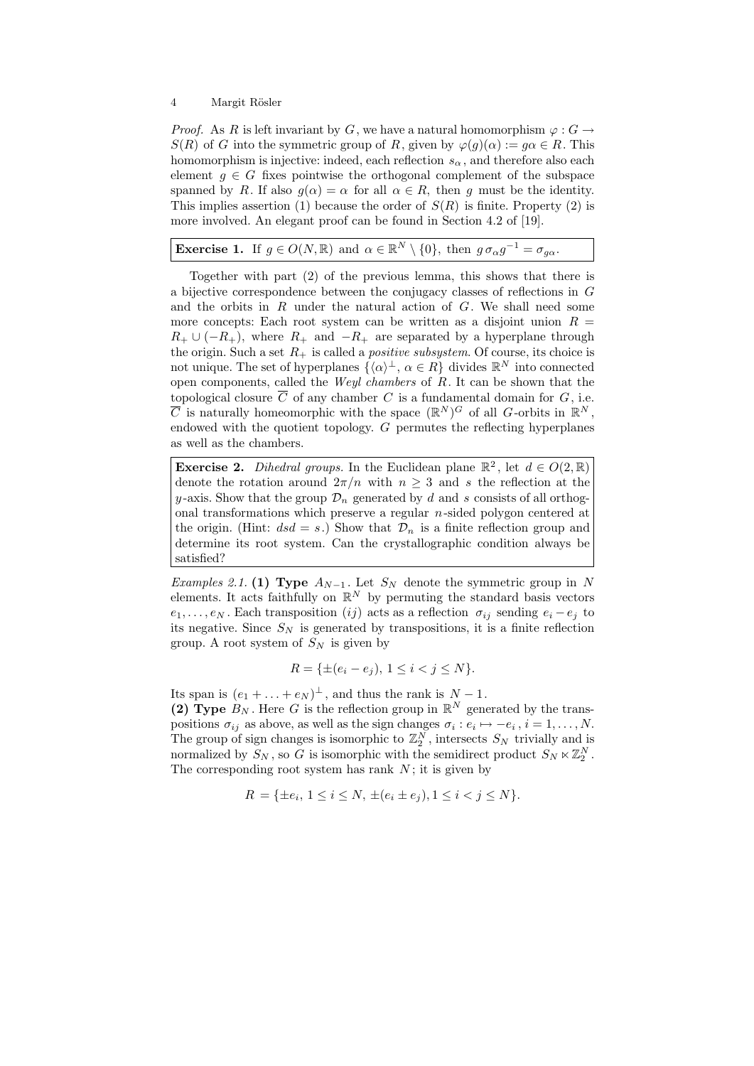*Proof.* As R is left invariant by G, we have a natural homomorphism  $\varphi : G \to$  $S(R)$  of G into the symmetric group of R, given by  $\varphi(q)(\alpha) := q\alpha \in R$ . This homomorphism is injective: indeed, each reflection  $s_{\alpha}$ , and therefore also each element  $g \in G$  fixes pointwise the orthogonal complement of the subspace spanned by R. If also  $q(\alpha) = \alpha$  for all  $\alpha \in R$ , then q must be the identity. This implies assertion (1) because the order of  $S(R)$  is finite. Property (2) is more involved. An elegant proof can be found in Section 4.2 of [19].

|  |  |  |  | <b>Exercise 1.</b> If $g \in O(N, \mathbb{R})$ and $\alpha \in \mathbb{R}^N \setminus \{0\}$ , then $g \sigma_{\alpha} g^{-1} = \sigma_{g\alpha}$ . |
|--|--|--|--|-----------------------------------------------------------------------------------------------------------------------------------------------------|
|--|--|--|--|-----------------------------------------------------------------------------------------------------------------------------------------------------|

Together with part (2) of the previous lemma, this shows that there is a bijective correspondence between the conjugacy classes of reflections in G and the orbits in  $R$  under the natural action of  $G$ . We shall need some more concepts: Each root system can be written as a disjoint union  $R =$  $R_+ \cup (-R_+),$  where  $R_+$  and  $-R_+$  are separated by a hyperplane through the origin. Such a set  $R_+$  is called a *positive subsystem*. Of course, its choice is not unique. The set of hyperplanes  $\{(\alpha)^{\perp}, \alpha \in R\}$  divides  $\mathbb{R}^N$  into connected open components, called the *Weyl chambers* of  $R$ . It can be shown that the topological closure  $\overline{C}$  of any chamber C is a fundamental domain for G, i.e.  $\overline{C}$  is naturally homeomorphic with the space  $(\mathbb{R}^N)^G$  of all G-orbits in  $\mathbb{R}^N$ , endowed with the quotient topology. G permutes the reflecting hyperplanes as well as the chambers.

**Exercise 2.** Dihedral groups. In the Euclidean plane  $\mathbb{R}^2$ , let  $d \in O(2, \mathbb{R})$ denote the rotation around  $2\pi/n$  with  $n \geq 3$  and s the reflection at the y-axis. Show that the group  $\mathcal{D}_n$  generated by d and s consists of all orthogonal transformations which preserve a regular  $n$ -sided polygon centered at the origin. (Hint:  $dsd = s$ .) Show that  $\mathcal{D}_n$  is a finite reflection group and determine its root system. Can the crystallographic condition always be satisfied?

Examples 2.1. (1) Type  $A_{N-1}$ . Let  $S_N$  denote the symmetric group in N elements. It acts faithfully on  $\mathbb{R}^N$  by permuting the standard basis vectors  $e_1, \ldots, e_N$ . Each transposition  $(ij)$  acts as a reflection  $\sigma_{ij}$  sending  $e_i - e_j$  to its negative. Since  $S_N$  is generated by transpositions, it is a finite reflection group. A root system of  $S_N$  is given by

$$
R = \{ \pm (e_i - e_j), \ 1 \le i < j \le N \}.
$$

Its span is  $(e_1 + \ldots + e_N)^{\perp}$ , and thus the rank is  $N - 1$ . (2) Type  $B_N$ . Here G is the reflection group in  $\mathbb{R}^N$  generated by the transpositions  $\sigma_{ij}$  as above, as well as the sign changes  $\sigma_i : e_i \mapsto -e_i$ ,  $i = 1, ..., N$ . The group of sign changes is isomorphic to  $\mathbb{Z}_2^N$ , intersects  $S_N$  trivially and is normalized by  $S_N$ , so G is isomorphic with the semidirect product  $S_N \ltimes \mathbb{Z}_2^N$ .

The corresponding root system has rank  $N$ ; it is given by

$$
R = \{\pm e_i, 1 \le i \le N, \pm (e_i \pm e_j), 1 \le i < j \le N\}.
$$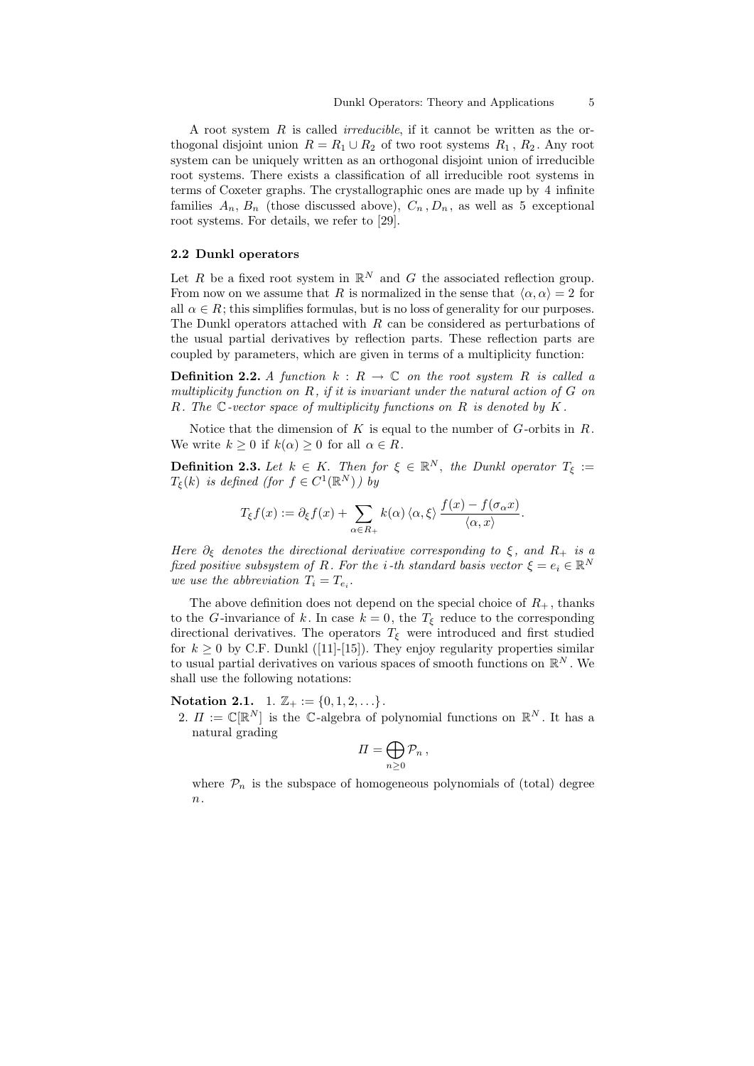A root system  $R$  is called *irreducible*, if it cannot be written as the orthogonal disjoint union  $R = R_1 \cup R_2$  of two root systems  $R_1, R_2$ . Any root system can be uniquely written as an orthogonal disjoint union of irreducible root systems. There exists a classification of all irreducible root systems in terms of Coxeter graphs. The crystallographic ones are made up by 4 infinite families  $A_n$ ,  $B_n$  (those discussed above),  $C_n$ ,  $D_n$ , as well as 5 exceptional root systems. For details, we refer to [29].

#### 2.2 Dunkl operators

Let R be a fixed root system in  $\mathbb{R}^N$  and G the associated reflection group. From now on we assume that R is normalized in the sense that  $\langle \alpha, \alpha \rangle = 2$  for all  $\alpha \in R$ ; this simplifies formulas, but is no loss of generality for our purposes. The Dunkl operators attached with  $R$  can be considered as perturbations of the usual partial derivatives by reflection parts. These reflection parts are coupled by parameters, which are given in terms of a multiplicity function:

**Definition 2.2.** A function  $k : R \to \mathbb{C}$  on the root system R is called a multiplicity function on  $R$ , if it is invariant under the natural action of  $G$  on R. The  $\mathbb C$ -vector space of multiplicity functions on R is denoted by K.

Notice that the dimension of K is equal to the number of  $G$ -orbits in  $R$ . We write  $k > 0$  if  $k(\alpha) > 0$  for all  $\alpha \in R$ .

**Definition 2.3.** Let  $k \in K$ . Then for  $\xi \in \mathbb{R}^N$ , the Dunkl operator  $T_{\xi}$  :=  $T_{\xi}(k)$  is defined (for  $f \in C^1(\mathbb{R}^N)$ ) by

$$
T_{\xi}f(x) := \partial_{\xi}f(x) + \sum_{\alpha \in R_{+}} k(\alpha) \langle \alpha, \xi \rangle \frac{f(x) - f(\sigma_{\alpha}x)}{\langle \alpha, x \rangle}.
$$

Here  $\partial_{\xi}$  denotes the directional derivative corresponding to  $\xi$ , and  $R_{+}$  is a fixed positive subsystem of R. For the *i*-th standard basis vector  $\xi = e_i \in \mathbb{R}^N$ we use the abbreviation  $T_i = T_{e_i}$ .

The above definition does not depend on the special choice of  $R_{+}$ , thanks to the G-invariance of k. In case  $k = 0$ , the  $T_{\xi}$  reduce to the corresponding directional derivatives. The operators  $T_{\xi}$  were introduced and first studied for  $k \geq 0$  by C.F. Dunkl ([11]-[15]). They enjoy regularity properties similar to usual partial derivatives on various spaces of smooth functions on  $\mathbb{R}^N$ . We shall use the following notations:

Notation 2.1. 1.  $\mathbb{Z}_+ := \{0, 1, 2, \ldots\}.$ 

2.  $\Pi := \mathbb{C}[\mathbb{R}^N]$  is the C-algebra of polynomial functions on  $\mathbb{R}^N$ . It has a natural grading

$$
\varPi=\bigoplus_{n\geq 0}\mathcal{P}_n\,,
$$

where  $P_n$  is the subspace of homogeneous polynomials of (total) degree  $n$ .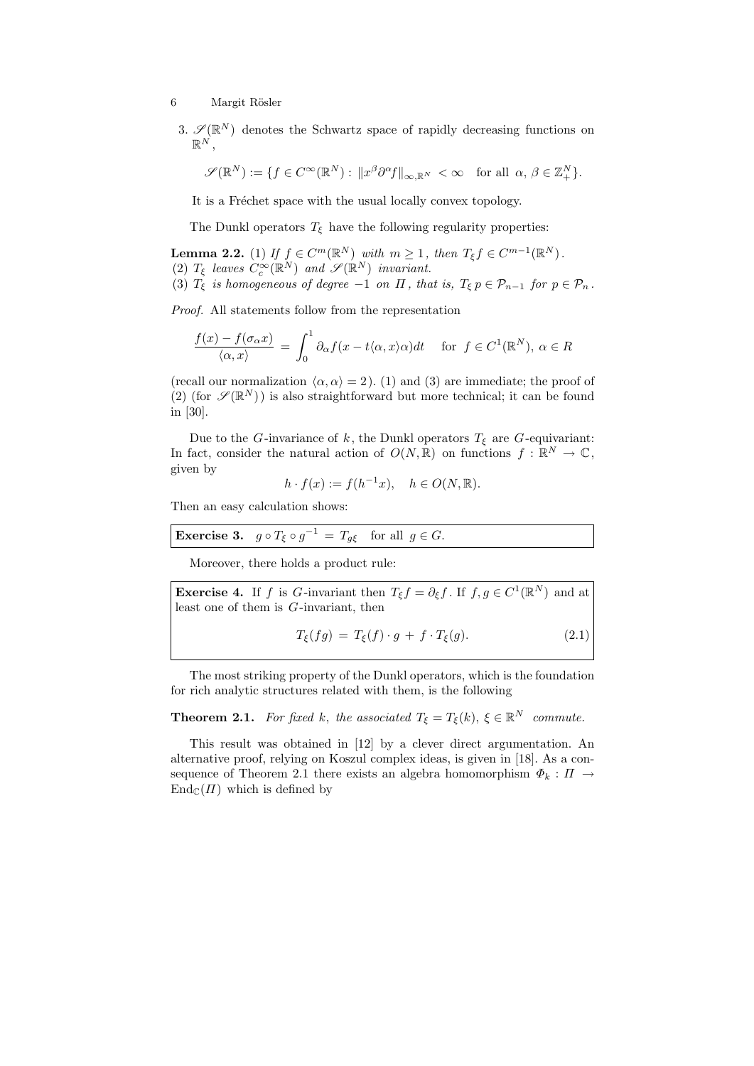3.  $\mathscr{S}(\mathbb{R}^N)$  denotes the Schwartz space of rapidly decreasing functions on  $\mathbb{R}^N$  ,

$$
\mathscr{S}(\mathbb{R}^N):=\{f\in C^\infty(\mathbb{R}^N):\,\|x^\beta\partial^\alpha f\|_{\infty,\mathbb{R}^N}\,<\infty\quad\text{for all }\alpha,\,\beta\in\mathbb{Z}^N_+\}.
$$

It is a Fréchet space with the usual locally convex topology.

The Dunkl operators  $T_{\xi}$  have the following regularity properties:

**Lemma 2.2.** (1) If  $f \in C^m(\mathbb{R}^N)$  with  $m \ge 1$ , then  $T_{\xi} f \in C^{m-1}(\mathbb{R}^N)$ . (2)  $T_{\xi}$  leaves  $C_c^{\infty}(\mathbb{R}^N)$  and  $\mathscr{S}(\mathbb{R}^N)$  invariant.

(3)  $T_{\xi}$  is homogeneous of degree  $-1$  on  $\Pi$ , that is,  $T_{\xi} p \in \mathcal{P}_{n-1}$  for  $p \in \mathcal{P}_n$ .

Proof. All statements follow from the representation

$$
\frac{f(x) - f(\sigma_\alpha x)}{\langle \alpha, x \rangle} = \int_0^1 \partial_\alpha f(x - t \langle \alpha, x \rangle \alpha) dt \quad \text{for } f \in C^1(\mathbb{R}^N), \ \alpha \in R
$$

(recall our normalization  $\langle \alpha, \alpha \rangle = 2$ ). (1) and (3) are immediate; the proof of (2) (for  $\mathscr{S}(\mathbb{R}^N)$ ) is also straightforward but more technical; it can be found in [30].

Due to the G-invariance of k, the Dunkl operators  $T_{\xi}$  are G-equivariant: In fact, consider the natural action of  $O(N, \mathbb{R})$  on functions  $f : \mathbb{R}^N \to \mathbb{C}$ , given by

$$
h \cdot f(x) := f(h^{-1}x), \quad h \in O(N, \mathbb{R}).
$$

Then an easy calculation shows:

**Exercise 3.**  $g \circ T_{\xi} \circ g^{-1} = T_{g\xi}$  for all  $g \in G$ .

Moreover, there holds a product rule:

**Exercise 4.** If f is G-invariant then  $T_{\xi}f = \partial_{\xi}f$ . If  $f, g \in C^{1}(\mathbb{R}^{N})$  and at least one of them is G-invariant, then

$$
T_{\xi}(fg) = T_{\xi}(f) \cdot g + f \cdot T_{\xi}(g). \tag{2.1}
$$

The most striking property of the Dunkl operators, which is the foundation for rich analytic structures related with them, is the following

**Theorem 2.1.** For fixed k, the associated  $T_{\xi} = T_{\xi}(k)$ ,  $\xi \in \mathbb{R}^{N}$  commute.

This result was obtained in [12] by a clever direct argumentation. An alternative proof, relying on Koszul complex ideas, is given in [18]. As a consequence of Theorem 2.1 there exists an algebra homomorphism  $\Phi_k : \Pi \to$  $\text{End}_{\mathbb{C}}(H)$  which is defined by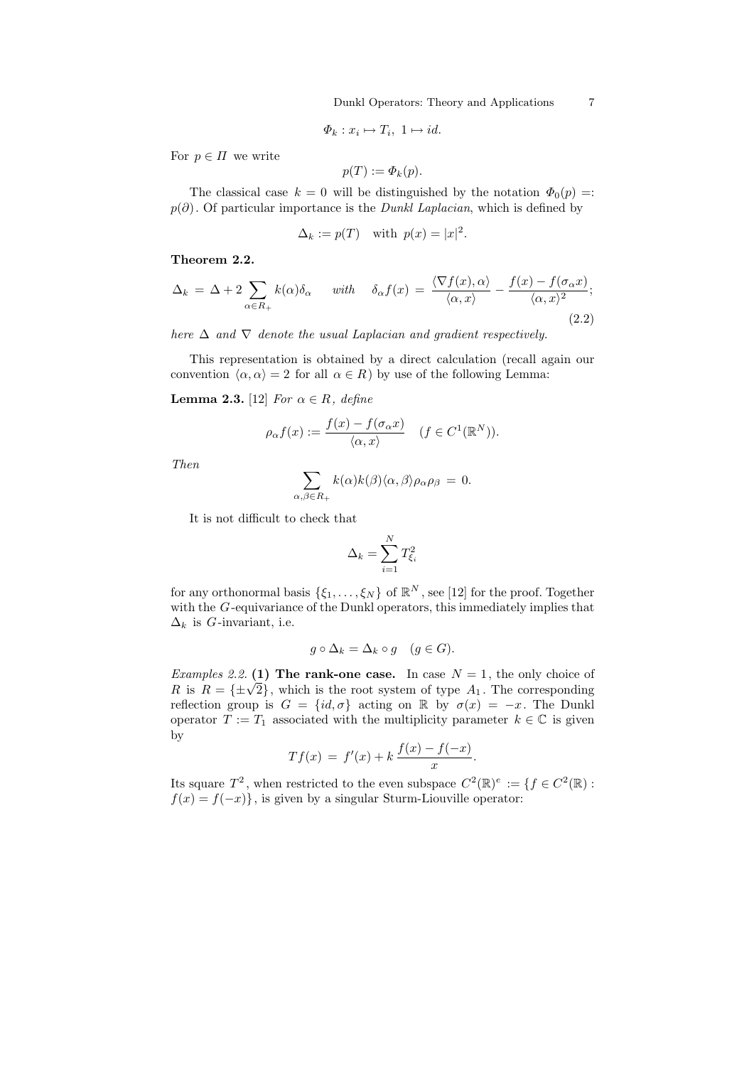Dunkl Operators: Theory and Applications 7

$$
\Phi_k: x_i \mapsto T_i, \ 1 \mapsto id.
$$

For  $p \in \Pi$  we write

$$
p(T) := \Phi_k(p).
$$

The classical case  $k = 0$  will be distinguished by the notation  $\Phi_0(p) =$ :  $p(\partial)$ . Of particular importance is the *Dunkl Laplacian*, which is defined by

$$
\Delta_k := p(T) \quad \text{with } p(x) = |x|^2.
$$

Theorem 2.2.

$$
\Delta_k = \Delta + 2 \sum_{\alpha \in R_+} k(\alpha) \delta_\alpha \quad \text{with} \quad \delta_\alpha f(x) = \frac{\langle \nabla f(x), \alpha \rangle}{\langle \alpha, x \rangle} - \frac{f(x) - f(\sigma_\alpha x)}{\langle \alpha, x \rangle^2};
$$
\n(2.2)

here  $\Delta$  and  $\nabla$  denote the usual Laplacian and gradient respectively.

This representation is obtained by a direct calculation (recall again our convention  $\langle \alpha, \alpha \rangle = 2$  for all  $\alpha \in R$ ) by use of the following Lemma:

Lemma 2.3. [12] For  $\alpha \in R$ , define

$$
\rho_{\alpha}f(x) := \frac{f(x) - f(\sigma_{\alpha}x)}{\langle \alpha, x \rangle} \quad (f \in C^{1}(\mathbb{R}^{N})).
$$

Then

$$
\sum_{\alpha,\beta\in R_+} k(\alpha)k(\beta)\langle \alpha,\beta\rangle \rho_\alpha \rho_\beta = 0.
$$

It is not difficult to check that

$$
\Delta_k = \sum_{i=1}^N T_{\xi_i}^2
$$

for any orthonormal basis  $\{\xi_1, \ldots, \xi_N\}$  of  $\mathbb{R}^N$ , see [12] for the proof. Together with the G-equivariance of the Dunkl operators, this immediately implies that  $\Delta_k$  is G-invariant, i.e.

$$
g \circ \Delta_k = \Delta_k \circ g \quad (g \in G).
$$

Examples 2.2. (1) The rank-one case. In case  $N = 1$ , the only choice of *Examples 2.2.* (1) The rank-one case. In case  $N = 1$ , the only choice of R is  $R = {\pm \sqrt{2}}$ , which is the root system of type  $A_1$ . The corresponding reflection group is  $G = \{id, \sigma\}$  acting on R by  $\sigma(x) = -x$ . The Dunkl operator  $T := T_1$  associated with the multiplicity parameter  $k \in \mathbb{C}$  is given by

$$
Tf(x) = f'(x) + k \frac{f(x) - f(-x)}{x}
$$
.

Its square  $T^2$ , when restricted to the even subspace  $C^2(\mathbb{R})^e := \{f \in C^2(\mathbb{R}) :$  $f(x) = f(-x)$ , is given by a singular Sturm-Liouville operator: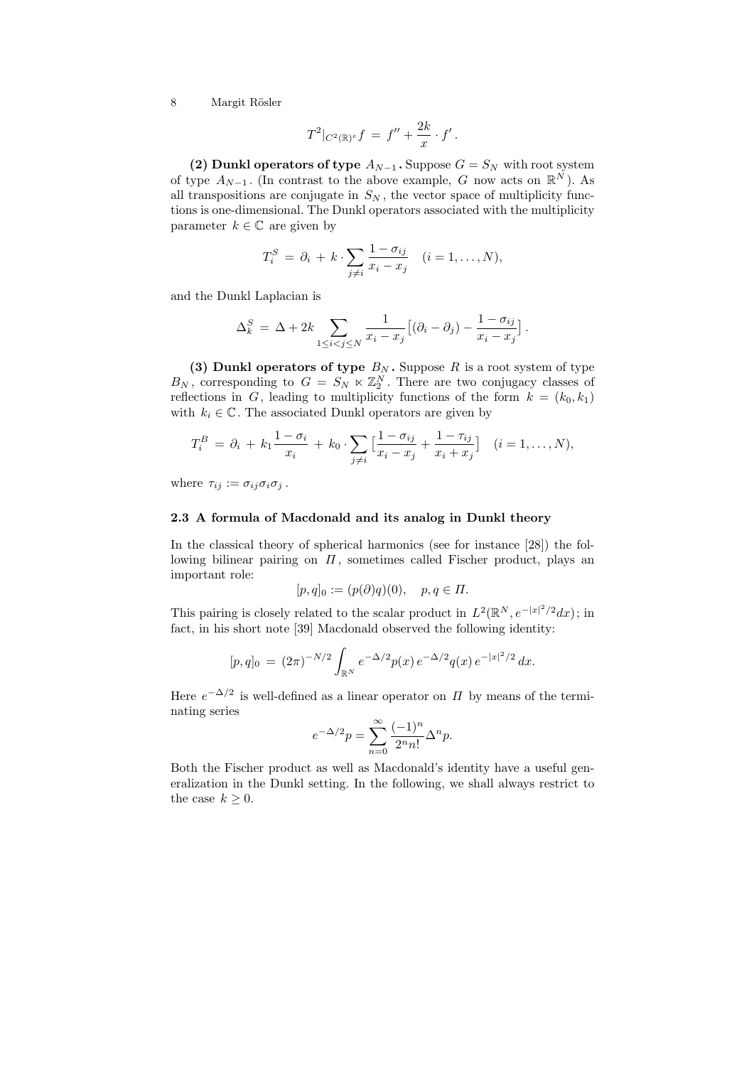$$
T^2|_{C^2(\mathbb{R})^e} f = f'' + \frac{2k}{x} \cdot f'.
$$

(2) Dunkl operators of type  $A_{N-1}$ . Suppose  $G = S_N$  with root system of type  $A_{N-1}$ . (In contrast to the above example, G now acts on  $\mathbb{R}^N$ ). As all transpositions are conjugate in  $S_N$ , the vector space of multiplicity functions is one-dimensional. The Dunkl operators associated with the multiplicity parameter  $k\in\mathbb{C}$  are given by

$$
T_i^S = \partial_i + k \cdot \sum_{j \neq i} \frac{1 - \sigma_{ij}}{x_i - x_j} \quad (i = 1, \dots, N),
$$

and the Dunkl Laplacian is

$$
\Delta_k^S = \Delta + 2k \sum_{1 \le i < j \le N} \frac{1}{x_i - x_j} \left[ (\partial_i - \partial_j) - \frac{1 - \sigma_{ij}}{x_i - x_j} \right].
$$

(3) Dunkl operators of type  $B_N$ . Suppose R is a root system of type  $B_N$ , corresponding to  $G = S_N \ltimes \mathbb{Z}_2^N$ . There are two conjugacy classes of reflections in G, leading to multiplicity functions of the form  $k = (k_0, k_1)$ with  $k_i \in \mathbb{C}$ . The associated Dunkl operators are given by

$$
T_i^B = \partial_i + k_1 \frac{1 - \sigma_i}{x_i} + k_0 \cdot \sum_{j \neq i} \left[ \frac{1 - \sigma_{ij}}{x_i - x_j} + \frac{1 - \tau_{ij}}{x_i + x_j} \right] \quad (i = 1, ..., N),
$$

where  $\tau_{ij} := \sigma_{ij}\sigma_i\sigma_j$ .

#### 2.3 A formula of Macdonald and its analog in Dunkl theory

In the classical theory of spherical harmonics (see for instance [28]) the following bilinear pairing on  $\Pi$ , sometimes called Fischer product, plays an important role:

$$
[p,q]_0 := (p(\partial)q)(0), \quad p, q \in \Pi.
$$

This pairing is closely related to the scalar product in  $L^2(\mathbb{R}^N, e^{-|x|^2/2}dx)$ ; in fact, in his short note [39] Macdonald observed the following identity:

$$
[p,q]_0 = (2\pi)^{-N/2} \int_{\mathbb{R}^N} e^{-\Delta/2} p(x) e^{-\Delta/2} q(x) e^{-|x|^2/2} dx.
$$

Here  $e^{-\Delta/2}$  is well-defined as a linear operator on  $\Pi$  by means of the terminating series

$$
e^{-\Delta/2}p=\sum_{n=0}^\infty\frac{(-1)^n}{2^nn!}\Delta^np.
$$

Both the Fischer product as well as Macdonald's identity have a useful generalization in the Dunkl setting. In the following, we shall always restrict to the case  $k \geq 0$ .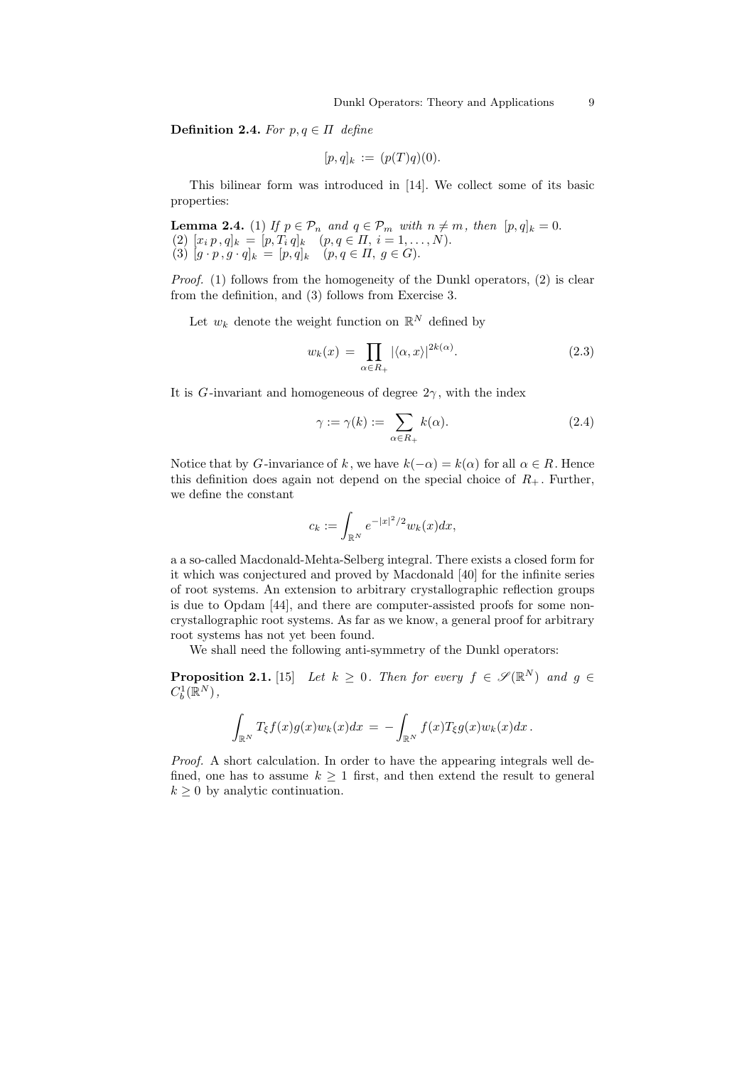**Definition 2.4.** For  $p, q \in \Pi$  define

$$
[p,q]_k := (p(T)q)(0).
$$

This bilinear form was introduced in [14]. We collect some of its basic properties:

**Lemma 2.4.** (1) If  $p \in \mathcal{P}_n$  and  $q \in \mathcal{P}_m$  with  $n \neq m$ , then  $[p, q]_k = 0$ . (2)  $[x_i p, q]_k = [p, T_i q]_k$   $(p, q \in \Pi, i = 1, ..., N).$ (3)  $[g \cdot p, g \cdot q]_k = [p, q]_k$   $(p, q \in \Pi, g \in G).$ 

Proof. (1) follows from the homogeneity of the Dunkl operators, (2) is clear from the definition, and (3) follows from Exercise 3.

Let  $w_k$  denote the weight function on  $\mathbb{R}^N$  defined by

$$
w_k(x) = \prod_{\alpha \in R_+} |\langle \alpha, x \rangle|^{2k(\alpha)}.
$$
 (2.3)

It is G-invariant and homogeneous of degree  $2\gamma$ , with the index

$$
\gamma := \gamma(k) := \sum_{\alpha \in R_+} k(\alpha). \tag{2.4}
$$

Notice that by G-invariance of k, we have  $k(-\alpha) = k(\alpha)$  for all  $\alpha \in R$ . Hence this definition does again not depend on the special choice of  $R_{+}$ . Further, we define the constant

$$
c_k := \int_{\mathbb{R}^N} e^{-|x|^2/2} w_k(x) dx,
$$

a a so-called Macdonald-Mehta-Selberg integral. There exists a closed form for it which was conjectured and proved by Macdonald [40] for the infinite series of root systems. An extension to arbitrary crystallographic reflection groups is due to Opdam [44], and there are computer-assisted proofs for some noncrystallographic root systems. As far as we know, a general proof for arbitrary root systems has not yet been found.

We shall need the following anti-symmetry of the Dunkl operators:

**Proposition 2.1.** [15] Let  $k \geq 0$ . Then for every  $f \in \mathscr{S}(\mathbb{R}^N)$  and  $g \in \mathbb{R}$  $C_b^1(\mathbb{R}^N)$ ,

$$
\int_{\mathbb{R}^N} T_{\xi}f(x)g(x)w_k(x)dx = -\int_{\mathbb{R}^N} f(x)T_{\xi}g(x)w_k(x)dx.
$$

Proof. A short calculation. In order to have the appearing integrals well defined, one has to assume  $k \geq 1$  first, and then extend the result to general  $k \geq 0$  by analytic continuation.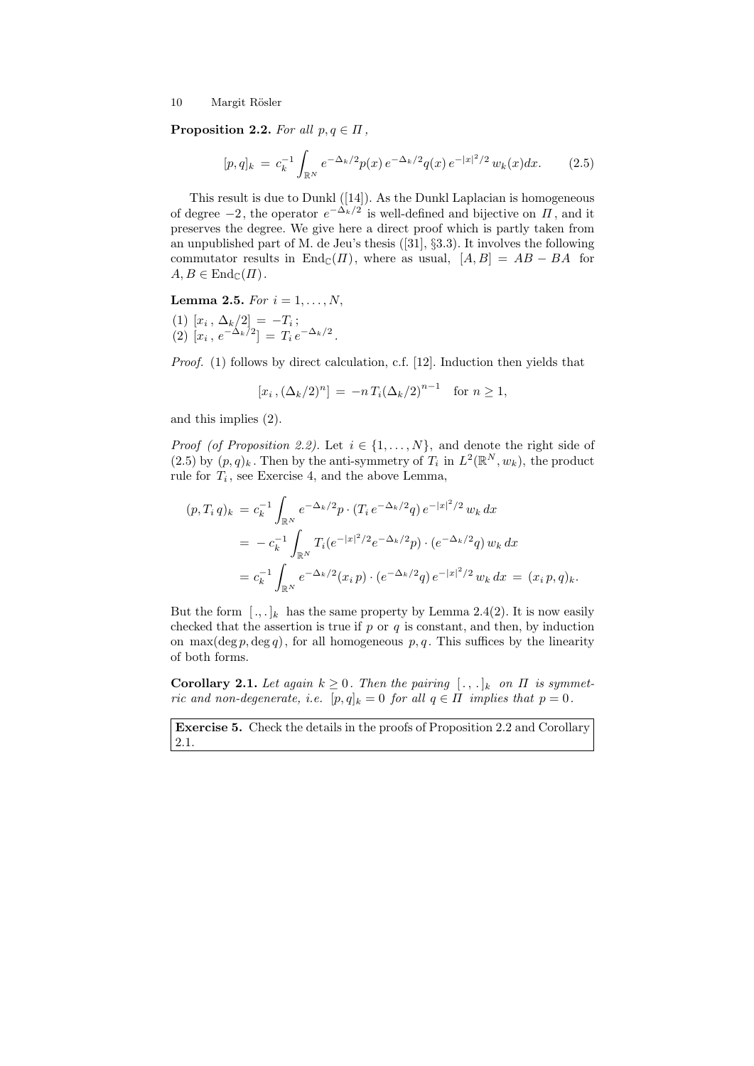**Proposition 2.2.** For all  $p, q \in \Pi$ ,

$$
[p,q]_k = c_k^{-1} \int_{\mathbb{R}^N} e^{-\Delta_k/2} p(x) e^{-\Delta_k/2} q(x) e^{-|x|^2/2} w_k(x) dx.
$$
 (2.5)

This result is due to Dunkl ([14]). As the Dunkl Laplacian is homogeneous of degree  $-2$ , the operator  $e^{-\Delta_k/2}$  is well-defined and bijective on  $\Pi$ , and it preserves the degree. We give here a direct proof which is partly taken from an unpublished part of M. de Jeu's thesis ([31], §3.3). It involves the following commutator results in  $\text{End}_{\mathbb{C}}(H)$ , where as usual,  $[A, B] = AB - BA$  for  $A, B \in \text{End}_{\mathbb{C}}(\Pi)$ .

**Lemma 2.5.** For  $i = 1, ..., N$ ,

(1)  $[x_i, \Delta_k/2] = -T_i;$  $(2)$   $[x_i, e^{-\Delta_k/2}] = T_i e^{-\Delta_k/2}.$ 

Proof. (1) follows by direct calculation, c.f. [12]. Induction then yields that

$$
[x_i, (\Delta_k/2)^n] = -n T_i (\Delta_k/2)^{n-1}
$$
 for  $n \ge 1$ ,

and this implies (2).

*Proof (of Proposition 2.2).* Let  $i \in \{1, ..., N\}$ , and denote the right side of  $(2.5)$  by  $(p,q)_k$ . Then by the anti-symmetry of  $T_i$  in  $L^2(\mathbb{R}^N, w_k)$ , the product rule for  $T_i$ , see Exercise 4, and the above Lemma,

$$
(p, T_i q)_k = c_k^{-1} \int_{\mathbb{R}^N} e^{-\Delta_k/2} p \cdot (T_i e^{-\Delta_k/2} q) e^{-|x|^2/2} w_k dx
$$
  
=  $- c_k^{-1} \int_{\mathbb{R}^N} T_i (e^{-|x|^2/2} e^{-\Delta_k/2} p) \cdot (e^{-\Delta_k/2} q) w_k dx$   
=  $c_k^{-1} \int_{\mathbb{R}^N} e^{-\Delta_k/2} (x_i p) \cdot (e^{-\Delta_k/2} q) e^{-|x|^2/2} w_k dx = (x_i p, q)_k$ .

But the form  $[.,.]_k$  has the same property by Lemma 2.4(2). It is now easily checked that the assertion is true if  $p$  or  $q$  is constant, and then, by induction on  $\max(\deg p, \deg q)$ , for all homogeneous p, q. This suffices by the linearity of both forms.

**Corollary 2.1.** Let again  $k \geq 0$ . Then the pairing  $[\cdot, \cdot]_k$  on  $\Pi$  is symmetric and non-degenerate, i.e.  $[p, q]_k = 0$  for all  $q \in \Pi$  implies that  $p = 0$ .

Exercise 5. Check the details in the proofs of Proposition 2.2 and Corollary 2.1.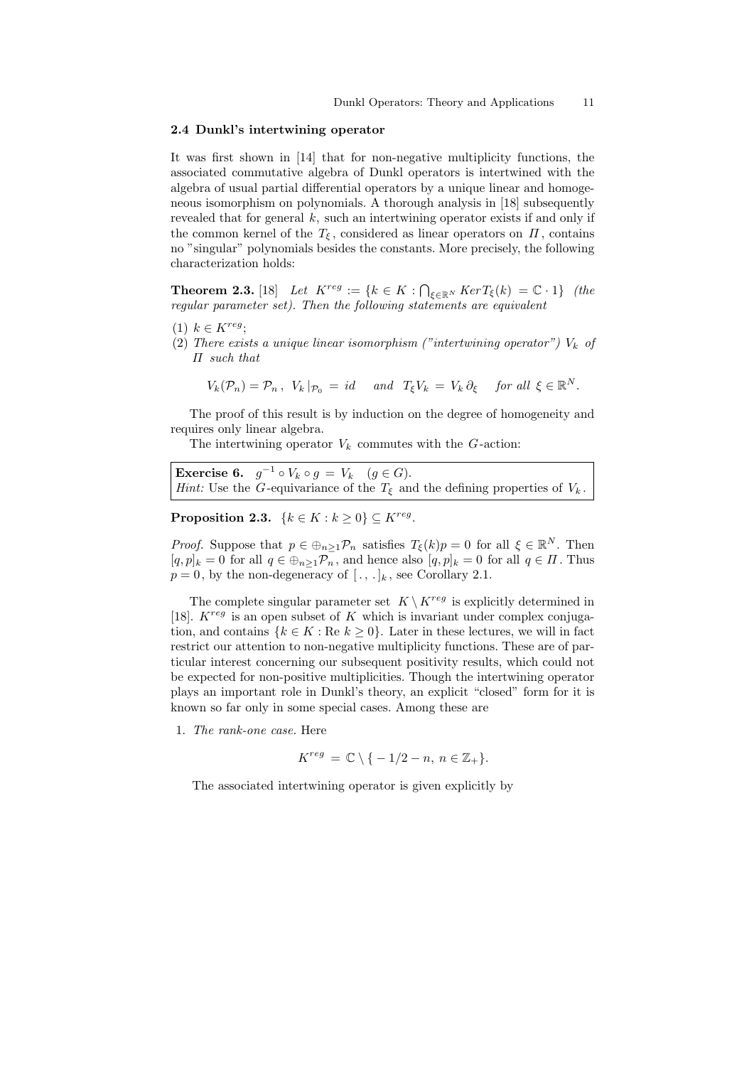#### 2.4 Dunkl's intertwining operator

It was first shown in [14] that for non-negative multiplicity functions, the associated commutative algebra of Dunkl operators is intertwined with the algebra of usual partial differential operators by a unique linear and homogeneous isomorphism on polynomials. A thorough analysis in [18] subsequently revealed that for general  $k$ , such an intertwining operator exists if and only if the common kernel of the  $T_{\xi}$ , considered as linear operators on  $\Pi$ , contains no "singular" polynomials besides the constants. More precisely, the following characterization holds:

**Theorem 2.3.** [18] Let  $K^{reg} := \{k \in K : \bigcap_{\xi \in \mathbb{R}^N} Ker T_{\xi}(k) = \mathbb{C} \cdot 1\}$  (the regular parameter set). Then the following statements are equivalent

- (1)  $k \in K^{reg}$ :
- (2) There exists a unique linear isomorphism ("intertwining operator")  $V_k$  of Π such that

$$
V_k(\mathcal{P}_n)=\mathcal{P}_n, V_k|_{\mathcal{P}_0} = id \text{ and } T_{\xi}V_k=V_k\partial_{\xi} \text{ for all } \xi \in \mathbb{R}^N.
$$

The proof of this result is by induction on the degree of homogeneity and requires only linear algebra.

The intertwining operator  $V_k$  commutes with the  $G$ -action:

**Exercise 6.**  $g^{-1} \circ V_k \circ g = V_k \quad (g \in G)$ . *Hint:* Use the *G*-equivariance of the  $T_{\xi}$  and the defining properties of  $V_k$ .

Proposition 2.3.  $\{k \in K : k \geq 0\} \subseteq K^{reg}$ .

*Proof.* Suppose that  $p \in \bigoplus_{n \geq 1} \mathcal{P}_n$  satisfies  $T_{\xi}(k)p = 0$  for all  $\xi \in \mathbb{R}^N$ . Then  $[q, p]_k = 0$  for all  $q \in \bigoplus_{n \geq 1} \overline{p_n}$ , and hence also  $[q, p]_k = 0$  for all  $q \in \Pi$ . Thus  $p = 0$ , by the non-degeneracy of  $[\cdot, \cdot]_k$ , see Corollary 2.1.

The complete singular parameter set  $K \setminus K^{reg}$  is explicitly determined in [18].  $K^{reg}$  is an open subset of K which is invariant under complex conjugation, and contains  $\{k \in K : \text{Re } k \geq 0\}$ . Later in these lectures, we will in fact restrict our attention to non-negative multiplicity functions. These are of particular interest concerning our subsequent positivity results, which could not be expected for non-positive multiplicities. Though the intertwining operator plays an important role in Dunkl's theory, an explicit "closed" form for it is known so far only in some special cases. Among these are

1. The rank-one case. Here

$$
K^{reg} = \mathbb{C} \setminus \{-1/2 - n, n \in \mathbb{Z}_+\}.
$$

The associated intertwining operator is given explicitly by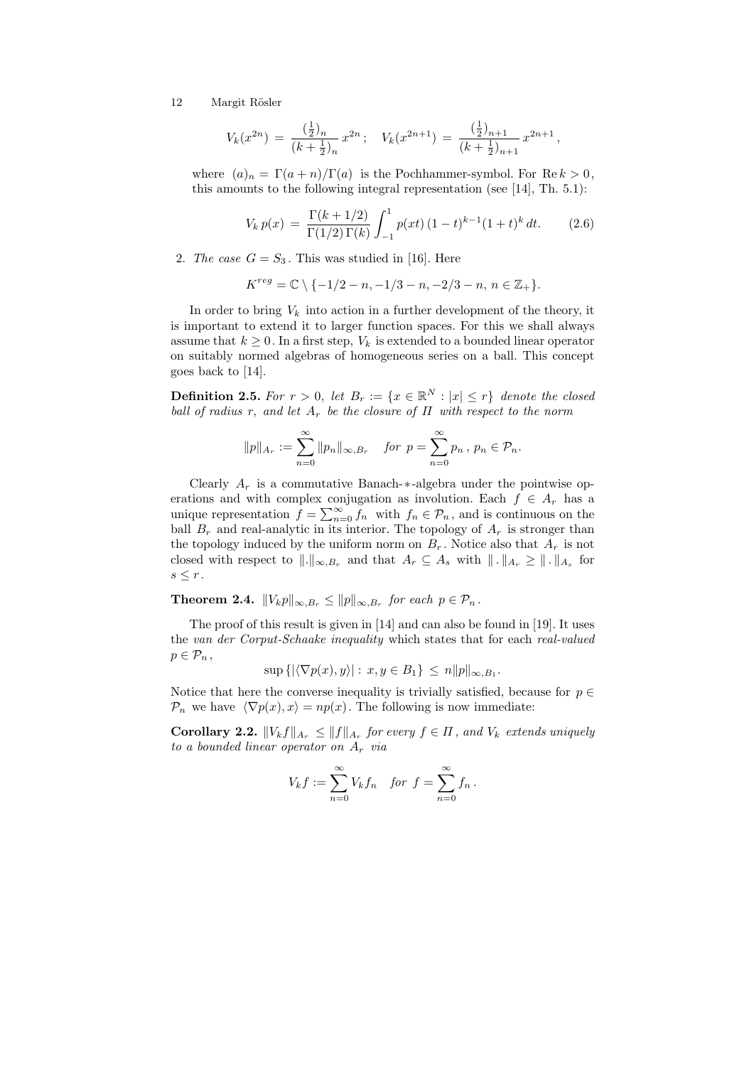$$
V_k(x^{2n}) = \frac{(\frac{1}{2})_n}{(k + \frac{1}{2})_n} x^{2n}; \quad V_k(x^{2n+1}) = \frac{(\frac{1}{2})_{n+1}}{(k + \frac{1}{2})_{n+1}} x^{2n+1},
$$

where  $(a)_n = \Gamma(a+n)/\Gamma(a)$  is the Pochhammer-symbol. For Re  $k > 0$ , this amounts to the following integral representation (see [14], Th. 5.1):

$$
V_k p(x) = \frac{\Gamma(k + 1/2)}{\Gamma(1/2)\Gamma(k)} \int_{-1}^1 p(xt) (1 - t)^{k-1} (1 + t)^k dt.
$$
 (2.6)

2. The case  $G = S_3$ . This was studied in [16]. Here

$$
K^{reg} = \mathbb{C} \setminus \{-1/2 - n, -1/3 - n, -2/3 - n, n \in \mathbb{Z}_+\}.
$$

In order to bring  $V_k$  into action in a further development of the theory, it is important to extend it to larger function spaces. For this we shall always assume that  $k \geq 0$ . In a first step,  $V_k$  is extended to a bounded linear operator on suitably normed algebras of homogeneous series on a ball. This concept goes back to [14].

**Definition 2.5.** For  $r > 0$ , let  $B_r := \{x \in \mathbb{R}^N : |x| \le r\}$  denote the closed ball of radius r, and let  $A_r$  be the closure of  $\Pi$  with respect to the norm

$$
||p||_{A_r} := \sum_{n=0}^{\infty} ||p_n||_{\infty, B_r}
$$
 for  $p = \sum_{n=0}^{\infty} p_n$ ,  $p_n \in \mathcal{P}_n$ .

Clearly  $A_r$  is a commutative Banach- $*$ -algebra under the pointwise operations and with complex conjugation as involution. Each  $f \in A_r$  has a unique representation  $f = \sum_{n=0}^{\infty} f_n$  with  $f_n \in \mathcal{P}_n$ , and is continuous on the ball  $B_r$  and real-analytic in its interior. The topology of  $A_r$  is stronger than the topology induced by the uniform norm on  $B_r$ . Notice also that  $A_r$  is not closed with respect to  $\|\cdot\|_{\infty,B_r}$  and that  $A_r \subseteq A_s$  with  $\|\cdot\|_{A_r} \ge \|\cdot\|_{A_s}$  for  $s \leq r$ .

**Theorem 2.4.**  $||V_k p||_{\infty, B_r} \le ||p||_{\infty, B_r}$  for each  $p \in \mathcal{P}_n$ .

The proof of this result is given in [14] and can also be found in [19]. It uses the van der Corput-Schaake inequality which states that for each real-valued  $p \in \mathcal{P}_n$ ,

$$
\sup\left\{\left|\langle\nabla p(x), y\rangle\right| : x, y \in B_1\right\} \le n \|p\|_{\infty, B_1}.
$$

Notice that here the converse inequality is trivially satisfied, because for  $p \in$  $\mathcal{P}_n$  we have  $\langle \nabla p(x), x \rangle = np(x)$ . The following is now immediate:

**Corollary 2.2.**  $||V_k f||_{A_r} \leq ||f||_{A_r}$  for every  $f \in \Pi$ , and  $V_k$  extends uniquely to a bounded linear operator on  $A_r$  via

$$
V_k f := \sum_{n=0}^{\infty} V_k f_n \quad \text{for } f = \sum_{n=0}^{\infty} f_n \, .
$$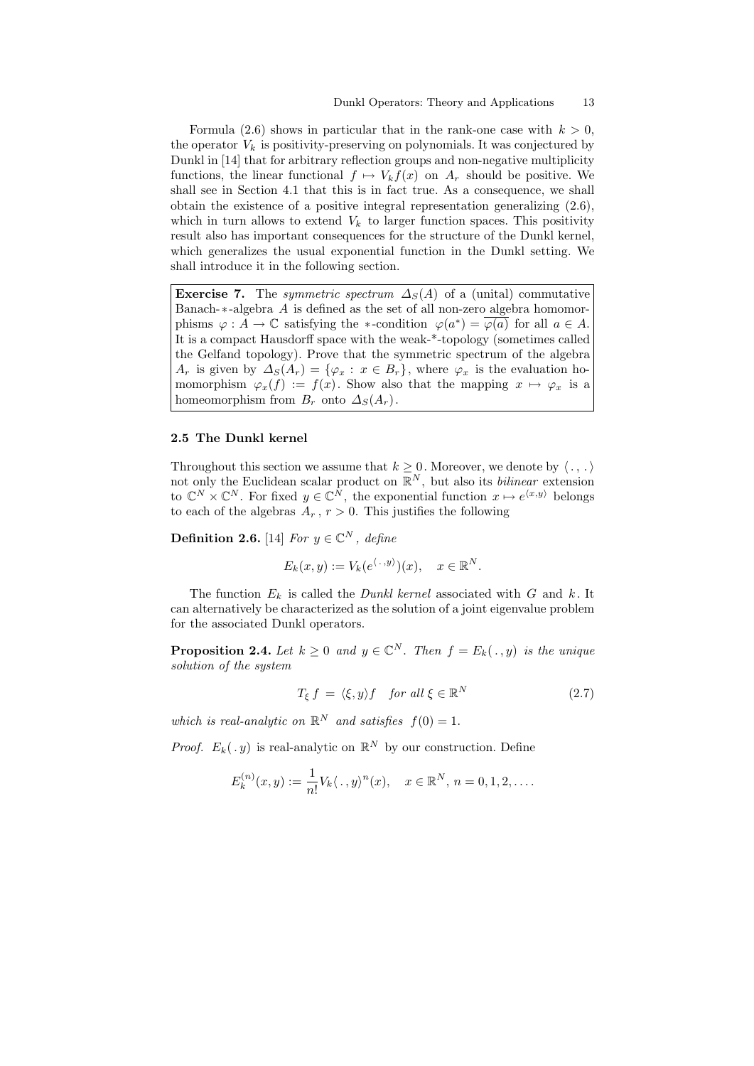Formula (2.6) shows in particular that in the rank-one case with  $k > 0$ , the operator  $V_k$  is positivity-preserving on polynomials. It was conjectured by Dunkl in [14] that for arbitrary reflection groups and non-negative multiplicity functions, the linear functional  $f \mapsto V_k f(x)$  on  $A_r$  should be positive. We shall see in Section 4.1 that this is in fact true. As a consequence, we shall obtain the existence of a positive integral representation generalizing (2.6), which in turn allows to extend  $V_k$  to larger function spaces. This positivity result also has important consequences for the structure of the Dunkl kernel, which generalizes the usual exponential function in the Dunkl setting. We shall introduce it in the following section.

**Exercise 7.** The *symmetric spectrum*  $\Delta_S(A)$  of a (unital) commutative Banach-∗-algebra A is defined as the set of all non-zero algebra homomorphisms  $\varphi : \tilde{A} \to \mathbb{C}$  satisfying the \*-condition  $\varphi(a^*) = \overline{\varphi(a)}$  for all  $a \in A$ . It is a compact Hausdorff space with the weak-\*-topology (sometimes called the Gelfand topology). Prove that the symmetric spectrum of the algebra  $A_r$  is given by  $\Delta_S(A_r) = \{\varphi_x : x \in B_r\}$ , where  $\varphi_x$  is the evaluation homomorphism  $\varphi_x(f) := f(x)$ . Show also that the mapping  $x \mapsto \varphi_x$  is a homeomorphism from  $B_r$  onto  $\Delta_S(A_r)$ .

## 2.5 The Dunkl kernel

Throughout this section we assume that  $k \geq 0$ . Moreover, we denote by  $\langle ., . \rangle$ not only the Euclidean scalar product on  $\mathbb{R}^N$ , but also its *bilinear* extension to  $\mathbb{C}^N \times \mathbb{C}^N$ . For fixed  $y \in \mathbb{C}^N$ , the exponential function  $x \mapsto e^{x,y}$  belongs to each of the algebras  $A_r$ ,  $r > 0$ . This justifies the following

**Definition 2.6.** [14] For  $y \in \mathbb{C}^N$ , define

$$
E_k(x, y) := V_k(e^{\langle \cdot, y \rangle})(x), \quad x \in \mathbb{R}^N.
$$

The function  $E_k$  is called the *Dunkl kernel* associated with  $G$  and  $k$ . It can alternatively be characterized as the solution of a joint eigenvalue problem for the associated Dunkl operators.

**Proposition 2.4.** Let  $k \geq 0$  and  $y \in \mathbb{C}^N$ . Then  $f = E_k(. , y)$  is the unique solution of the system

$$
T_{\xi} f = \langle \xi, y \rangle f \quad \text{for all } \xi \in \mathbb{R}^N \tag{2.7}
$$

which is real-analytic on  $\mathbb{R}^N$  and satisfies  $f(0) = 1$ .

*Proof.*  $E_k(.y)$  is real-analytic on  $\mathbb{R}^N$  by our construction. Define

$$
E_k^{(n)}(x,y) := \frac{1}{n!} V_k \langle , y \rangle^n(x), \quad x \in \mathbb{R}^N, n = 0, 1, 2, \dots.
$$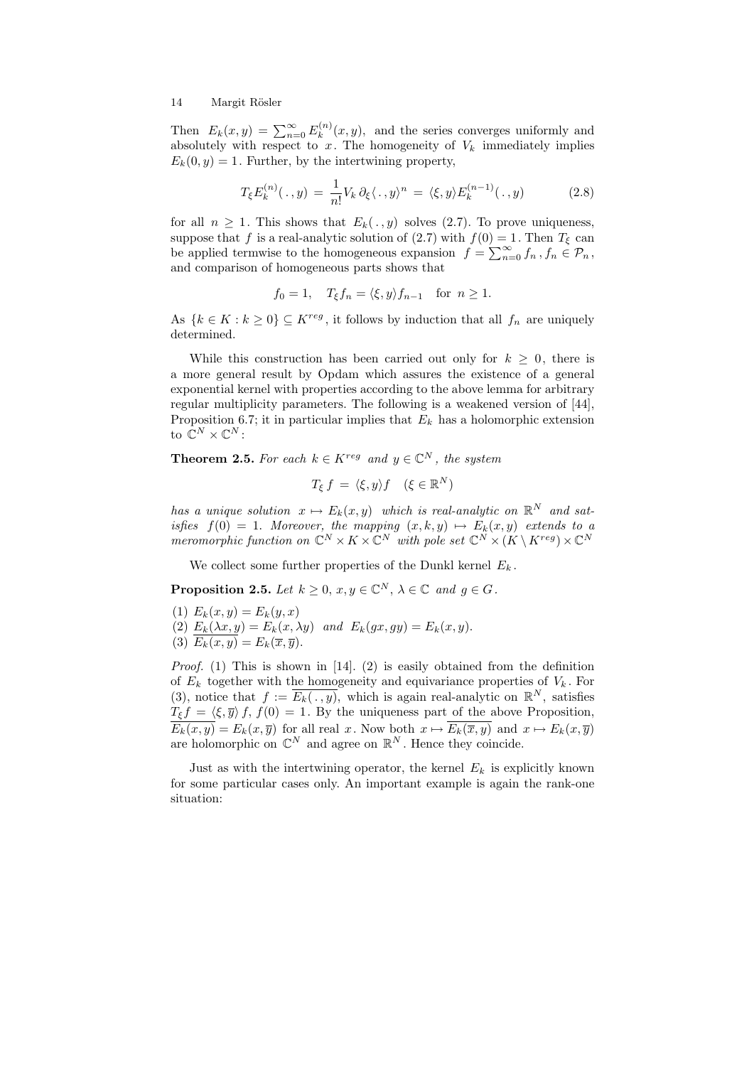Then  $E_k(x, y) = \sum_{n=0}^{\infty} E_k^{(n)}$  $k^{(n)}(x, y)$ , and the series converges uniformly and absolutely with respect to  $x$ . The homogeneity of  $V_k$  immediately implies  $E_k(0, y) = 1$ . Further, by the intertwining property,

$$
T_{\xi}E_k^{(n)}(\cdot,y) = \frac{1}{n!}V_k \partial_{\xi}\langle \cdot, y \rangle^n = \langle \xi, y \rangle E_k^{(n-1)}(\cdot,y) \tag{2.8}
$$

for all  $n \geq 1$ . This shows that  $E_k(.,y)$  solves (2.7). To prove uniqueness, suppose that f is a real-analytic solution of (2.7) with  $f(0) = 1$ . Then  $T_{\xi}$  can be applied termwise to the homogeneous expansion  $f = \sum_{n=0}^{\infty} f_n$ ,  $f_n \in \mathcal{P}_n$ , and comparison of homogeneous parts shows that

$$
f_0 = 1
$$
,  $T_{\xi} f_n = \langle \xi, y \rangle f_{n-1}$  for  $n \ge 1$ .

As  $\{k \in K : k \geq 0\} \subseteq K^{reg}$ , it follows by induction that all  $f_n$  are uniquely determined.

While this construction has been carried out only for  $k > 0$ , there is a more general result by Opdam which assures the existence of a general exponential kernel with properties according to the above lemma for arbitrary regular multiplicity parameters. The following is a weakened version of [44], Proposition 6.7; it in particular implies that  $E_k$  has a holomorphic extension to  $\mathbb{C}^N\times \mathbb{C}^N$ :

**Theorem 2.5.** For each  $k \in K^{reg}$  and  $y \in \mathbb{C}^N$ , the system

$$
T_{\xi} f = \langle \xi, y \rangle f \quad (\xi \in \mathbb{R}^N)
$$

has a unique solution  $x \mapsto E_k(x, y)$  which is real-analytic on  $\mathbb{R}^N$  and satisfies  $f(0) = 1$ . Moreover, the mapping  $(x, k, y) \mapsto E_k(x, y)$  extends to a meromorphic function on  $\mathbb{C}^N \times K \times \mathbb{C}^N$  with pole set  $\mathbb{C}^N \times (K \setminus K^{reg}) \times \mathbb{C}^N$ 

We collect some further properties of the Dunkl kernel  $E_k$ .

**Proposition 2.5.** Let  $k \geq 0$ ,  $x, y \in \mathbb{C}^N$ ,  $\lambda \in \mathbb{C}$  and  $g \in G$ .

(1) 
$$
E_k(x, y) = E_k(y, x)
$$
  
\n(2)  $\underline{E_k(\lambda x, y)} = E_k(x, \lambda y)$  and  $E_k(gx, gy) = E_k(x, y)$ .  
\n(3)  $\overline{E_k(x, y)} = E_k(\overline{x}, \overline{y})$ .

*Proof.* (1) This is shown in [14]. (2) is easily obtained from the definition of  $E_k$  together with the homogeneity and equivariance properties of  $V_k$ . For (3), notice that  $f := \overline{E_k(.,y)}$ , which is again real-analytic on  $\mathbb{R}^N$ , satisfies  $T_{\xi}f = \langle \xi, \overline{y} \rangle f, f(0) = 1$ . By the uniqueness part of the above Proposition,  $\overline{E_k(x,y)} = E_k(x,\overline{y})$  for all real x. Now both  $x \mapsto \overline{E_k(\overline{x},y)}$  and  $x \mapsto E_k(x,\overline{y})$ are holomorphic on  $\mathbb{C}^N$  and agree on  $\mathbb{R}^N$ . Hence they coincide.

Just as with the intertwining operator, the kernel  $E_k$  is explicitly known for some particular cases only. An important example is again the rank-one situation: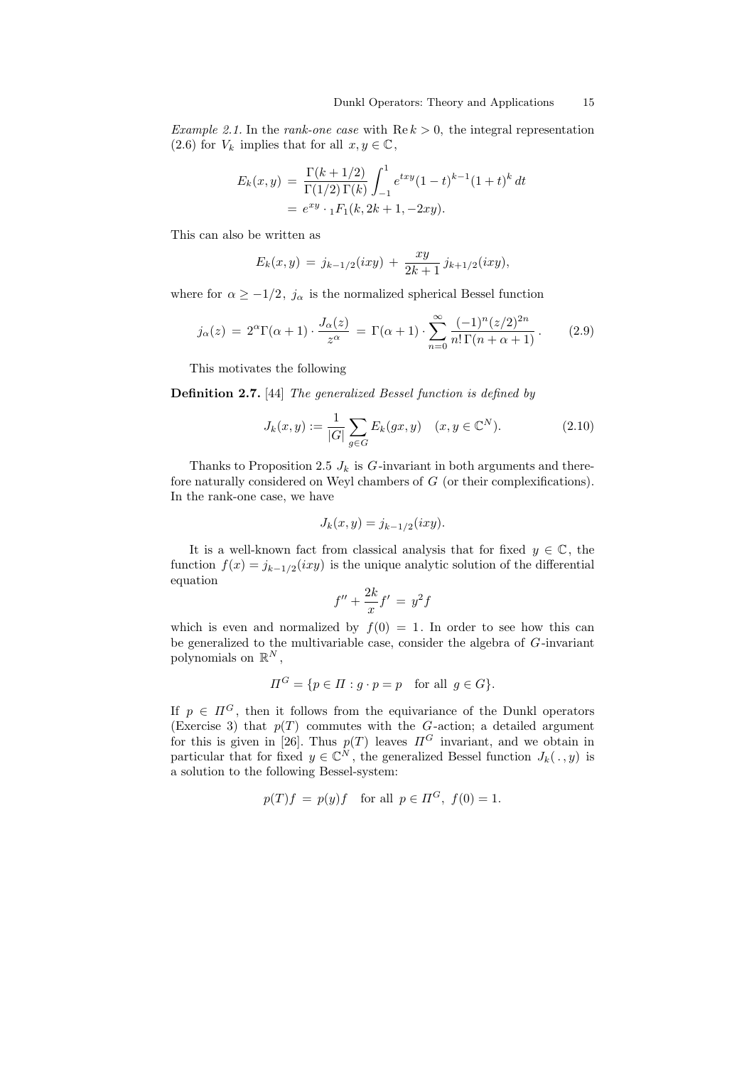Example 2.1. In the rank-one case with  $\text{Re } k > 0$ , the integral representation (2.6) for  $V_k$  implies that for all  $x, y \in \mathbb{C}$ ,

$$
E_k(x,y) = \frac{\Gamma(k+1/2)}{\Gamma(1/2)\Gamma(k)} \int_{-1}^1 e^{txy} (1-t)^{k-1} (1+t)^k dt
$$
  
=  $e^{xy} \cdot {}_1F_1(k, 2k+1, -2xy).$ 

This can also be written as

$$
E_k(x,y) = j_{k-1/2}(ixy) + \frac{xy}{2k+1}j_{k+1/2}(ixy),
$$

where for  $\alpha \geq -1/2$ ,  $j_{\alpha}$  is the normalized spherical Bessel function

$$
j_{\alpha}(z) = 2^{\alpha} \Gamma(\alpha + 1) \cdot \frac{J_{\alpha}(z)}{z^{\alpha}} = \Gamma(\alpha + 1) \cdot \sum_{n=0}^{\infty} \frac{(-1)^n (z/2)^{2n}}{n! \Gamma(n + \alpha + 1)}.
$$
 (2.9)

This motivates the following

Definition 2.7. [44] The generalized Bessel function is defined by

$$
J_k(x, y) := \frac{1}{|G|} \sum_{g \in G} E_k(gx, y) \quad (x, y \in \mathbb{C}^N). \tag{2.10}
$$

Thanks to Proposition 2.5  $J_k$  is  $G$ -invariant in both arguments and therefore naturally considered on Weyl chambers of G (or their complexifications). In the rank-one case, we have

$$
J_k(x, y) = j_{k-1/2}(ixy).
$$

It is a well-known fact from classical analysis that for fixed  $y \in \mathbb{C}$ , the function  $f(x) = j_{k-1/2}(ixy)$  is the unique analytic solution of the differential equation

$$
f'' + \frac{2k}{x}f' = y^2f
$$

which is even and normalized by  $f(0) = 1$ . In order to see how this can be generalized to the multivariable case, consider the algebra of G-invariant polynomials on  $\mathbb{R}^N$ ,

$$
\Pi^G = \{ p \in \Pi : g \cdot p = p \quad \text{for all } g \in G \}.
$$

If  $p \in \Pi^G$ , then it follows from the equivariance of the Dunkl operators (Exercise 3) that  $p(T)$  commutes with the G-action; a detailed argument for this is given in [26]. Thus  $p(T)$  leaves  $\Pi^G$  invariant, and we obtain in particular that for fixed  $y \in \mathbb{C}^N$ , the generalized Bessel function  $J_k(. , y)$  is a solution to the following Bessel-system:

$$
p(T)f = p(y)f \quad \text{for all } p \in \Pi^G, \ f(0) = 1.
$$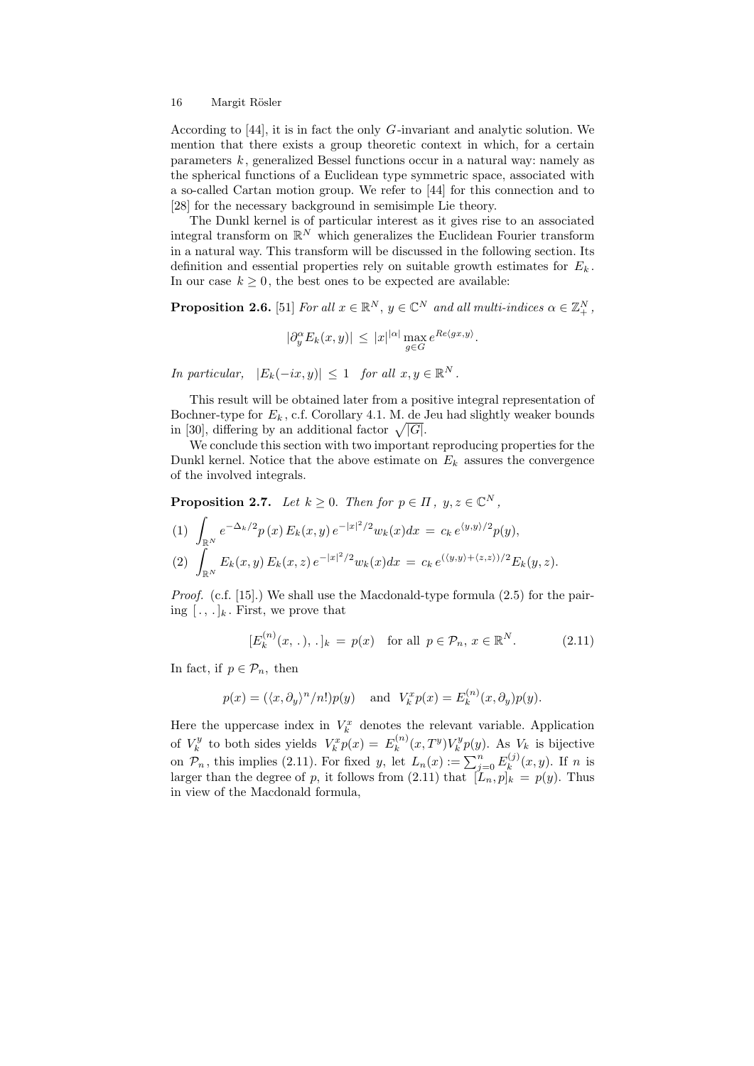According to [44], it is in fact the only G-invariant and analytic solution. We mention that there exists a group theoretic context in which, for a certain parameters  $k$ , generalized Bessel functions occur in a natural way: namely as the spherical functions of a Euclidean type symmetric space, associated with a so-called Cartan motion group. We refer to [44] for this connection and to [28] for the necessary background in semisimple Lie theory.

The Dunkl kernel is of particular interest as it gives rise to an associated integral transform on  $\mathbb{R}^N$  which generalizes the Euclidean Fourier transform in a natural way. This transform will be discussed in the following section. Its definition and essential properties rely on suitable growth estimates for  $E_k$ . In our case  $k \geq 0$ , the best ones to be expected are available:

**Proposition 2.6.** [51] For all  $x \in \mathbb{R}^N$ ,  $y \in \mathbb{C}^N$  and all multi-indices  $\alpha \in \mathbb{Z}_+^N$ ,

$$
|\partial_y^{\alpha} E_k(x,y)| \leq |x|^{|\alpha|} \max_{g \in G} e^{Re\langle gx, y \rangle}.
$$

In particular,  $|E_k(-ix, y)| \leq 1$  for all  $x, y \in \mathbb{R}^N$ .

This result will be obtained later from a positive integral representation of Bochner-type for  $E_k$ , c.f. Corollary 4.1. M. de Jeu had slightly weaker bounds in [30], differing by an additional factor  $\sqrt{|G|}$ .

We conclude this section with two important reproducing properties for the Dunkl kernel. Notice that the above estimate on  $E_k$  assures the convergence of the involved integrals.

**Proposition 2.7.** Let  $k \geq 0$ . Then for  $p \in \Pi$ ,  $y, z \in \mathbb{C}^N$ ,

(1) 
$$
\int_{\mathbb{R}^N} e^{-\Delta_k/2} p(x) E_k(x, y) e^{-|x|^2/2} w_k(x) dx = c_k e^{\langle y, y \rangle/2} p(y),
$$
  
\n(2) 
$$
\int_{\mathbb{R}^N} E_k(x, y) E_k(x, z) e^{-|x|^2/2} w_k(x) dx = c_k e^{\langle \langle y, y \rangle + \langle z, z \rangle \rangle/2} E_k(y, z).
$$

Proof. (c.f. [15].) We shall use the Macdonald-type formula (2.5) for the pairing  $[\,.\,,\,.\,]_k$ . First, we prove that

$$
[E_k^{(n)}(x, .), .]_k = p(x) \text{ for all } p \in \mathcal{P}_n, x \in \mathbb{R}^N. \tag{2.11}
$$

In fact, if  $p \in \mathcal{P}_n$ , then

$$
p(x) = (\langle x, \partial_y \rangle^n/n!)p(y)
$$
 and  $V_k^x p(x) = E_k^{(n)}(x, \partial_y)p(y)$ .

Here the uppercase index in  $V_k^x$  denotes the relevant variable. Application of  $V_k^y$  to both sides yields  $V_k^x p(x) = E_k^{(n)}$  $k_k^{(n)}(x,T^y)V_k^y p(y)$ . As  $V_k$  is bijective on  $\mathcal{P}_n$ , this implies (2.11). For fixed y, let  $L_n(x) := \sum_{j=0}^n E_k^{(j)}$  $f_k^{(j)}(x,y)$ . If n is larger than the degree of p, it follows from  $(2.11)$  that  $[L_n, p]_k = p(y)$ . Thus in view of the Macdonald formula,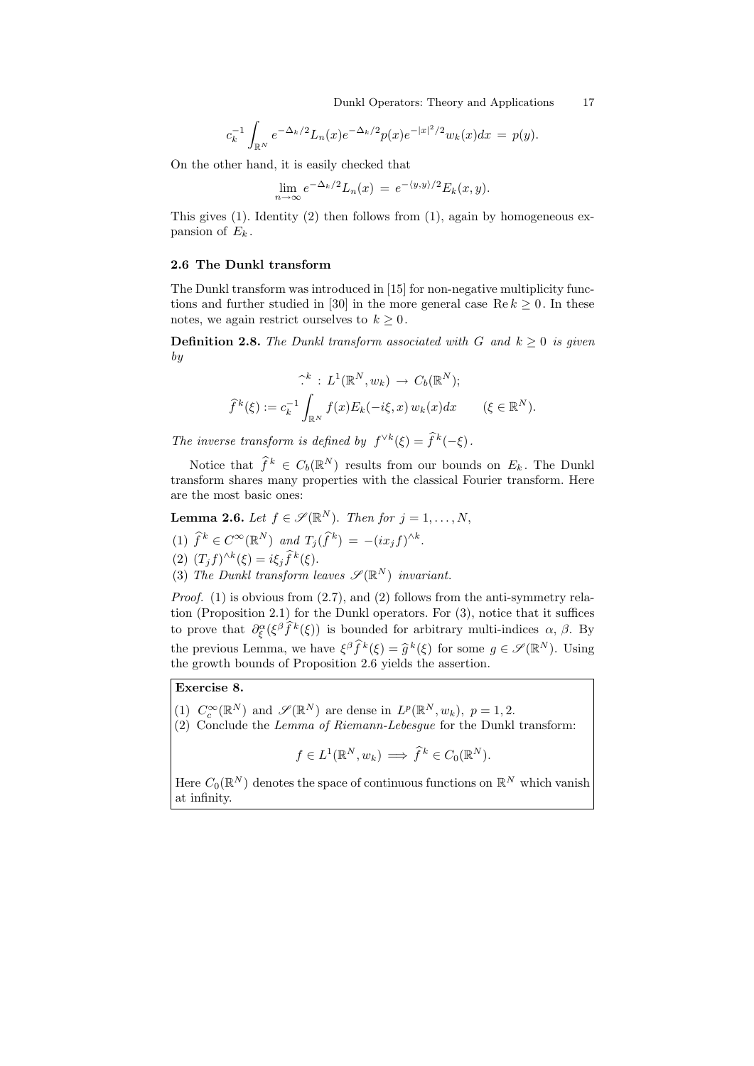$$
c_k^{-1} \int_{\mathbb{R}^N} e^{-\Delta_k/2} L_n(x) e^{-\Delta_k/2} p(x) e^{-|x|^2/2} w_k(x) dx = p(y).
$$

On the other hand, it is easily checked that

$$
\lim_{n \to \infty} e^{-\Delta_k/2} L_n(x) = e^{-\langle y, y \rangle/2} E_k(x, y).
$$

This gives  $(1)$ . Identity  $(2)$  then follows from  $(1)$ , again by homogeneous expansion of  $E_k$ .

## 2.6 The Dunkl transform

The Dunkl transform was introduced in [15] for non-negative multiplicity functions and further studied in [30] in the more general case  $\text{Re } k \geq 0$ . In these notes, we again restrict ourselves to  $k \geq 0$ .

**Definition 2.8.** The Dunkl transform associated with G and  $k \geq 0$  is given by

$$
\widehat{f}^k(\xi) := c_k^{-1} \int_{\mathbb{R}^N} f(x) E_k(-i\xi, x) w_k(x) dx \qquad (\xi \in \mathbb{R}^N).
$$

The inverse transform is defined by  $f^{\vee k}(\xi) = \hat{f}^k(-\xi)$ .

Notice that  $\widehat{f}^k \in C_b(\mathbb{R}^N)$  results from our bounds on  $E_k$ . The Dunkl transform shares many properties with the classical Fourier transform. Here are the most basic ones:

**Lemma 2.6.** Let  $f \in \mathscr{S}(\mathbb{R}^N)$ . Then for  $j = 1, ..., N$ ,

(1)  $\widehat{f}^k \in C^{\infty}(\mathbb{R}^N)$  and  $T_j(\widehat{f}^k) = -(ix_jf)^{\wedge k}$ .

(2)  $(T_j f)^{\wedge k}(\xi) = i\xi_j \hat{f}^k(\xi).$ 

(3) The Dunkl transform leaves  $\mathscr{S}(\mathbb{R}^N)$  invariant.

Proof. (1) is obvious from (2.7), and (2) follows from the anti-symmetry relation (Proposition 2.1) for the Dunkl operators. For (3), notice that it suffices to prove that  $\partial_{\xi}^{\alpha}(\xi^{\beta}\hat{f}^{k}(\xi))$  is bounded for arbitrary multi-indices  $\alpha$ ,  $\beta$ . By the previous Lemma, we have  $\xi^{\beta} \hat{f}^{k}(\xi) = \hat{g}^{k}(\xi)$  for some  $g \in \mathscr{S}(\mathbb{R}^{N})$ . Using the growth bounds of Proposition 2.6 yields the assertion the growth bounds of Proposition 2.6 yields the assertion.

## Exercise 8.

(1)  $C_c^{\infty}(\mathbb{R}^N)$  and  $\mathscr{S}(\mathbb{R}^N)$  are dense in  $L^p(\mathbb{R}^N, w_k)$ ,  $p = 1, 2$ .

(2) Conclude the Lemma of Riemann-Lebesgue for the Dunkl transform:

$$
f \in L^1(\mathbb{R}^N, w_k) \implies \widehat{f}^k \in C_0(\mathbb{R}^N).
$$

Here  $C_0(\mathbb{R}^N)$  denotes the space of continuous functions on  $\mathbb{R}^N$  which vanish at infinity.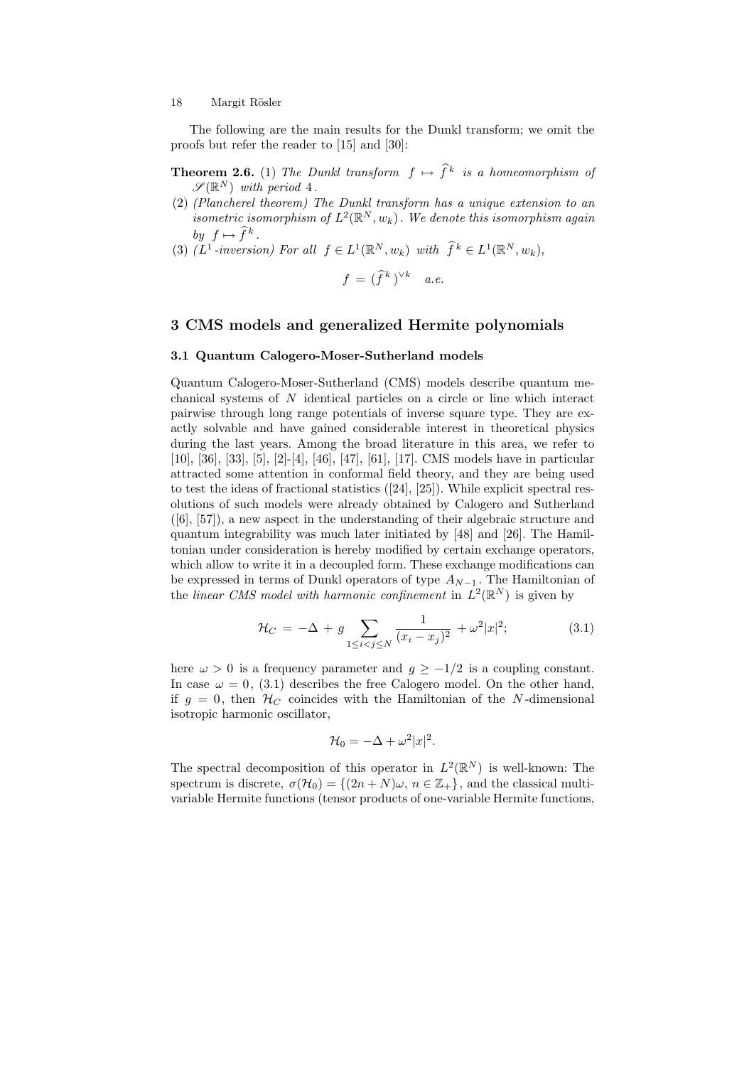The following are the main results for the Dunkl transform; we omit the proofs but refer the reader to [15] and [30]:

- **Theorem 2.6.** (1) The Dunkl transform  $f \mapsto \hat{f}^k$  is a homeomorphism of  $\mathscr{S}(\mathbb{R}^N)$  with period 4.
- (2) (Plancherel theorem) The Dunkl transform has a unique extension to an isometric isomorphism of  $L^2(\mathbb{R}^N,w_k)$ . We denote this isomorphism again by  $f \mapsto \widehat{f}^k$ .
- (3)  $(L^1\text{-}inversion)$  For all  $f \in L^1(\mathbb{R}^N, w_k)$  with  $\hat{f}^k \in L^1(\mathbb{R}^N, w_k)$ ,

$$
f = (\widehat{f}^k)^{\vee k} \quad a.e.
$$

## 3 CMS models and generalized Hermite polynomials

#### 3.1 Quantum Calogero-Moser-Sutherland models

Quantum Calogero-Moser-Sutherland (CMS) models describe quantum mechanical systems of N identical particles on a circle or line which interact pairwise through long range potentials of inverse square type. They are exactly solvable and have gained considerable interest in theoretical physics during the last years. Among the broad literature in this area, we refer to [10], [36], [33], [5], [2]-[4], [46], [47], [61], [17]. CMS models have in particular attracted some attention in conformal field theory, and they are being used to test the ideas of fractional statistics ([24], [25]). While explicit spectral resolutions of such models were already obtained by Calogero and Sutherland ([6], [57]), a new aspect in the understanding of their algebraic structure and quantum integrability was much later initiated by [48] and [26]. The Hamiltonian under consideration is hereby modified by certain exchange operators, which allow to write it in a decoupled form. These exchange modifications can be expressed in terms of Dunkl operators of type  $A_{N-1}$ . The Hamiltonian of the linear CMS model with harmonic confinement in  $L^2(\mathbb{R}^N)$  is given by

$$
\mathcal{H}_C = -\Delta + g \sum_{1 \le i < j \le N} \frac{1}{(x_i - x_j)^2} + \omega^2 |x|^2; \tag{3.1}
$$

here  $\omega > 0$  is a frequency parameter and  $g \ge -1/2$  is a coupling constant. In case  $\omega = 0$ , (3.1) describes the free Calogero model. On the other hand, if  $g = 0$ , then  $\mathcal{H}_C$  coincides with the Hamiltonian of the N-dimensional isotropic harmonic oscillator,

$$
\mathcal{H}_0 = -\Delta + \omega^2 |x|^2.
$$

The spectral decomposition of this operator in  $L^2(\mathbb{R}^N)$  is well-known: The spectrum is discrete,  $\sigma(\mathcal{H}_0) = \{(2n+N)\omega, n \in \mathbb{Z}_+\}$ , and the classical multivariable Hermite functions (tensor products of one-variable Hermite functions,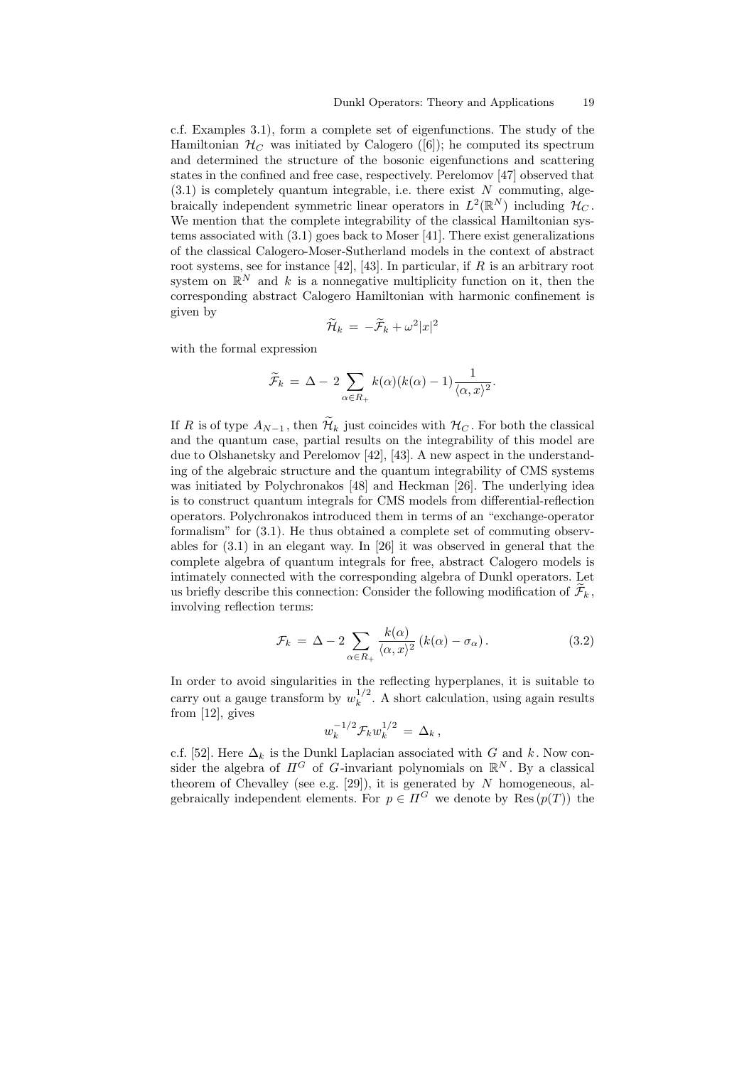c.f. Examples 3.1), form a complete set of eigenfunctions. The study of the Hamiltonian  $\mathcal{H}_C$  was initiated by Calogero ([6]); he computed its spectrum and determined the structure of the bosonic eigenfunctions and scattering states in the confined and free case, respectively. Perelomov [47] observed that  $(3.1)$  is completely quantum integrable, i.e. there exist N commuting, algebraically independent symmetric linear operators in  $L^2(\mathbb{R}^N)$  including  $\mathcal{H}_C$ . We mention that the complete integrability of the classical Hamiltonian systems associated with (3.1) goes back to Moser [41]. There exist generalizations of the classical Calogero-Moser-Sutherland models in the context of abstract root systems, see for instance [42], [43]. In particular, if  $R$  is an arbitrary root system on  $\mathbb{R}^N$  and k is a nonnegative multiplicity function on it, then the corresponding abstract Calogero Hamiltonian with harmonic confinement is given by

$$
\widetilde{\mathcal{H}}_k = -\widetilde{\mathcal{F}}_k + \omega^2 |x|^2
$$

with the formal expression

$$
\widetilde{\mathcal{F}}_k = \Delta - 2 \sum_{\alpha \in R_+} k(\alpha)(k(\alpha) - 1) \frac{1}{\langle \alpha, x \rangle^2}.
$$

If R is of type  $A_{N-1}$ , then  $\widetilde{\mathcal{H}}_k$  just coincides with  $\mathcal{H}_C$ . For both the classical and the quantum case, partial results on the integrability of this model are due to Olshanetsky and Perelomov [42], [43]. A new aspect in the understanding of the algebraic structure and the quantum integrability of CMS systems was initiated by Polychronakos [48] and Heckman [26]. The underlying idea is to construct quantum integrals for CMS models from differential-reflection operators. Polychronakos introduced them in terms of an "exchange-operator formalism" for (3.1). He thus obtained a complete set of commuting observables for (3.1) in an elegant way. In [26] it was observed in general that the complete algebra of quantum integrals for free, abstract Calogero models is intimately connected with the corresponding algebra of Dunkl operators. Let us briefly describe this connection: Consider the following modification of  $\mathcal{F}_k$ , involving reflection terms:

$$
\mathcal{F}_k = \Delta - 2 \sum_{\alpha \in R_+} \frac{k(\alpha)}{\langle \alpha, x \rangle^2} \left( k(\alpha) - \sigma_\alpha \right). \tag{3.2}
$$

In order to avoid singularities in the reflecting hyperplanes, it is suitable to carry out a gauge transform by  $w_k^{1/2}$  $k^{1/2}$ . A short calculation, using again results from [12], gives

$$
w_k^{-1/2} \mathcal{F}_k w_k^{1/2} \,=\, \Delta_k \,,
$$

c.f. [52]. Here  $\Delta_k$  is the Dunkl Laplacian associated with G and k. Now consider the algebra of  $\Pi^G$  of G-invariant polynomials on  $\mathbb{R}^N$ . By a classical theorem of Chevalley (see e.g. [29]), it is generated by  $N$  homogeneous, algebraically independent elements. For  $p \in \Pi^G$  we denote by Res  $(p(T))$  the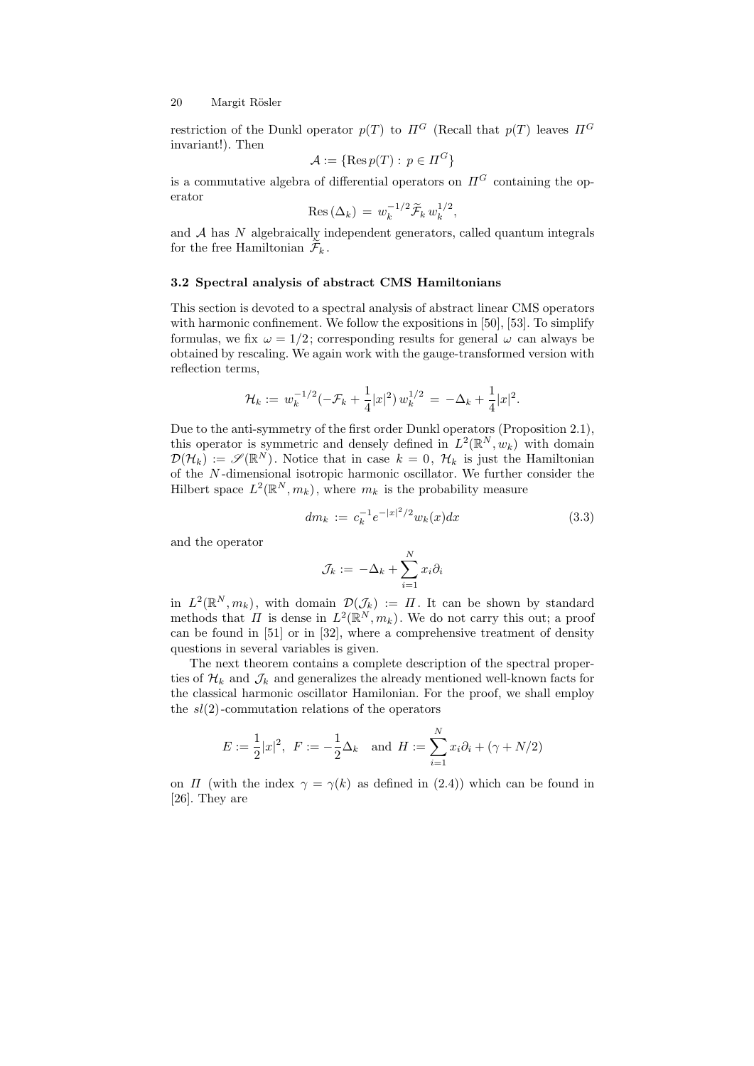restriction of the Dunkl operator  $p(T)$  to  $\Pi^G$  (Recall that  $p(T)$  leaves  $\Pi^G$ invariant!). Then

$$
\mathcal{A} := \{ \operatorname{Res} p(T) : \, p \in \Pi^G \}
$$

is a commutative algebra of differential operators on  $\Pi^G$  containing the operator

$$
Res\left(\Delta_k\right) = w_k^{-1/2} \widetilde{\mathcal{F}}_k w_k^{1/2},
$$

and  $A$  has  $N$  algebraically independent generators, called quantum integrals for the free Hamiltonian  $\mathcal{F}_k$ .

#### 3.2 Spectral analysis of abstract CMS Hamiltonians

This section is devoted to a spectral analysis of abstract linear CMS operators with harmonic confinement. We follow the expositions in [50], [53]. To simplify formulas, we fix  $\omega = 1/2$ ; corresponding results for general  $\omega$  can always be obtained by rescaling. We again work with the gauge-transformed version with reflection terms,

$$
\mathcal{H}_k := w_k^{-1/2} \left( -\mathcal{F}_k + \frac{1}{4} |x|^2 \right) w_k^{1/2} = -\Delta_k + \frac{1}{4} |x|^2.
$$

Due to the anti-symmetry of the first order Dunkl operators (Proposition 2.1), this operator is symmetric and densely defined in  $L^2(\mathbb{R}^N, w_k)$  with domain  $\mathcal{D}(\mathcal{H}_k) := \mathscr{S}(\mathbb{R}^N)$ . Notice that in case  $k = 0, \mathcal{H}_k$  is just the Hamiltonian of the  $N$ -dimensional isotropic harmonic oscillator. We further consider the Hilbert space  $L^2(\mathbb{R}^N, m_k)$ , where  $m_k$  is the probability measure

$$
dm_k := c_k^{-1} e^{-|x|^2/2} w_k(x) dx \tag{3.3}
$$

and the operator

$$
\mathcal{J}_k := \, -\Delta_k + \sum_{i=1}^N x_i \partial_i
$$

in  $L^2(\mathbb{R}^N, m_k)$ , with domain  $\mathcal{D}(\mathcal{J}_k) := \Pi$ . It can be shown by standard methods that  $\Pi$  is dense in  $L^2(\mathbb{R}^N, m_k)$ . We do not carry this out; a proof can be found in [51] or in [32], where a comprehensive treatment of density questions in several variables is given.

The next theorem contains a complete description of the spectral properties of  $\mathcal{H}_k$  and  $\mathcal{J}_k$  and generalizes the already mentioned well-known facts for the classical harmonic oscillator Hamilonian. For the proof, we shall employ the  $sl(2)$ -commutation relations of the operators

$$
E := \frac{1}{2}|x|^2, \ \ F := -\frac{1}{2}\Delta_k \quad \text{and} \ \ H := \sum_{i=1}^N x_i \partial_i + (\gamma + N/2)
$$

on  $\Pi$  (with the index  $\gamma = \gamma(k)$  as defined in (2.4)) which can be found in [26]. They are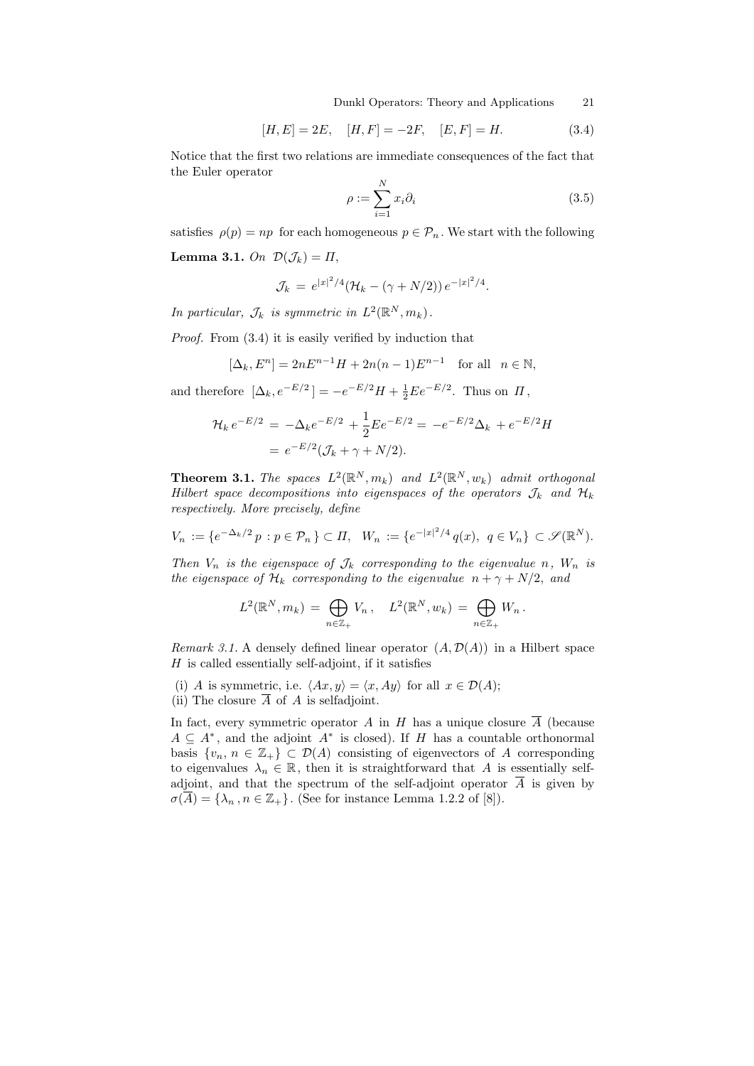Dunkl Operators: Theory and Applications 21

$$
[H, E] = 2E, \quad [H, F] = -2F, \quad [E, F] = H. \tag{3.4}
$$

Notice that the first two relations are immediate consequences of the fact that the Euler operator

$$
\rho := \sum_{i=1}^{N} x_i \partial_i \tag{3.5}
$$

satisfies  $\rho(p) = np$  for each homogeneous  $p \in \mathcal{P}_n$ . We start with the following

Lemma 3.1. On  $\mathcal{D}(\mathcal{J}_k) = \Pi$ ,

$$
\mathcal{J}_k = e^{|x|^2/4} (\mathcal{H}_k - (\gamma + N/2)) e^{-|x|^2/4}.
$$

In particular,  $\mathcal{J}_k$  is symmetric in  $L^2(\mathbb{R}^N, m_k)$ .

Proof. From (3.4) it is easily verified by induction that

$$
[\Delta_k,E^n]=2nE^{n-1}H+2n(n-1)E^{n-1}\quad\text{for all}\quad n\in\mathbb{N},
$$

and therefore  $[\Delta_k, e^{-E/2}] = -e^{-E/2}H + \frac{1}{2}Ee^{-E/2}$ . Thus on  $\Pi$ ,

$$
\mathcal{H}_k e^{-E/2} = -\Delta_k e^{-E/2} + \frac{1}{2} E e^{-E/2} = -e^{-E/2} \Delta_k + e^{-E/2} H
$$
  
=  $e^{-E/2} (\mathcal{J}_k + \gamma + N/2).$ 

**Theorem 3.1.** The spaces  $L^2(\mathbb{R}^N, m_k)$  and  $L^2(\mathbb{R}^N, w_k)$  admit orthogonal Hilbert space decompositions into eigenspaces of the operators  $\mathcal{J}_k$  and  $\mathcal{H}_k$ respectively. More precisely, define

$$
V_n := \{ e^{-\Delta_k/2} p : p \in \mathcal{P}_n \} \subset \Pi, \quad W_n := \{ e^{-|x|^2/4} q(x), \ q \in V_n \} \subset \mathscr{S}(\mathbb{R}^N).
$$

Then  $V_n$  is the eigenspace of  $\mathcal{J}_k$  corresponding to the eigenvalue n,  $W_n$  is the eigenspace of  $\mathcal{H}_k$  corresponding to the eigenvalue  $n + \gamma + N/2$ , and

$$
L^2(\mathbb{R}^N, m_k) = \bigoplus_{n \in \mathbb{Z}_+} V_n, \quad L^2(\mathbb{R}^N, w_k) = \bigoplus_{n \in \mathbb{Z}_+} W_n.
$$

Remark 3.1. A densely defined linear operator  $(A, \mathcal{D}(A))$  in a Hilbert space  $H$  is called essentially self-adjoint, if it satisfies

- (i) A is symmetric, i.e.  $\langle Ax, y \rangle = \langle x, Ay \rangle$  for all  $x \in \mathcal{D}(A);$
- (ii) The closure  $\overline{A}$  of A is selfadjoint.

In fact, every symmetric operator A in H has a unique closure  $\overline{A}$  (because  $A \subseteq A^*$ , and the adjoint  $A^*$  is closed). If H has a countable orthonormal basis  $\{v_n, n \in \mathbb{Z}_+\}\subset \mathcal{D}(A)$  consisting of eigenvectors of A corresponding to eigenvalues  $\lambda_n \in \mathbb{R}$ , then it is straightforward that A is essentially selfadjoint, and that the spectrum of the self-adjoint operator  $\overline{A}$  is given by  $\sigma(\overline{A}) = \{\lambda_n, n \in \mathbb{Z}_+\}.$  (See for instance Lemma 1.2.2 of [8]).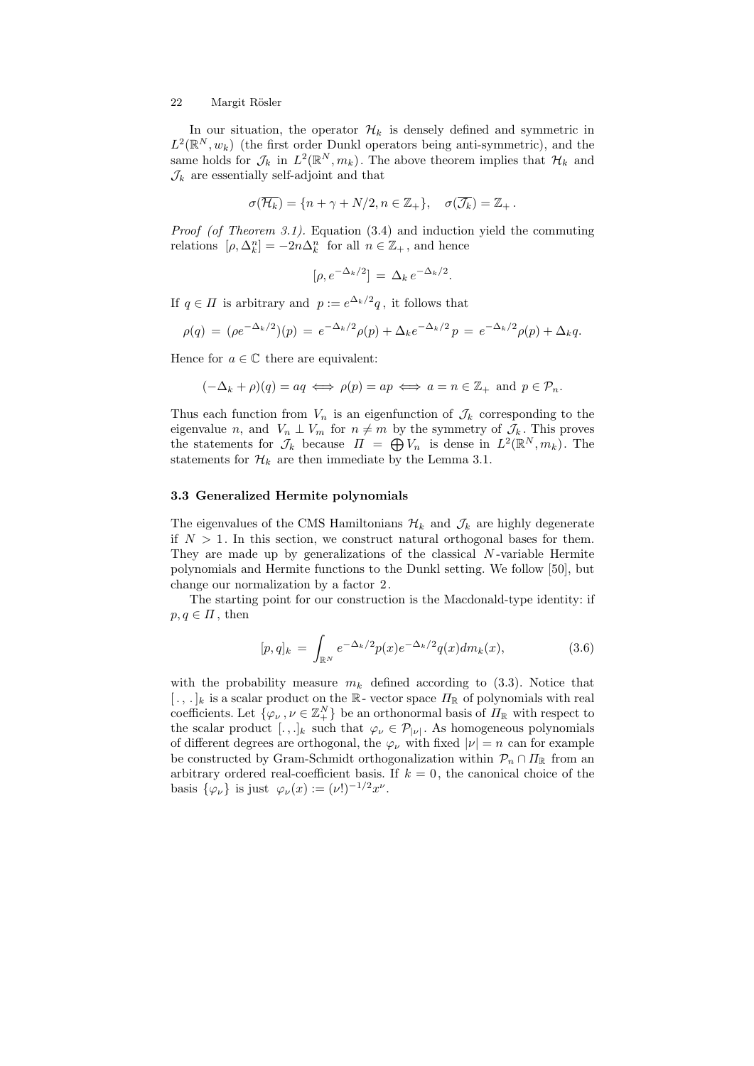In our situation, the operator  $\mathcal{H}_k$  is densely defined and symmetric in  $L^2(\mathbb{R}^N, w_k)$  (the first order Dunkl operators being anti-symmetric), and the same holds for  $\mathcal{J}_k$  in  $L^2(\mathbb{R}^N, m_k)$ . The above theorem implies that  $\mathcal{H}_k$  and  $\mathcal{J}_k$  are essentially self-adjoint and that

$$
\sigma(\overline{\mathcal{H}_k}) = \{n + \gamma + N/2, n \in \mathbb{Z}_+\}, \quad \sigma(\overline{\mathcal{J}_k}) = \mathbb{Z}_+.
$$

Proof (of Theorem 3.1). Equation (3.4) and induction yield the commuting relations  $[\rho, \Delta_k^n] = -2n\Delta_k^n$  for all  $n \in \mathbb{Z}_+$ , and hence

$$
[\rho, e^{-\Delta_k/2}] = \Delta_k e^{-\Delta_k/2}.
$$

If  $q \in \Pi$  is arbitrary and  $p := e^{\Delta_k/2}q$ , it follows that

$$
\rho(q) = (\rho e^{-\Delta_k/2})(p) = e^{-\Delta_k/2}\rho(p) + \Delta_k e^{-\Delta_k/2}p = e^{-\Delta_k/2}\rho(p) + \Delta_k q.
$$

Hence for  $a \in \mathbb{C}$  there are equivalent:

$$
(-\Delta_k + \rho)(q) = aq \iff \rho(p) = ap \iff a = n \in \mathbb{Z}_+ \text{ and } p \in \mathcal{P}_n.
$$

Thus each function from  $V_n$  is an eigenfunction of  $\mathcal{J}_k$  corresponding to the eigenvalue *n*, and  $V_n \perp V_m$  for  $n \neq m$  by the symmetry of  $\mathcal{J}_k$ . This proves the statements for  $\mathcal{J}_k$  because  $\Pi = \bigoplus V_n$  is dense in  $L^2(\mathbb{R}^N, m_k)$ . The statements for  $\mathcal{H}_k$  are then immediate by the Lemma 3.1.

#### 3.3 Generalized Hermite polynomials

The eigenvalues of the CMS Hamiltonians  $\mathcal{H}_k$  and  $\mathcal{J}_k$  are highly degenerate if  $N > 1$ . In this section, we construct natural orthogonal bases for them. They are made up by generalizations of the classical  $N$ -variable Hermite polynomials and Hermite functions to the Dunkl setting. We follow [50], but change our normalization by a factor 2.

The starting point for our construction is the Macdonald-type identity: if  $p, q \in \Pi$ , then

$$
[p,q]_k = \int_{\mathbb{R}^N} e^{-\Delta_k/2} p(x) e^{-\Delta_k/2} q(x) dm_k(x), \tag{3.6}
$$

with the probability measure  $m_k$  defined according to (3.3). Notice that  $[\, .\, ,\, .\,]_k$  is a scalar product on the  $\mathbb{R}$ - vector space  $\Pi_{\mathbb{R}}$  of polynomials with real coefficients. Let  $\{\varphi_{\nu}, \nu \in \mathbb{Z}_{+}^{N}\}$  be an orthonormal basis of  $\Pi_{\mathbb{R}}$  with respect to the scalar product [.,.]<sub>k</sub> such that  $\varphi_{\nu} \in \mathcal{P}_{|\nu|}$ . As homogeneous polynomials of different degrees are orthogonal, the  $\varphi_{\nu}$  with fixed  $|\nu| = n$  can for example be constructed by Gram-Schmidt orthogonalization within  $\mathcal{P}_n \cap \Pi_{\mathbb{R}}$  from an arbitrary ordered real-coefficient basis. If  $k = 0$ , the canonical choice of the basis  $\{\varphi_{\nu}\}\$ is just  $\varphi_{\nu}(x) := (\nu!)^{-1/2}x^{\nu}$ .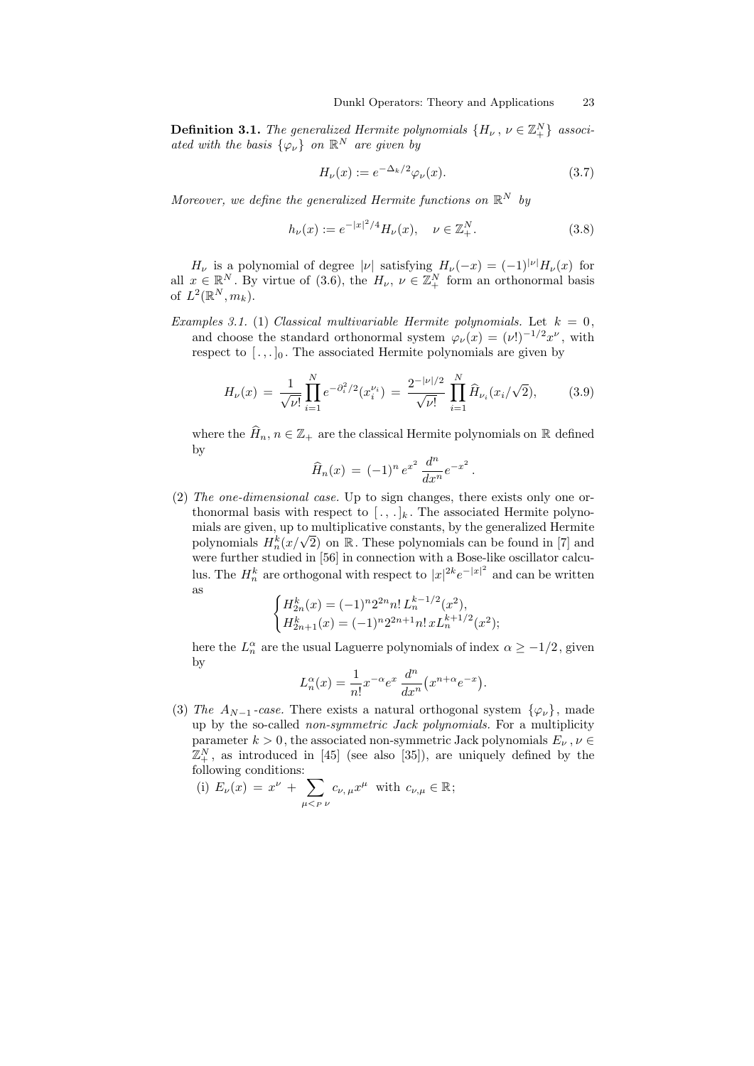**Definition 3.1.** The generalized Hermite polynomials  $\{H_{\nu}, \nu \in \mathbb{Z}_{+}^{N}\}$  associated with the basis  $\{\varphi_{\nu}\}\$  on  $\mathbb{R}^N$  are given by

$$
H_{\nu}(x) := e^{-\Delta_k/2} \varphi_{\nu}(x). \tag{3.7}
$$

Moreover, we define the generalized Hermite functions on  $\mathbb{R}^N$  by

$$
h_{\nu}(x) := e^{-|x|^2/4} H_{\nu}(x), \quad \nu \in \mathbb{Z}_{+}^{N}.
$$
 (3.8)

 $H_{\nu}$  is a polynomial of degree  $|\nu|$  satisfying  $H_{\nu}(-x) = (-1)^{|\nu|} H_{\nu}(x)$  for all  $x \in \mathbb{R}^N$ . By virtue of (3.6), the  $H_{\nu}$ ,  $\nu \in \mathbb{Z}_+^N$  form an orthonormal basis of  $L^2(\mathbb{R}^N, m_k)$ .

Examples 3.1. (1) Classical multivariable Hermite polynomials. Let  $k = 0$ , and choose the standard orthonormal system  $\varphi_{\nu}(x) = (\nu!)^{-1/2} x^{\nu}$ , with respect to  $[.,.]_0$ . The associated Hermite polynomials are given by

$$
H_{\nu}(x) = \frac{1}{\sqrt{\nu!}} \prod_{i=1}^{N} e^{-\partial_i^2/2} (x_i^{\nu_i}) = \frac{2^{-|\nu|/2}}{\sqrt{\nu!}} \prod_{i=1}^{N} \widehat{H}_{\nu_i}(x_i/\sqrt{2}), \qquad (3.9)
$$

where the  $\widehat{H}_n, n \in \mathbb{Z}_+$  are the classical Hermite polynomials on R defined by

$$
\widehat{H}_n(x) = (-1)^n e^{x^2} \frac{d^n}{dx^n} e^{-x^2}.
$$

(2) The one-dimensional case. Up to sign changes, there exists only one orthonormal basis with respect to  $[.,.]_k$ . The associated Hermite polynomials are given, up to multiplicative constants, by the generalized Hermite mials are given, up to multiplicative constants, by the generalized Hermite<br>polynomials  $H_n^k(x/\sqrt{2})$  on  $\mathbb R$ . These polynomials can be found in [7] and were further studied in [56] in connection with a Bose-like oscillator calculus. The  $H_n^k$  are orthogonal with respect to  $|x|^{2k}e^{-|x|^2}$  and can be written as

$$
\begin{cases} H_{2n}^k(x) = (-1)^n 2^{2n} n! \, L_n^{k-1/2}(x^2), \\ H_{2n+1}^k(x) = (-1)^n 2^{2n+1} n! \, x L_n^{k+1/2}(x^2); \end{cases}
$$

here the  $L_n^{\alpha}$  are the usual Laguerre polynomials of index  $\alpha \geq -1/2$ , given by

$$
L_n^{\alpha}(x) = \frac{1}{n!} x^{-\alpha} e^x \frac{d^n}{dx^n} (x^{n+\alpha} e^{-x}).
$$

(3) The  $A_{N-1}$ -case. There exists a natural orthogonal system  $\{\varphi_{\nu}\}\,$  made up by the so-called non-symmetric Jack polynomials. For a multiplicity parameter  $k > 0$ , the associated non-symmetric Jack polynomials  $E_{\nu}$ ,  $\nu \in$  $\mathbb{Z}_{+}^{N}$ , as introduced in [45] (see also [35]), are uniquely defined by the following conditions:

(i) 
$$
E_{\nu}(x) = x^{\nu} + \sum_{\mu < p} c_{\nu, \mu} x^{\mu}
$$
 with  $c_{\nu, \mu} \in \mathbb{R}$ ;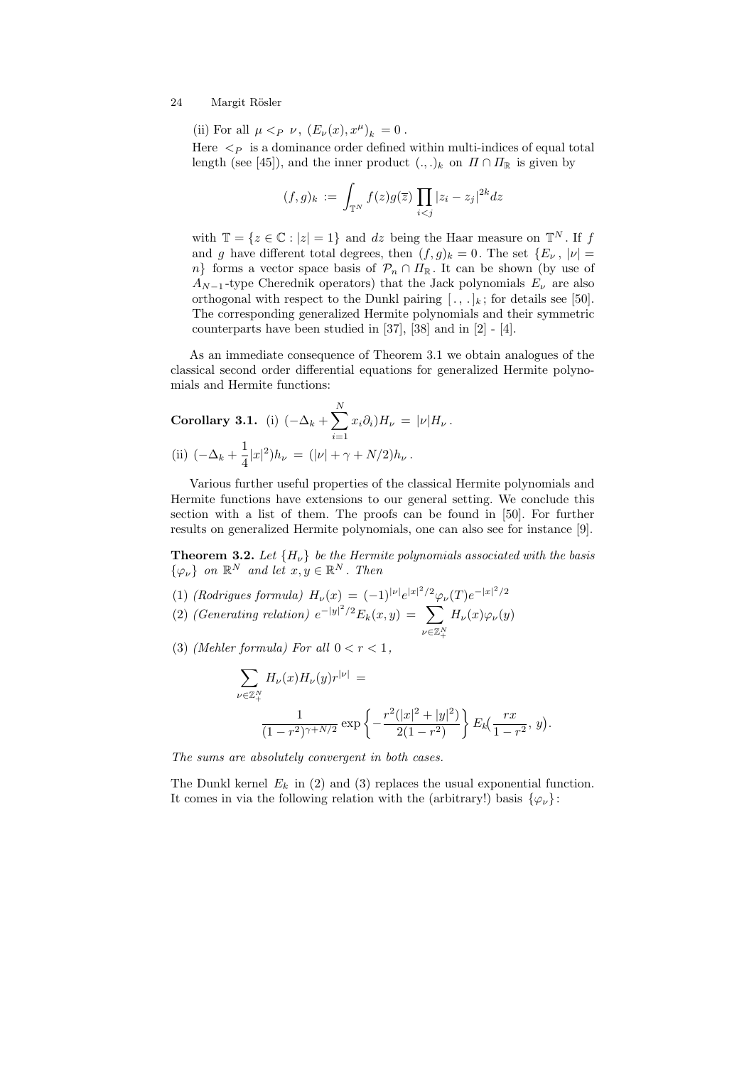(ii) For all  $\mu <_P \nu, \; (E_{\nu}(x), x^{\mu})_k = 0$  .

Here  $\langle P \rangle$  is a dominance order defined within multi-indices of equal total length (see [45]), and the inner product  $(.,.)_k$  on  $\Pi \cap \Pi_{\mathbb{R}}$  is given by

$$
(f,g)_k := \int_{\mathbb{T}^N} f(z)g(\overline{z}) \prod_{i < j} |z_i - z_j|^{2k} dz
$$

with  $\mathbb{T} = \{z \in \mathbb{C} : |z| = 1\}$  and dz being the Haar measure on  $\mathbb{T}^N$ . If f and g have different total degrees, then  $(f, g)_k = 0$ . The set  $\{E_\nu, |\nu| =$ n} forms a vector space basis of  $\mathcal{P}_n \cap \Pi_{\mathbb{R}}$ . It can be shown (by use of  $A_{N-1}$ -type Cherednik operators) that the Jack polynomials  $E_{\nu}$  are also orthogonal with respect to the Dunkl pairing  $[\cdot, \cdot]_k$ ; for details see [50]. The corresponding generalized Hermite polynomials and their symmetric counterparts have been studied in [37], [38] and in [2] - [4].

As an immediate consequence of Theorem 3.1 we obtain analogues of the classical second order differential equations for generalized Hermite polynomials and Hermite functions:

**Corollary 3.1.** (i) 
$$
(-\Delta_k + \sum_{i=1}^N x_i \partial_i) H_{\nu} = |\nu| H_{\nu}
$$
.  
\n(ii)  $(-\Delta_k + \frac{1}{4} |x|^2) h_{\nu} = (|\nu| + \gamma + N/2) h_{\nu}$ .

Various further useful properties of the classical Hermite polynomials and Hermite functions have extensions to our general setting. We conclude this section with a list of them. The proofs can be found in [50]. For further results on generalized Hermite polynomials, one can also see for instance [9].

**Theorem 3.2.** Let  $\{H_{\nu}\}\$  be the Hermite polynomials associated with the basis  $\{\varphi_{\nu}\}\$  on  $\mathbb{R}^N$  and let  $x, y \in \mathbb{R}^N$ . Then

- (1) (Rodrigues formula)  $H_{\nu}(x) = (-1)^{|\nu|} e^{|x|^2/2} \varphi_{\nu}(T) e^{-|x|^2/2}$
- (2) (Generating relation)  $e^{-|y|^2/2}E_k(x,y) = \sum$  $\nu \in \mathbb{Z}_+^N$  $H_{\nu}(x)\varphi_{\nu}(y)$

(3) (Mehler formula) For all  $0 < r < 1$ ,

$$
\sum_{\nu \in \mathbb{Z}_+^N} H_{\nu}(x) H_{\nu}(y) r^{|\nu|} =
$$
  

$$
\frac{1}{(1 - r^2)^{\gamma + N/2}} \exp \left\{-\frac{r^2(|x|^2 + |y|^2)}{2(1 - r^2)}\right\} E_k(\frac{rx}{1 - r^2}, y).
$$

The sums are absolutely convergent in both cases.

The Dunkl kernel  $E_k$  in (2) and (3) replaces the usual exponential function. It comes in via the following relation with the (arbitrary!) basis  $\{\varphi_{\nu}\}$ :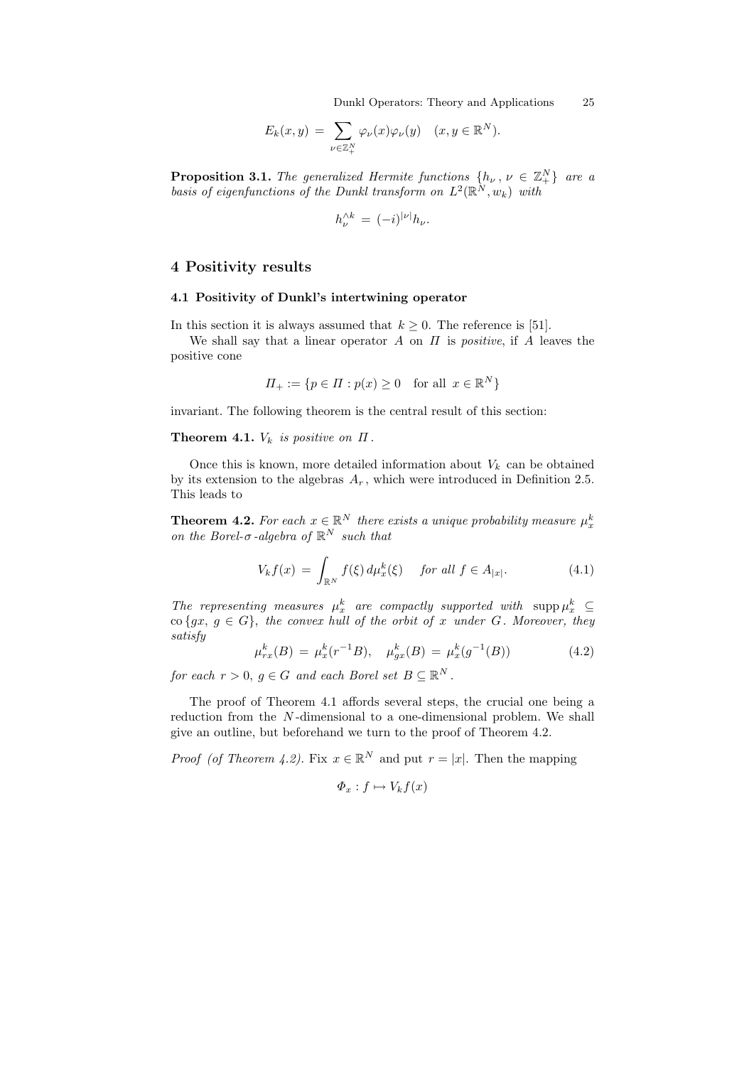Dunkl Operators: Theory and Applications 25

$$
E_k(x,y) = \sum_{\nu \in \mathbb{Z}_+^N} \varphi_{\nu}(x) \varphi_{\nu}(y) \quad (x, y \in \mathbb{R}^N).
$$

**Proposition 3.1.** The generalized Hermite functions  $\{h_{\nu}, \nu \in \mathbb{Z}_{+}^{N}\}\$  are a basis of eigenfunctions of the Dunkl transform on  $L^2(\mathbb{R}^N, w_k)$  with

$$
h_{\nu}^{\wedge k} \,=\, (-i)^{|\nu|} h_{\nu}.
$$

## 4 Positivity results

#### 4.1 Positivity of Dunkl's intertwining operator

In this section it is always assumed that  $k \geq 0$ . The reference is [51].

We shall say that a linear operator A on  $\Pi$  is *positive*, if A leaves the positive cone

$$
\Pi_+ := \{ p \in \Pi : p(x) \ge 0 \quad \text{for all } x \in \mathbb{R}^N \}
$$

invariant. The following theorem is the central result of this section:

## **Theorem 4.1.**  $V_k$  is positive on  $\Pi$ .

Once this is known, more detailed information about  $V_k$  can be obtained by its extension to the algebras  $A_r$ , which were introduced in Definition 2.5. This leads to

**Theorem 4.2.** For each  $x \in \mathbb{R}^N$  there exists a unique probability measure  $\mu_x^k$  on the Borel- $\sigma$ -algebra of  $\mathbb{R}^N$  such that

$$
V_k f(x) = \int_{\mathbb{R}^N} f(\xi) d\mu_x^k(\xi) \quad \text{for all } f \in A_{|x|}.
$$
 (4.1)

The representing measures  $\mu_x^k$  are compactly supported with  $\text{supp}\,\mu_x^k \subseteq$ co  $\{qx, q \in G\}$ , the convex hull of the orbit of x under G. Moreover, they satisfy

$$
\mu_{rx}^k(B) = \mu_x^k(r^{-1}B), \quad \mu_{gx}^k(B) = \mu_x^k(g^{-1}(B)) \tag{4.2}
$$

for each  $r > 0$ ,  $g \in G$  and each Borel set  $B \subseteq \mathbb{R}^N$ .

The proof of Theorem 4.1 affords several steps, the crucial one being a reduction from the  $N$ -dimensional to a one-dimensional problem. We shall give an outline, but beforehand we turn to the proof of Theorem 4.2.

*Proof (of Theorem 4.2)*. Fix  $x \in \mathbb{R}^N$  and put  $r = |x|$ . Then the mapping

$$
\Phi_x: f \mapsto V_k f(x)
$$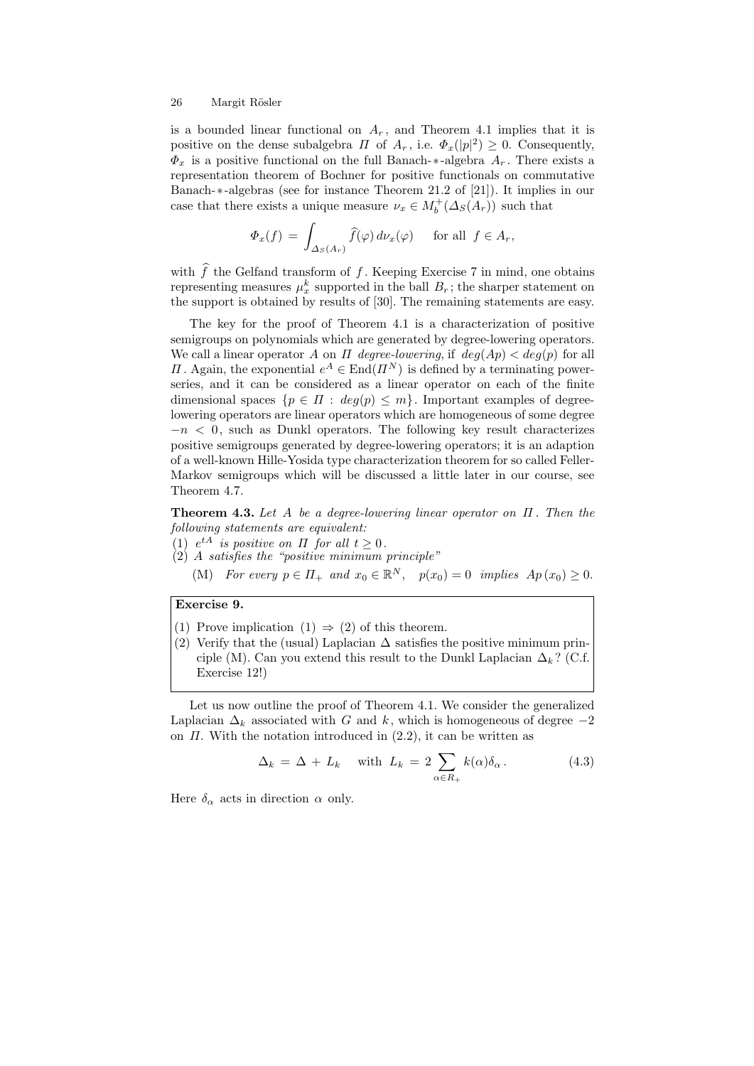is a bounded linear functional on  $A_r$ , and Theorem 4.1 implies that it is positive on the dense subalgebra  $\Pi$  of  $A_r$ , i.e.  $\Phi_x(|p|^2) \geq 0$ . Consequently,  $\Phi_x$  is a positive functional on the full Banach-∗-algebra  $A_r$ . There exists a representation theorem of Bochner for positive functionals on commutative Banach-∗-algebras (see for instance Theorem 21.2 of [21]). It implies in our case that there exists a unique measure  $\nu_x \in M_b^+(\Delta_S(A_r))$  such that

$$
\Phi_x(f) = \int_{\Delta_S(A_r)} \widehat{f}(\varphi) \, d\nu_x(\varphi) \quad \text{ for all } f \in A_r,
$$

with  $\hat{f}$  the Gelfand transform of f. Keeping Exercise 7 in mind, one obtains representing measures  $\mu_x^k$  supported in the ball  $B_r$ ; the sharper statement on the support is obtained by results of [30]. The remaining statements are easy.

The key for the proof of Theorem 4.1 is a characterization of positive semigroups on polynomials which are generated by degree-lowering operators. We call a linear operator A on  $\Pi$  degree-lowering, if  $deg(Ap) < deg(p)$  for all  $\Pi$ . Again, the exponential  $e^A \in \text{End}(\Pi^N)$  is defined by a terminating powerseries, and it can be considered as a linear operator on each of the finite dimensional spaces  $\{p \in \Pi : deg(p) \leq m\}$ . Important examples of degreelowering operators are linear operators which are homogeneous of some degree  $-n < 0$ , such as Dunkl operators. The following key result characterizes positive semigroups generated by degree-lowering operators; it is an adaption of a well-known Hille-Yosida type characterization theorem for so called Feller-Markov semigroups which will be discussed a little later in our course, see Theorem 4.7.

**Theorem 4.3.** Let A be a degree-lowering linear operator on  $\Pi$ . Then the following statements are equivalent:

(1)  $e^{tA}$  is positive on  $\Pi$  for all  $t \geq 0$ .

(2) A satisfies the "positive minimum principle"

(M) For every  $p \in \Pi_+$  and  $x_0 \in \mathbb{R}^N$ ,  $p(x_0) = 0$  implies  $Ap(x_0) \geq 0$ .

## Exercise 9.

- (1) Prove implication  $(1) \Rightarrow (2)$  of this theorem.
- (2) Verify that the (usual) Laplacian  $\Delta$  satisfies the positive minimum principle (M). Can you extend this result to the Dunkl Laplacian  $\Delta_k$ ? (C.f. Exercise 12!)

Let us now outline the proof of Theorem 4.1. We consider the generalized Laplacian  $\Delta_k$  associated with G and k, which is homogeneous of degree  $-2$ on  $\Pi$ . With the notation introduced in  $(2.2)$ , it can be written as

$$
\Delta_k = \Delta + L_k \quad \text{with } L_k = 2 \sum_{\alpha \in R_+} k(\alpha) \delta_\alpha. \tag{4.3}
$$

Here  $\delta_{\alpha}$  acts in direction  $\alpha$  only.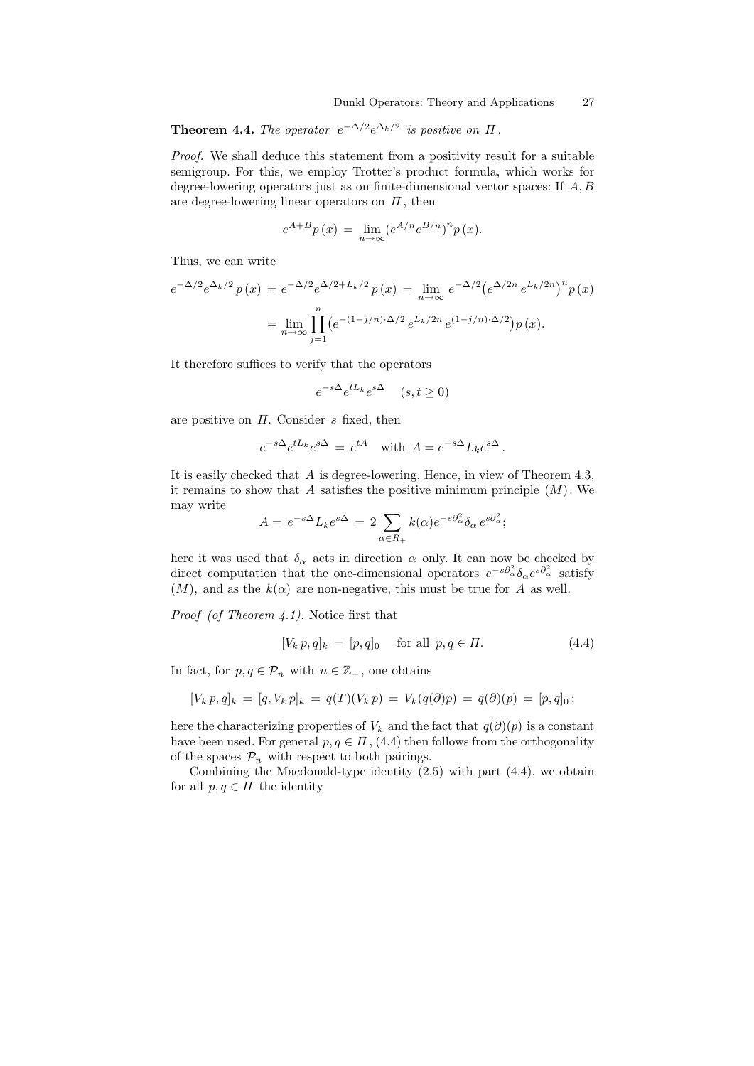**Theorem 4.4.** The operator  $e^{-\Delta/2}e^{\Delta_k/2}$  is positive on  $\Pi$ .

Proof. We shall deduce this statement from a positivity result for a suitable semigroup. For this, we employ Trotter's product formula, which works for degree-lowering operators just as on finite-dimensional vector spaces: If  $A, B$ are degree-lowering linear operators on  $\Pi$ , then

$$
e^{A+B}p(x) = \lim_{n \to \infty} (e^{A/n}e^{B/n})^n p(x).
$$

Thus, we can write

$$
e^{-\Delta/2}e^{\Delta_k/2}p(x) = e^{-\Delta/2}e^{\Delta/2 + L_k/2}p(x) = \lim_{n \to \infty} e^{-\Delta/2} (e^{\Delta/2n}e^{L_k/2n})^n p(x)
$$

$$
= \lim_{n \to \infty} \prod_{j=1}^n (e^{-(1-j/n)\cdot\Delta/2}e^{L_k/2n}e^{(1-j/n)\cdot\Delta/2})p(x).
$$

It therefore suffices to verify that the operators

$$
e^{-s\Delta}e^{tL_k}e^{s\Delta} \quad (s, t \ge 0)
$$

are positive on  $\Pi$ . Consider s fixed, then

$$
e^{-s\Delta}e^{tL_k}e^{s\Delta} = e^{tA} \quad \text{with } A = e^{-s\Delta}L_k e^{s\Delta}.
$$

It is easily checked that A is degree-lowering. Hence, in view of Theorem 4.3, it remains to show that  $A$  satisfies the positive minimum principle  $(M)$ . We may write

$$
A = e^{-s\Delta} L_k e^{s\Delta} = 2 \sum_{\alpha \in R_+} k(\alpha) e^{-s\partial_{\alpha}^2} \delta_{\alpha} e^{s\partial_{\alpha}^2};
$$

here it was used that  $\delta_{\alpha}$  acts in direction  $\alpha$  only. It can now be checked by direct computation that the one-dimensional operators  $e^{-s\partial^2_{\alpha}}\delta_{\alpha}e^{s\partial^2_{\alpha}}$  satisfy  $(M)$ , and as the  $k(\alpha)$  are non-negative, this must be true for A as well.

Proof (of Theorem 4.1). Notice first that

$$
[V_k p, q]_k = [p, q]_0 \quad \text{for all } p, q \in \Pi.
$$
 (4.4)

In fact, for  $p, q \in \mathcal{P}_n$  with  $n \in \mathbb{Z}_+$ , one obtains

$$
[V_k p, q]_k = [q, V_k p]_k = q(T)(V_k p) = V_k(q(\partial)p) = q(\partial)(p) = [p, q]_0;
$$

here the characterizing properties of  $V_k$  and the fact that  $q(\partial)(p)$  is a constant have been used. For general  $p, q \in \Pi$ , (4.4) then follows from the orthogonality of the spaces  $\mathcal{P}_n$  with respect to both pairings.

Combining the Macdonald-type identity (2.5) with part (4.4), we obtain for all  $p, q \in \Pi$  the identity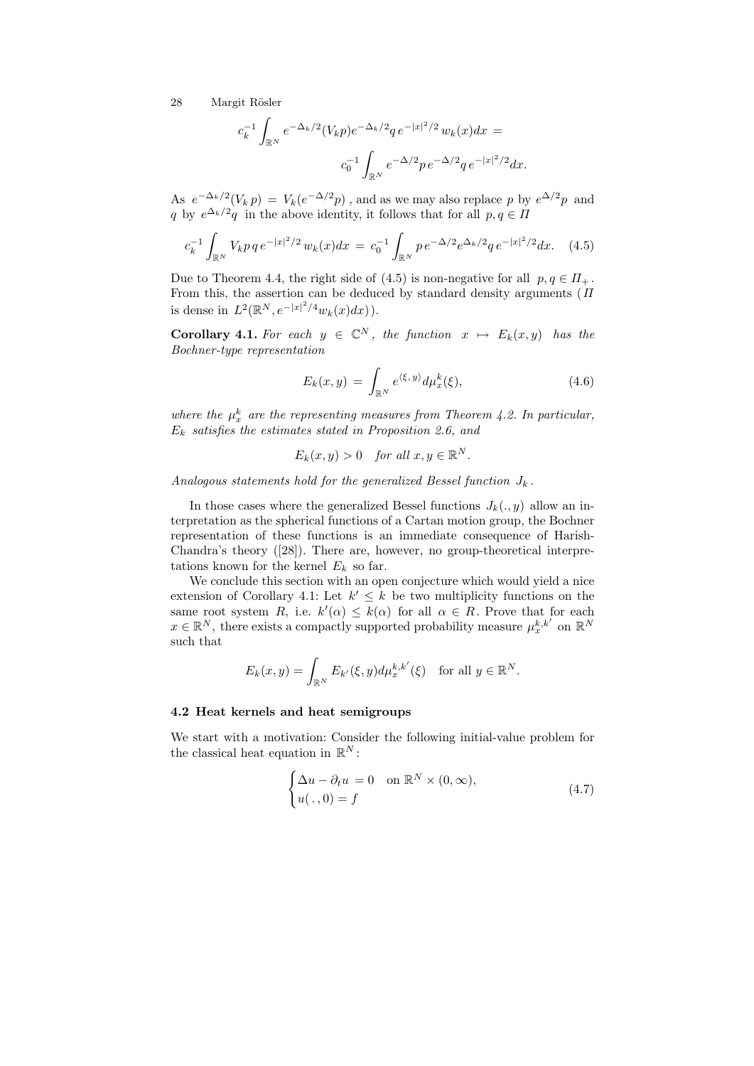$$
c_k^{-1} \int_{\mathbb{R}^N} e^{-\Delta_k/2} (V_k p) e^{-\Delta_k/2} q e^{-|x|^2/2} w_k(x) dx =
$$
  

$$
c_0^{-1} \int_{\mathbb{R}^N} e^{-\Delta/2} p e^{-\Delta/2} q e^{-|x|^2/2} dx.
$$

As  $e^{-\Delta_k/2}(V_k p) = V_k(e^{-\Delta/2}p)$ , and as we may also replace p by  $e^{\Delta/2}p$  and q by  $e^{\Delta_k/2}q$  in the above identity, it follows that for all  $p, q \in \Pi$ 

$$
c_k^{-1} \int_{\mathbb{R}^N} V_k p \, q \, e^{-|x|^2/2} \, w_k(x) dx = c_0^{-1} \int_{\mathbb{R}^N} p \, e^{-\Delta/2} e^{\Delta_k/2} q \, e^{-|x|^2/2} dx. \tag{4.5}
$$

Due to Theorem 4.4, the right side of (4.5) is non-negative for all  $p, q \in \Pi_+$ . From this, the assertion can be deduced by standard density arguments ( $\Pi$ is dense in  $L^2(\mathbb{R}^N, e^{-|x|^2/4}w_k(x)dx)$ .

**Corollary 4.1.** For each  $y \in \mathbb{C}^N$ , the function  $x \mapsto E_k(x, y)$  has the Bochner-type representation

$$
E_k(x,y) = \int_{\mathbb{R}^N} e^{\langle \xi, y \rangle} d\mu_x^k(\xi), \tag{4.6}
$$

where the  $\mu_x^k$  are the representing measures from Theorem 4.2. In particular,  $E_k$  satisfies the estimates stated in Proposition 2.6, and

 $E_k(x, y) > 0$  for all  $x, y \in \mathbb{R}^N$ .

Analogous statements hold for the generalized Bessel function  $J_k$ .

In those cases where the generalized Bessel functions  $J_k(.,y)$  allow an interpretation as the spherical functions of a Cartan motion group, the Bochner representation of these functions is an immediate consequence of Harish-Chandra's theory ([28]). There are, however, no group-theoretical interpretations known for the kernel  $E_k$  so far.

We conclude this section with an open conjecture which would yield a nice extension of Corollary 4.1: Let  $k' \leq k$  be two multiplicity functions on the same root system  $R_1$ , i.e.  $k'(\alpha) \leq k(\alpha)$  for all  $\alpha \in R$ . Prove that for each  $x \in \mathbb{R}^N$ , there exists a compactly supported probability measure  $\mu_x^{k,k'}$  on  $\mathbb{R}^N$ such that

$$
E_k(x,y) = \int_{\mathbb{R}^N} E_{k'}(\xi, y) d\mu_x^{k,k'}(\xi) \quad \text{for all } y \in \mathbb{R}^N.
$$

#### 4.2 Heat kernels and heat semigroups

We start with a motivation: Consider the following initial-value problem for the classical heat equation in  $\mathbb{R}^N$ :

$$
\begin{cases} \Delta u - \partial_t u = 0 & \text{on } \mathbb{R}^N \times (0, \infty), \\ u(. , 0) = f \end{cases}
$$
 (4.7)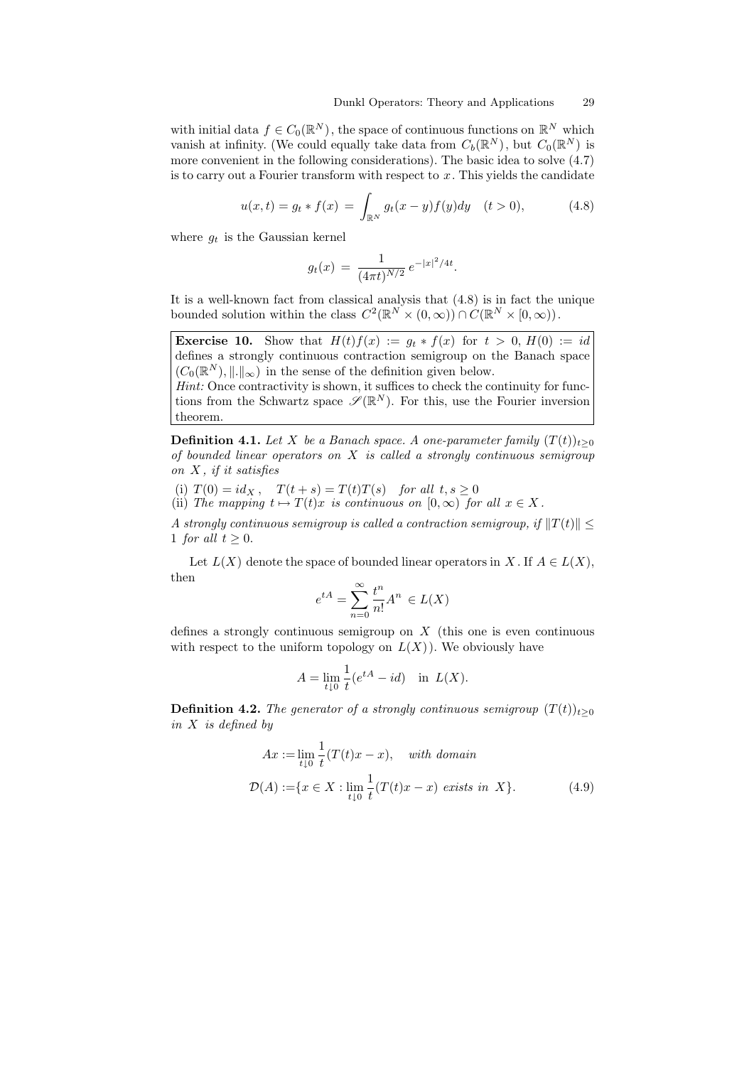with initial data  $f \in C_0(\mathbb{R}^N)$ , the space of continuous functions on  $\mathbb{R}^N$  which vanish at infinity. (We could equally take data from  $C_b(\mathbb{R}^N)$ , but  $C_0(\mathbb{R}^N)$  is more convenient in the following considerations). The basic idea to solve (4.7) is to carry out a Fourier transform with respect to  $x$ . This yields the candidate

$$
u(x,t) = g_t * f(x) = \int_{\mathbb{R}^N} g_t(x-y)f(y)dy \quad (t>0),
$$
 (4.8)

where  $g_t$  is the Gaussian kernel

$$
g_t(x) = \frac{1}{(4\pi t)^{N/2}} e^{-|x|^2/4t}.
$$

It is a well-known fact from classical analysis that (4.8) is in fact the unique bounded solution within the class  $C^2(\mathbb{R}^N\times(0,\infty))\cap C(\mathbb{R}^N\times(0,\infty)).$ 

Exercise 10. Show that  $H(t)f(x) := g_t * f(x)$  for  $t > 0$ ,  $H(0) := id$ defines a strongly continuous contraction semigroup on the Banach space  $(C_0(\mathbb{R}^N),\|\. \|_{\infty})$  in the sense of the definition given below.

Hint: Once contractivity is shown, it suffices to check the continuity for functions from the Schwartz space  $\mathscr{S}(\mathbb{R}^N)$ . For this, use the Fourier inversion theorem.

**Definition 4.1.** Let X be a Banach space. A one-parameter family  $(T(t))_{t\geq0}$ of bounded linear operators on  $X$  is called a strongly continuous semigroup on  $X$ , if it satisfies

(i)  $T(0) = id_X$ ,  $T(t + s) = T(t)T(s)$  for all  $t, s \ge 0$ (ii) The mapping  $t \mapsto T(t)x$  is continuous on  $[0,\infty)$  for all  $x \in X$ .

A strongly continuous semigroup is called a contraction semigroup, if  $||T(t)|| \le$ 1 for all  $t \geq 0$ .

Let  $L(X)$  denote the space of bounded linear operators in X. If  $A \in L(X)$ , then

$$
e^{tA} = \sum_{n=0}^{\infty} \frac{t^n}{n!} A^n \in L(X)
$$

defines a strongly continuous semigroup on  $X$  (this one is even continuous with respect to the uniform topology on  $L(X)$ ). We obviously have

$$
A = \lim_{t \downarrow 0} \frac{1}{t} (e^{tA} - id) \quad \text{in } L(X).
$$

**Definition 4.2.** The generator of a strongly continuous semigroup  $(T(t))_{t\geq0}$ in X is defined by

$$
Ax := \lim_{t \downarrow 0} \frac{1}{t} (T(t)x - x), \quad \text{with domain}
$$

$$
\mathcal{D}(A) := \{ x \in X : \lim_{t \downarrow 0} \frac{1}{t} (T(t)x - x) \text{ exists in } X \}. \tag{4.9}
$$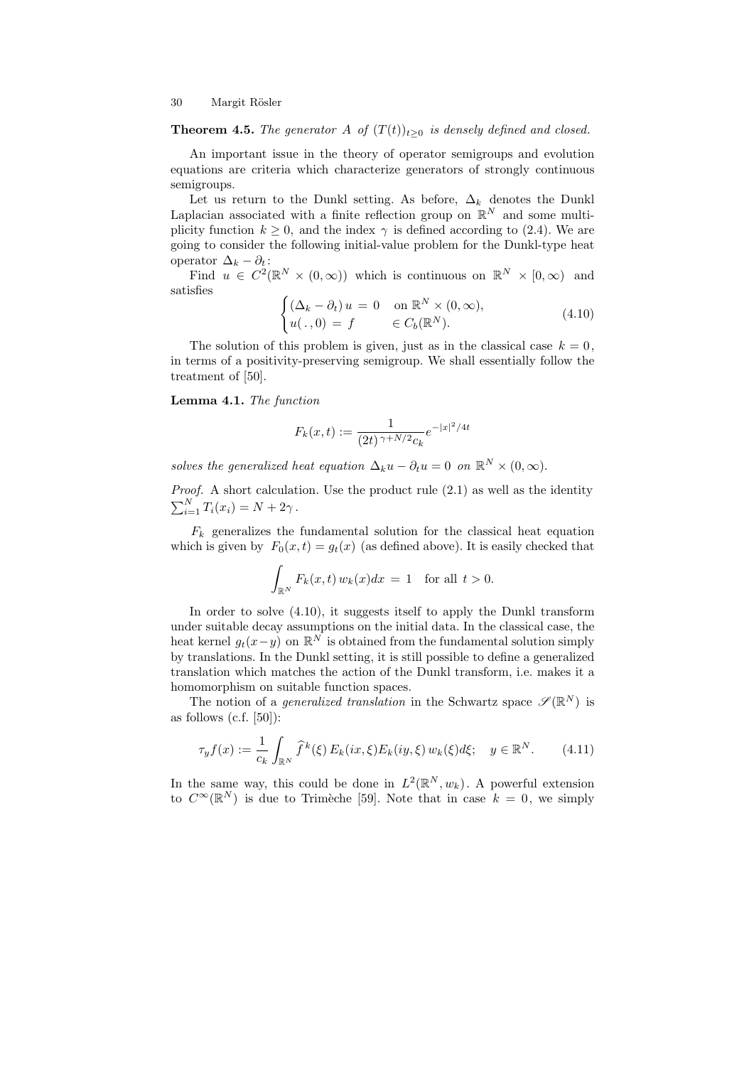#### **Theorem 4.5.** The generator A of  $(T(t))_{t\geq0}$  is densely defined and closed.

An important issue in the theory of operator semigroups and evolution equations are criteria which characterize generators of strongly continuous semigroups.

Let us return to the Dunkl setting. As before,  $\Delta_k$  denotes the Dunkl Laplacian associated with a finite reflection group on  $\mathbb{R}^N$  and some multiplicity function  $k > 0$ , and the index  $\gamma$  is defined according to (2.4). We are going to consider the following initial-value problem for the Dunkl-type heat operator  $\Delta_k - \partial_t$ :

Find  $u \in C^2(\mathbb{R}^N \times (0,\infty))$  which is continuous on  $\mathbb{R}^N \times (0,\infty)$  and satisfies

$$
\begin{cases} (\Delta_k - \partial_t) u = 0 & \text{on } \mathbb{R}^N \times (0, \infty), \\ u(. , 0) = f & \in C_b(\mathbb{R}^N). \end{cases}
$$
(4.10)

The solution of this problem is given, just as in the classical case  $k = 0$ , in terms of a positivity-preserving semigroup. We shall essentially follow the treatment of [50].

#### Lemma 4.1. The function

$$
F_k(x,t) := \frac{1}{(2t)^{\gamma + N/2}c_k}e^{-|x|^2/4t}
$$

solves the generalized heat equation  $\Delta_k u - \partial_t u = 0$  on  $\mathbb{R}^N \times (0, \infty)$ .

Proof. A short calculation. Use the product rule  $(2.1)$  as well as the identity  $\sum_{i=1}^{N} T_i(x_i) = N + 2\gamma$ .

 $F_k$  generalizes the fundamental solution for the classical heat equation which is given by  $F_0(x,t) = g_t(x)$  (as defined above). It is easily checked that

$$
\int_{\mathbb{R}^N} F_k(x,t) w_k(x) dx = 1 \text{ for all } t > 0.
$$

In order to solve  $(4.10)$ , it suggests itself to apply the Dunkl transform under suitable decay assumptions on the initial data. In the classical case, the heat kernel  $g_t(x-y)$  on  $\mathbb{R}^N$  is obtained from the fundamental solution simply by translations. In the Dunkl setting, it is still possible to define a generalized translation which matches the action of the Dunkl transform, i.e. makes it a homomorphism on suitable function spaces.

The notion of a *generalized translation* in the Schwartz space  $\mathscr{S}(\mathbb{R}^N)$  is as follows (c.f. [50]):

$$
\tau_y f(x) := \frac{1}{c_k} \int_{\mathbb{R}^N} \hat{f}^k(\xi) E_k(ix, \xi) E_k(iy, \xi) w_k(\xi) d\xi; \quad y \in \mathbb{R}^N. \tag{4.11}
$$

In the same way, this could be done in  $L^2(\mathbb{R}^N, w_k)$ . A powerful extension to  $C^{\infty}(\mathbb{R}^{N})$  is due to Trimèche [59]. Note that in case  $k = 0$ , we simply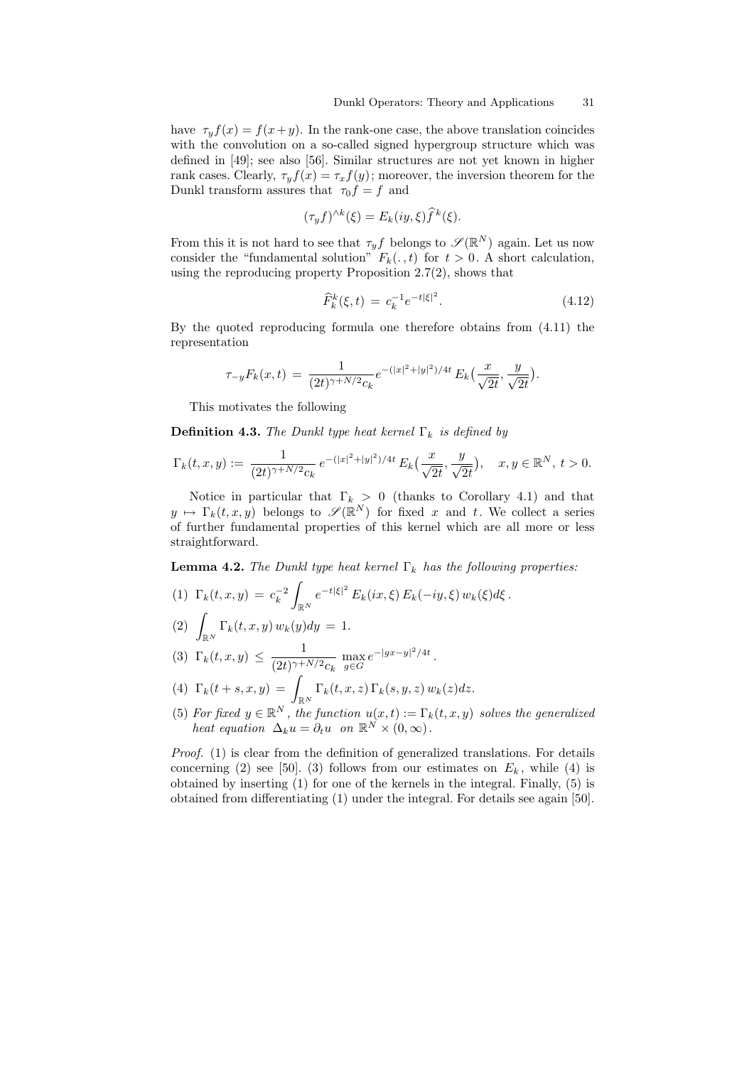have  $\tau_y f(x) = f(x+y)$ . In the rank-one case, the above translation coincides with the convolution on a so-called signed hypergroup structure which was defined in [49]; see also [56]. Similar structures are not yet known in higher rank cases. Clearly,  $\tau_y f(x) = \tau_x f(y)$ ; moreover, the inversion theorem for the Dunkl transform assures that  $\tau_0 f = f$  and

$$
(\tau_y f)^{\wedge k}(\xi) = E_k(iy,\xi)\widehat{f}^k(\xi).
$$

From this it is not hard to see that  $\tau_y f$  belongs to  $\mathscr{S}(\mathbb{R}^N)$  again. Let us now consider the "fundamental solution"  $F_k(.,t)$  for  $t>0$ . A short calculation, using the reproducing property Proposition 2.7(2), shows that

$$
\widehat{F}_k^k(\xi, t) = c_k^{-1} e^{-t|\xi|^2}.
$$
\n(4.12)

By the quoted reproducing formula one therefore obtains from (4.11) the representation

$$
\tau_{-y} F_k(x,t)\,=\,\frac{1}{(2t)^{\gamma+N/2}c_k}e^{-(|x|^2+|y|^2)/4t}\,E_k\big(\frac{x}{\sqrt{2t}},\frac{y}{\sqrt{2t}}\big).
$$

This motivates the following

**Definition 4.3.** The Dunkl type heat kernel  $\Gamma_k$  is defined by

$$
\Gamma_k(t,x,y):=\,\frac{1}{(2t)^{\gamma+N/2}c_k}\,e^{-(|x|^2+|y|^2)/4t}\,E_k\big(\frac{x}{\sqrt{2t}},\frac{y}{\sqrt{2t}}\big),\quad x,y\in\mathbb{R}^N,\,t>0.
$$

Notice in particular that  $\Gamma_k > 0$  (thanks to Corollary 4.1) and that  $y \mapsto \Gamma_k(t, x, y)$  belongs to  $\mathscr{S}(\mathbb{R}^N)$  for fixed x and t. We collect a series of further fundamental properties of this kernel which are all more or less straightforward.

**Lemma 4.2.** The Dunkl type heat kernel  $\Gamma_k$  has the following properties:

(1)  $\Gamma_k(t, x, y) = c_k^{-2}$ Z  $\mathbb{R}^N$  $e^{-t|\xi|^2} E_k(ix,\xi) E_k(-iy,\xi) w_k(\xi) d\xi.$ 

$$
(2) \int_{\mathbb{R}^N} \Gamma_k(t, x, y) w_k(y) dy = 1.
$$

- (3)  $\Gamma_k(t,x,y) \leq \frac{1}{(24)^{\gamma+1}}$  $\frac{1}{(2t)^{\gamma+N/2}c_k} \max_{g\in G} e^{-|gx-y|^2/4t}.$
- (4)  $\Gamma_k(t + s, x, y) = \int_{\mathbb{R}^N} \Gamma_k(t, x, z) \Gamma_k(s, y, z) w_k(z) dz.$
- (5) For fixed  $y \in \mathbb{R}^N$ , the function  $u(x,t) := \Gamma_k(t,x,y)$  solves the generalized heat equation  $\Delta_k u = \partial_t u$  on  $\mathbb{R}^N \times (0, \infty)$ .

Proof. (1) is clear from the definition of generalized translations. For details concerning (2) see [50]. (3) follows from our estimates on  $E_k$ , while (4) is obtained by inserting (1) for one of the kernels in the integral. Finally, (5) is obtained from differentiating (1) under the integral. For details see again [50].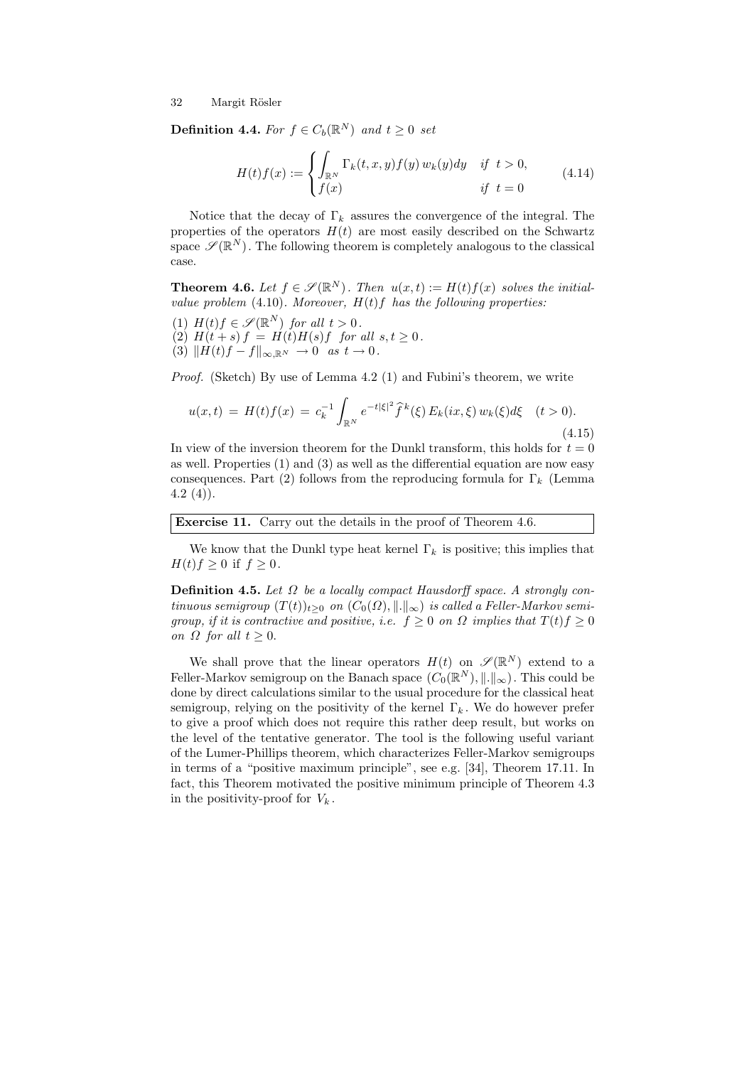**Definition 4.4.** For  $f \in C_b(\mathbb{R}^N)$  and  $t \geq 0$  set

$$
H(t)f(x) := \begin{cases} \int_{\mathbb{R}^N} \Gamma_k(t, x, y) f(y) w_k(y) dy & \text{if } t > 0, \\ f(x) & \text{if } t = 0 \end{cases}
$$
(4.14)

Notice that the decay of  $\Gamma_k$  assures the convergence of the integral. The properties of the operators  $H(t)$  are most easily described on the Schwartz space  $\mathscr{S}(\mathbb{R}^N)$ . The following theorem is completely analogous to the classical case.

**Theorem 4.6.** Let  $f \in \mathscr{S}(\mathbb{R}^N)$ . Then  $u(x,t) := H(t)f(x)$  solves the initialvalue problem  $(4.10)$ . Moreover,  $H(t)$  has the following properties:

- (1)  $H(t)f \in \mathscr{S}(\mathbb{R}^N)$  for all  $t > 0$ .
- (2)  $H(t+s) f = H(t)H(s)f$  for all  $s,t \geq 0$ .
- (3)  $\|\hat{H}(t)f f\|_{\infty,\mathbb{R}^N} \to 0$  as  $t \to 0$ .

Proof. (Sketch) By use of Lemma 4.2 (1) and Fubini's theorem, we write

$$
u(x,t) = H(t)f(x) = c_k^{-1} \int_{\mathbb{R}^N} e^{-t|\xi|^2} \hat{f}^k(\xi) E_k(ix,\xi) w_k(\xi) d\xi \quad (t > 0).
$$
\n(4.15)

In view of the inversion theorem for the Dunkl transform, this holds for  $t = 0$ as well. Properties (1) and (3) as well as the differential equation are now easy consequences. Part (2) follows from the reproducing formula for  $\Gamma_k$  (Lemma  $4.2(4)$ .

Exercise 11. Carry out the details in the proof of Theorem 4.6.

We know that the Dunkl type heat kernel  $\Gamma_k$  is positive; this implies that  $H(t) f \geq 0$  if  $f \geq 0$ .

**Definition 4.5.** Let  $\Omega$  be a locally compact Hausdorff space. A strongly continuous semigroup  $(T(t))_{t>0}$  on  $(C_0(\Omega), \|.\|_{\infty})$  is called a Feller-Markov semigroup, if it is contractive and positive, i.e.  $f \geq 0$  on  $\Omega$  implies that  $T(t) \leq f \leq 0$ on  $\Omega$  for all  $t > 0$ .

We shall prove that the linear operators  $H(t)$  on  $\mathscr{S}(\mathbb{R}^N)$  extend to a Feller-Markov semigroup on the Banach space  $(C_0(\mathbb{R}^N), ||.||_{\infty})$ . This could be done by direct calculations similar to the usual procedure for the classical heat semigroup, relying on the positivity of the kernel  $\Gamma_k$ . We do however prefer to give a proof which does not require this rather deep result, but works on the level of the tentative generator. The tool is the following useful variant of the Lumer-Phillips theorem, which characterizes Feller-Markov semigroups in terms of a "positive maximum principle", see e.g. [34], Theorem 17.11. In fact, this Theorem motivated the positive minimum principle of Theorem 4.3 in the positivity-proof for  $V_k$ .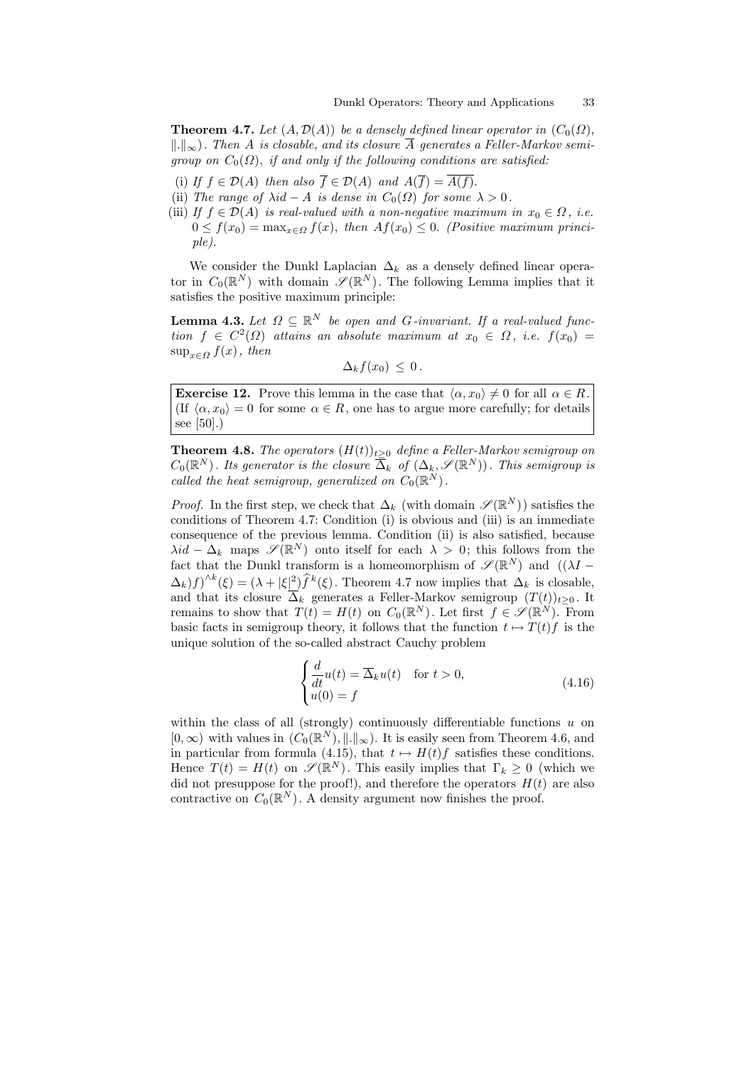**Theorem 4.7.** Let  $(A, \mathcal{D}(A))$  be a densely defined linear operator in  $(C_0(\Omega),$  $\Vert . \Vert_{\infty}$ ). Then A is closable, and its closure  $\overline{A}$  generates a Feller-Markov semigroup on  $C_0(\Omega)$ , if and only if the following conditions are satisfied:

- (i) If  $f \in \mathcal{D}(A)$  then also  $\overline{f} \in \mathcal{D}(A)$  and  $A(\overline{f}) = \overline{A(f)}$ .
- (ii) The range of  $\lambda id A$  is dense in  $C_0(\Omega)$  for some  $\lambda > 0$ .
- (iii) If  $f \in \mathcal{D}(A)$  is real-valued with a non-negative maximum in  $x_0 \in \Omega$ , i.e.  $0 \le f(x_0) = \max_{x \in \Omega} f(x)$ , then  $Af(x_0) \le 0$ . (Positive maximum principle).

We consider the Dunkl Laplacian  $\Delta_k$  as a densely defined linear operator in  $C_0(\mathbb{R}^N)$  with domain  $\mathscr{S}(\mathbb{R}^N)$ . The following Lemma implies that it satisfies the positive maximum principle:

**Lemma 4.3.** Let  $\Omega \subseteq \mathbb{R}^N$  be open and G-invariant. If a real-valued function  $f \in C^2(\Omega)$  attains an absolute maximum at  $x_0 \in \Omega$ , i.e.  $f(x_0) =$  $\sup_{x \in \Omega} f(x)$ , then

$$
\Delta_k f(x_0) \leq 0.
$$

**Exercise 12.** Prove this lemma in the case that  $\langle \alpha, x_0 \rangle \neq 0$  for all  $\alpha \in R$ . (If  $\langle \alpha, x_0 \rangle = 0$  for some  $\alpha \in R$ , one has to argue more carefully; for details see [50].)

**Theorem 4.8.** The operators  $(H(t))_{t>0}$  define a Feller-Markov semigroup on  $C_0(\mathbb{R}^N)$ . Its generator is the closure  $\overline{\Delta}_k$  of  $(\Delta_k, \mathscr{S}(\mathbb{R}^N))$ . This semigroup is called the heat semigroup, generalized on  $C_0(\mathbb{R}^N)$ .

*Proof.* In the first step, we check that  $\Delta_k$  (with domain  $\mathscr{S}(\mathbb{R}^N)$ ) satisfies the conditions of Theorem 4.7: Condition (i) is obvious and (iii) is an immediate consequence of the previous lemma. Condition (ii) is also satisfied, because  $\lambda id - \Delta_k$  maps  $\mathscr{S}(\mathbb{R}^N)$  onto itself for each  $\lambda > 0$ ; this follows from the fact that the Dunkl transform is a homeomorphism of  $\mathscr{S}(\mathbb{R}^N)$  and  $((\lambda I (\Delta_k) f)^{\wedge k}(\xi) = (\lambda + |\xi|^2) \widehat{f}^k(\xi)$ . Theorem 4.7 now implies that  $\Delta_k$  is closable, and that its closure  $\Delta_k$  generates a Feller-Markov semigroup  $(T(t))_{t\geq0}$ . It remains to show that  $T(t) = H(t)$  on  $C_0(\mathbb{R}^N)$ . Let first  $f \in \mathscr{S}(\mathbb{R}^N)$ . From basic facts in semigroup theory, it follows that the function  $t \mapsto T(t) f$  is the unique solution of the so-called abstract Cauchy problem

$$
\begin{cases}\n\frac{d}{dt}u(t) = \overline{\Delta}_k u(t) & \text{for } t > 0, \\
u(0) = f\n\end{cases}
$$
\n(4.16)

within the class of all (strongly) continuously differentiable functions  $u$  on  $[0, \infty)$  with values in  $(C_0(\mathbb{R}^N), ||.||_{\infty})$ . It is easily seen from Theorem 4.6, and in particular from formula (4.15), that  $t \mapsto H(t)f$  satisfies these conditions. Hence  $T(t) = H(t)$  on  $\mathscr{S}(\mathbb{R}^N)$ . This easily implies that  $\Gamma_k \geq 0$  (which we did not presuppose for the proof!), and therefore the operators  $H(t)$  are also contractive on  $C_0(\mathbb{R}^N)$ . A density argument now finishes the proof.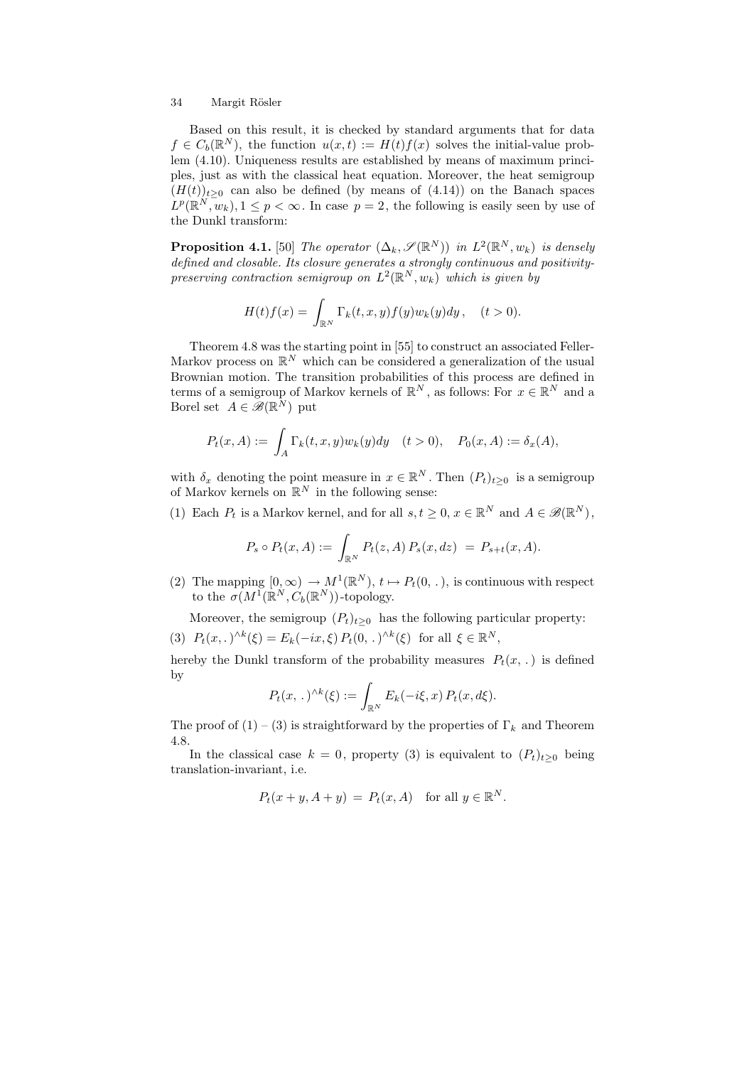Based on this result, it is checked by standard arguments that for data  $f \in C_b(\mathbb{R}^N)$ , the function  $u(x,t) := H(t)f(x)$  solves the initial-value problem (4.10). Uniqueness results are established by means of maximum principles, just as with the classical heat equation. Moreover, the heat semigroup  $(H(t))_{t>0}$  can also be defined (by means of (4.14)) on the Banach spaces  $L^p(\mathbb{R}^N, w_k), 1 \leq p < \infty$ . In case  $p = 2$ , the following is easily seen by use of the Dunkl transform:

**Proposition 4.1.** [50] The operator  $(\Delta_k, \mathscr{S}(\mathbb{R}^N))$  in  $L^2(\mathbb{R}^N, w_k)$  is densely defined and closable. Its closure generates a strongly continuous and positivitypreserving contraction semigroup on  $L^2(\mathbb{R}^N,w_k)$  which is given by

$$
H(t)f(x) = \int_{\mathbb{R}^N} \Gamma_k(t, x, y) f(y) w_k(y) dy, \quad (t > 0).
$$

Theorem 4.8 was the starting point in [55] to construct an associated Feller-Markov process on  $\mathbb{R}^N$  which can be considered a generalization of the usual Brownian motion. The transition probabilities of this process are defined in terms of a semigroup of Markov kernels of  $\mathbb{R}^N$ , as follows: For  $x \in \mathbb{R}^N$  and a Borel set  $A \in \mathscr{B}(\mathbb{R}^N)$  put

$$
P_t(x, A) := \int_A \Gamma_k(t, x, y) w_k(y) dy \quad (t > 0), \quad P_0(x, A) := \delta_x(A),
$$

with  $\delta_x$  denoting the point measure in  $x \in \mathbb{R}^N$ . Then  $(P_t)_{t \geq 0}$  is a semigroup of Markov kernels on  $\mathbb{R}^N$  in the following sense:

(1) Each  $P_t$  is a Markov kernel, and for all  $s, t \geq 0, x \in \mathbb{R}^N$  and  $A \in \mathscr{B}(\mathbb{R}^N)$ ,

$$
P_s \circ P_t(x, A) := \int_{\mathbb{R}^N} P_t(z, A) P_s(x, dz) = P_{s+t}(x, A).
$$

(2) The mapping  $[0, \infty) \to M^1(\mathbb{R}^N)$ ,  $t \mapsto P_t(0, .)$ , is continuous with respect to the  $\sigma(M^1(\mathbb{R}^N, C_b(\mathbb{R}^N))$ -topology.

Moreover, the semigroup  $(P_t)_{t\geq0}$  has the following particular property: (3)  $P_t(x,.)^{\wedge k}(\xi) = E_k(-ix,\xi) P_t(0,.)^{\wedge k}(\xi)$  for all  $\xi \in \mathbb{R}^N$ ,

hereby the Dunkl transform of the probability measures  $P_t(x,.)$  is defined by

$$
P_t(x,.)^{\wedge k}(\xi) := \int_{\mathbb{R}^N} E_k(-i\xi, x) P_t(x, d\xi).
$$

The proof of  $(1) - (3)$  is straightforward by the properties of  $\Gamma_k$  and Theorem 4.8.

In the classical case  $k = 0$ , property (3) is equivalent to  $(P_t)_{t\geq 0}$  being translation-invariant, i.e.

$$
P_t(x+y, A+y) = P_t(x, A) \text{ for all } y \in \mathbb{R}^N.
$$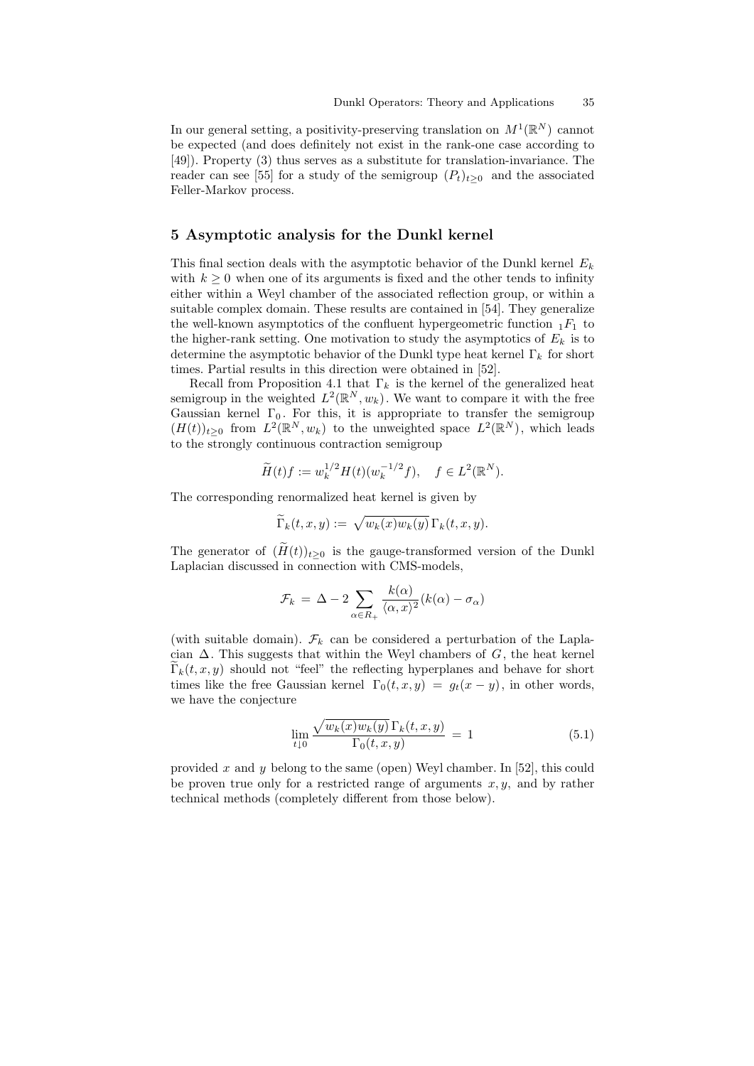In our general setting, a positivity-preserving translation on  $M^1(\mathbb{R}^N)$  cannot be expected (and does definitely not exist in the rank-one case according to [49]). Property (3) thus serves as a substitute for translation-invariance. The reader can see [55] for a study of the semigroup  $(P_t)_{t>0}$  and the associated Feller-Markov process.

## 5 Asymptotic analysis for the Dunkl kernel

This final section deals with the asymptotic behavior of the Dunkl kernel  $E_k$ with  $k \geq 0$  when one of its arguments is fixed and the other tends to infinity either within a Weyl chamber of the associated reflection group, or within a suitable complex domain. These results are contained in [54]. They generalize the well-known asymptotics of the confluent hypergeometric function  $_1F_1$  to the higher-rank setting. One motivation to study the asymptotics of  $E_k$  is to determine the asymptotic behavior of the Dunkl type heat kernel  $\Gamma_k$  for short times. Partial results in this direction were obtained in [52].

Recall from Proposition 4.1 that  $\Gamma_k$  is the kernel of the generalized heat semigroup in the weighted  $L^2(\mathbb{R}^N, w_k)$ . We want to compare it with the free Gaussian kernel  $\Gamma_0$ . For this, it is appropriate to transfer the semigroup  $(H(t))_{t\geq 0}$  from  $L^2(\mathbb{R}^N, w_k)$  to the unweighted space  $L^2(\mathbb{R}^N)$ , which leads to the strongly continuous contraction semigroup

$$
\widetilde{H}(t)f := w_k^{1/2} H(t) (w_k^{-1/2} f), \quad f \in L^2(\mathbb{R}^N).
$$

The corresponding renormalized heat kernel is given by

$$
\widetilde{\Gamma}_k(t,x,y) := \sqrt{w_k(x)w_k(y)}\,\Gamma_k(t,x,y).
$$

The generator of  $(H(t))_{t>0}$  is the gauge-transformed version of the Dunkl Laplacian discussed in connection with CMS-models,

$$
\mathcal{F}_k = \Delta - 2 \sum_{\alpha \in R_+} \frac{k(\alpha)}{\langle \alpha, x \rangle^2} (k(\alpha) - \sigma_\alpha)
$$

(with suitable domain).  $\mathcal{F}_k$  can be considered a perturbation of the Laplacian  $\Delta$ . This suggests that within the Weyl chambers of G, the heat kernel  $\Gamma_k(t, x, y)$  should not "feel" the reflecting hyperplanes and behave for short times like the free Gaussian kernel  $\Gamma_0(t, x, y) = g_t(x - y)$ , in other words, we have the conjecture

$$
\lim_{t \downarrow 0} \frac{\sqrt{w_k(x)w_k(y)} \Gamma_k(t, x, y)}{\Gamma_0(t, x, y)} = 1
$$
\n(5.1)

provided  $x$  and  $y$  belong to the same (open) Weyl chamber. In [52], this could be proven true only for a restricted range of arguments  $x, y$ , and by rather technical methods (completely different from those below).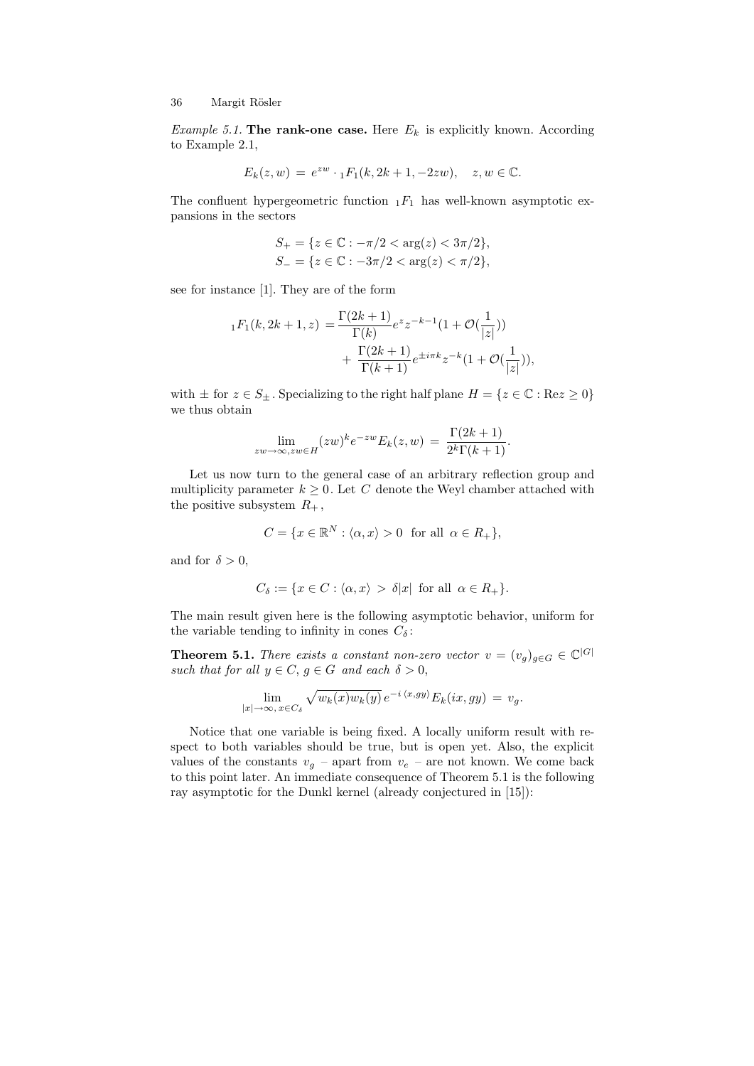*Example 5.1.* The rank-one case. Here  $E_k$  is explicitly known. According to Example 2.1,

$$
E_k(z, w) = e^{zw} \cdot {}_1F_1(k, 2k+1, -2zw), \quad z, w \in \mathbb{C}.
$$

The confluent hypergeometric function  $_1F_1$  has well-known asymptotic expansions in the sectors

$$
S_{+} = \{ z \in \mathbb{C} : -\pi/2 < \arg(z) < 3\pi/2 \},
$$
  
\n
$$
S_{-} = \{ z \in \mathbb{C} : -3\pi/2 < \arg(z) < \pi/2 \},\
$$

see for instance [1]. They are of the form

$$
{}_{1}F_{1}(k,2k+1,z) = \frac{\Gamma(2k+1)}{\Gamma(k)} e^{z} z^{-k-1} (1 + \mathcal{O}(\frac{1}{|z|})) + \frac{\Gamma(2k+1)}{\Gamma(k+1)} e^{\pm i\pi k} z^{-k} (1 + \mathcal{O}(\frac{1}{|z|})),
$$

with  $\pm$  for  $z \in S_{\pm}$ . Specializing to the right half plane  $H = \{z \in \mathbb{C} : \text{Re} z \geq 0\}$ we thus obtain

$$
\lim_{zw \to \infty, zw \in H} (zw)^k e^{-zw} E_k(z, w) = \frac{\Gamma(2k+1)}{2^k \Gamma(k+1)}.
$$

Let us now turn to the general case of an arbitrary reflection group and multiplicity parameter  $k \geq 0$ . Let C denote the Weyl chamber attached with the positive subsystem  $R_+$ ,

$$
C = \{x \in \mathbb{R}^N : \langle \alpha, x \rangle > 0 \text{ for all } \alpha \in R_+\},\
$$

and for  $\delta > 0$ ,

$$
C_{\delta} := \{ x \in C : \langle \alpha, x \rangle > \delta |x| \text{ for all } \alpha \in R_+ \}.
$$

The main result given here is the following asymptotic behavior, uniform for the variable tending to infinity in cones  $C_{\delta}$ :

**Theorem 5.1.** There exists a constant non-zero vector  $v = (v_g)_{g \in G} \in \mathbb{C}^{|G|}$ such that for all  $y \in C$ ,  $g \in G$  and each  $\delta > 0$ ,

$$
\lim_{|x| \to \infty, x \in C_\delta} \sqrt{w_k(x)w_k(y)} \, e^{-i \langle x, gy \rangle} E_k(ix, gy) = v_g.
$$

Notice that one variable is being fixed. A locally uniform result with respect to both variables should be true, but is open yet. Also, the explicit values of the constants  $v_q$  – apart from  $v_e$  – are not known. We come back to this point later. An immediate consequence of Theorem 5.1 is the following ray asymptotic for the Dunkl kernel (already conjectured in [15]):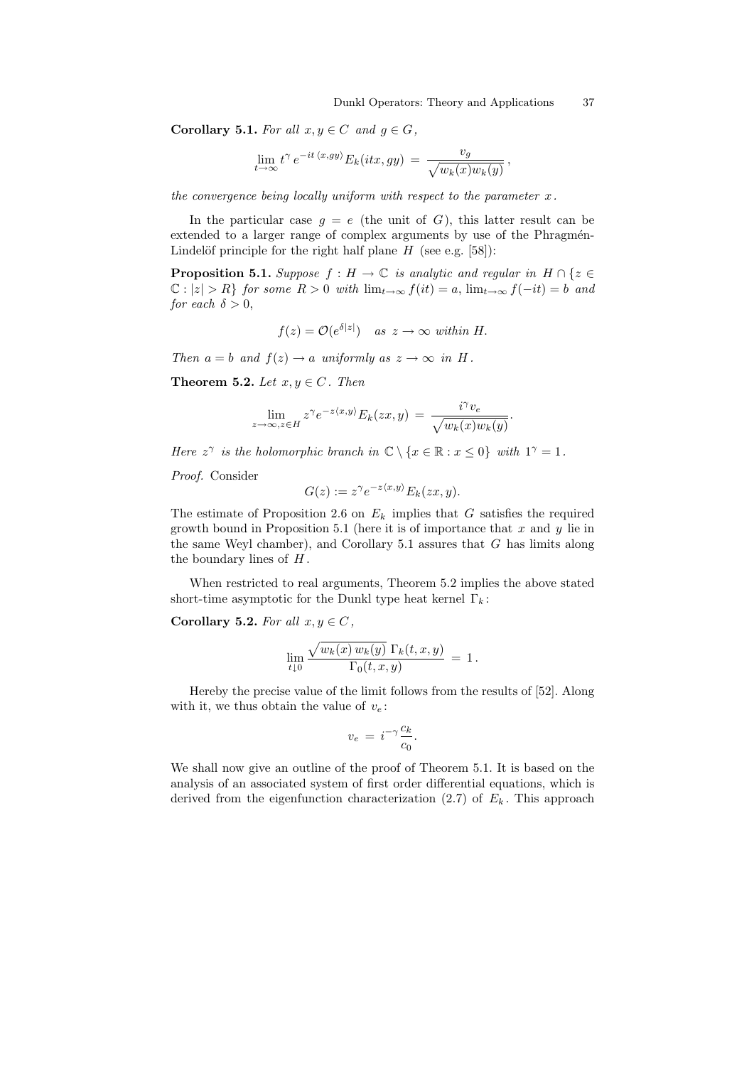Corollary 5.1. For all  $x, y \in C$  and  $g \in G$ ,

$$
\lim_{t\to\infty} t^{\gamma} e^{-it\langle x,gy\rangle} E_k(itx,gy) = \frac{v_g}{\sqrt{w_k(x)w_k(y)}},
$$

the convergence being locally uniform with respect to the parameter  $x$ .

In the particular case  $g = e$  (the unit of G), this latter result can be extended to a larger range of complex arguments by use of the Phragmén-Lindelöf principle for the right half plane  $H$  (see e.g. [58]):

**Proposition 5.1.** Suppose  $f : H \to \mathbb{C}$  is analytic and regular in  $H \cap \{z \in$  $\mathbb{C}: |z| > R$  for some  $R > 0$  with  $\lim_{t\to\infty} f(it) = a$ ,  $\lim_{t\to\infty} f(-it) = b$  and for each  $\delta > 0$ ,

$$
f(z) = \mathcal{O}(e^{\delta|z|})
$$
 as  $z \to \infty$  within H.

Then  $a = b$  and  $f(z) \rightarrow a$  uniformly as  $z \rightarrow \infty$  in H.

Theorem 5.2. Let  $x, y \in C$ . Then

$$
\lim_{z \to \infty, z \in H} z^{\gamma} e^{-z \langle x, y \rangle} E_k(zx, y) = \frac{i^{\gamma} v_e}{\sqrt{w_k(x) w_k(y)}}.
$$

Here  $z^{\gamma}$  is the holomorphic branch in  $\mathbb{C} \setminus \{x \in \mathbb{R} : x \leq 0\}$  with  $1^{\gamma} = 1$ .

Proof. Consider

$$
G(z) := z^{\gamma} e^{-z \langle x, y \rangle} E_k(zx, y).
$$

The estimate of Proposition 2.6 on  $E_k$  implies that G satisfies the required growth bound in Proposition 5.1 (here it is of importance that  $x$  and  $y$  lie in the same Weyl chamber), and Corollary  $5.1$  assures that  $G$  has limits along the boundary lines of  $H$ .

When restricted to real arguments, Theorem 5.2 implies the above stated short-time asymptotic for the Dunkl type heat kernel  $\Gamma_k$ :

Corollary 5.2. For all  $x, y \in C$ ,

$$
\lim_{t\downarrow 0}\frac{\sqrt{w_k(x)\,w_k(y)}\,\Gamma_k(t,x,y)}{\Gamma_0(t,x,y)}\,=\,1\,.
$$

Hereby the precise value of the limit follows from the results of [52]. Along with it, we thus obtain the value of  $v_e$ :

$$
v_e = i^{-\gamma} \frac{c_k}{c_0}.
$$

We shall now give an outline of the proof of Theorem 5.1. It is based on the analysis of an associated system of first order differential equations, which is derived from the eigenfunction characterization  $(2.7)$  of  $E<sub>k</sub>$ . This approach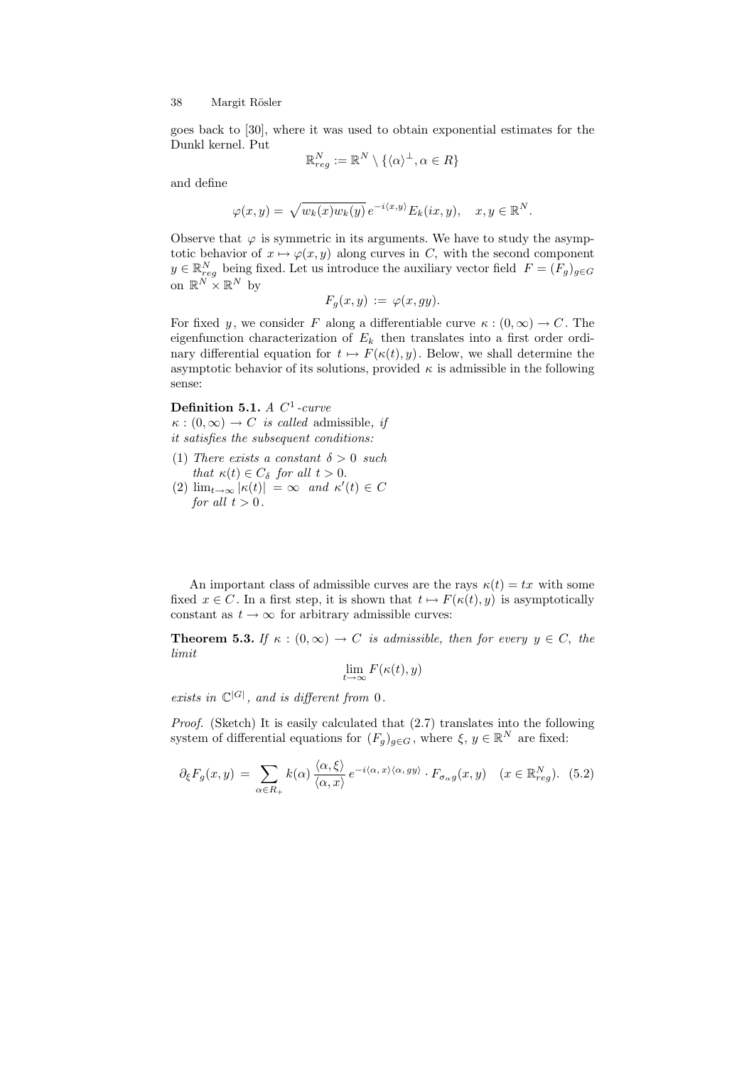goes back to [30], where it was used to obtain exponential estimates for the Dunkl kernel. Put

$$
\mathbb{R}^N_{reg} := \mathbb{R}^N \setminus \{ \langle \alpha \rangle^{\perp}, \alpha \in R \}
$$

and define

$$
\varphi(x,y) = \sqrt{w_k(x)w_k(y)} e^{-i\langle x,y \rangle} E_k(ix,y), \quad x, y \in \mathbb{R}^N.
$$

Observe that  $\varphi$  is symmetric in its arguments. We have to study the asymptotic behavior of  $x \mapsto \varphi(x, y)$  along curves in C, with the second component  $y \in \mathbb{R}^N_{reg}$  being fixed. Let us introduce the auxiliary vector field  $F = (F_g)_{g \in G}$ on  $\mathbb{R}^N \times \mathbb{R}^N$  by

$$
F_g(x,y) := \varphi(x,gy).
$$

For fixed y, we consider F along a differentiable curve  $\kappa : (0, \infty) \to C$ . The eigenfunction characterization of  $E_k$  then translates into a first order ordinary differential equation for  $t \mapsto F(\kappa(t), y)$ . Below, we shall determine the asymptotic behavior of its solutions, provided  $\kappa$  is admissible in the following sense:

Definition 5.1. A  $C^1$  -curve

 $\kappa : (0, \infty) \to C$  is called admissible, if it satisfies the subsequent conditions:

- (1) There exists a constant  $\delta > 0$  such that  $\kappa(t) \in C_{\delta}$  for all  $t > 0$ .
- (2)  $\lim_{t\to\infty} |\kappa(t)| = \infty$  and  $\kappa'(t) \in C$ for all  $t > 0$ .

An important class of admissible curves are the rays  $\kappa(t) = tx$  with some fixed  $x \in C$ . In a first step, it is shown that  $t \mapsto F(\kappa(t), y)$  is asymptotically constant as  $t \to \infty$  for arbitrary admissible curves:

**Theorem 5.3.** If  $\kappa : (0, \infty) \to C$  is admissible, then for every  $y \in C$ , the limit

$$
\lim_{t\to\infty} F(\kappa(t),y)
$$

exists in  $\mathbb{C}^{|G|}$ , and is different from 0.

Proof. (Sketch) It is easily calculated that  $(2.7)$  translates into the following system of differential equations for  $(F_g)_{g \in G}$ , where  $\xi, y \in \mathbb{R}^N$  are fixed:

$$
\partial_{\xi} F_g(x, y) = \sum_{\alpha \in R_+} k(\alpha) \frac{\langle \alpha, \xi \rangle}{\langle \alpha, x \rangle} e^{-i \langle \alpha, x \rangle \langle \alpha, gy \rangle} \cdot F_{\sigma_{\alpha}g}(x, y) \quad (x \in \mathbb{R}^N_{reg}). \tag{5.2}
$$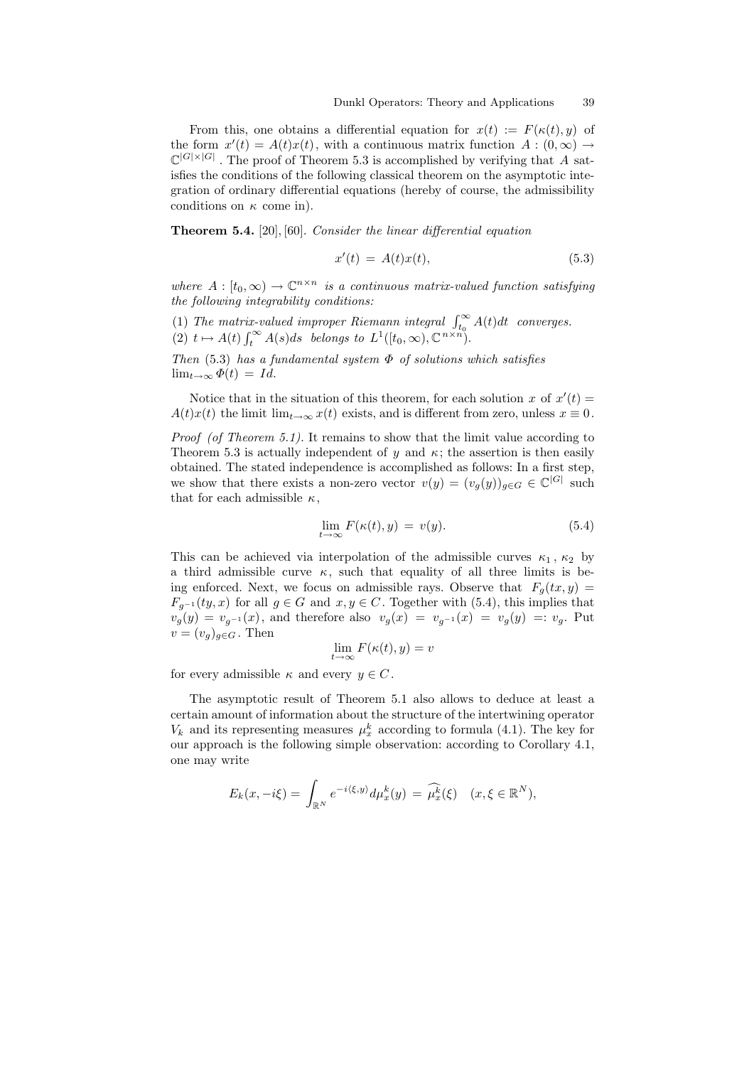From this, one obtains a differential equation for  $x(t) := F(\kappa(t), y)$  of the form  $x'(t) = A(t)x(t)$ , with a continuous matrix function  $A: (0, \infty) \to$  $\mathbb{C}^{|G|\times |G|}$ . The proof of Theorem 5.3 is accomplished by verifying that A satisfies the conditions of the following classical theorem on the asymptotic integration of ordinary differential equations (hereby of course, the admissibility conditions on  $\kappa$  come in).

Theorem 5.4. [20], [60]. Consider the linear differential equation

$$
x'(t) = A(t)x(t), \tag{5.3}
$$

where  $A : [t_0, \infty) \to \mathbb{C}^{n \times n}$  is a continuous matrix-valued function satisfying the following integrability conditions:

(1) The matrix-valued improper Riemann integral  $\int_{t_0}^{\infty} A(t)dt$  converges. (2)  $t \mapsto A(t) \int_t^{\infty} A(s)ds$  belongs to  $L^1([t_0,\infty),\mathbb{C}^{n \times n})$ .

Then (5.3) has a fundamental system  $\Phi$  of solutions which satisfies  $\lim_{t\to\infty} \Phi(t) = Id.$ 

Notice that in the situation of this theorem, for each solution x of  $x'(t) =$  $A(t)x(t)$  the limit  $\lim_{t\to\infty}x(t)$  exists, and is different from zero, unless  $x\equiv 0$ .

Proof (of Theorem 5.1). It remains to show that the limit value according to Theorem 5.3 is actually independent of y and  $\kappa$ ; the assertion is then easily obtained. The stated independence is accomplished as follows: In a first step, we show that there exists a non-zero vector  $v(y) = (v_g(y))_{g \in G} \in \mathbb{C}^{|G|}$  such that for each admissible  $\kappa$ ,

$$
\lim_{t \to \infty} F(\kappa(t), y) = v(y). \tag{5.4}
$$

This can be achieved via interpolation of the admissible curves  $\kappa_1$ ,  $\kappa_2$  by a third admissible curve  $\kappa$ , such that equality of all three limits is being enforced. Next, we focus on admissible rays. Observe that  $F_q(tx, y) =$  $F_{g^{-1}}(ty, x)$  for all  $g \in G$  and  $x, y \in C$ . Together with (5.4), this implies that  $v_g(y) = v_{g^{-1}}(x)$ , and therefore also  $v_g(x) = v_{g^{-1}}(x) = v_g(y) =: v_g$ . Put  $v = (v_g)_{g \in G}$ . Then

$$
\lim_{t \to \infty} F(\kappa(t), y) = v
$$

for every admissible  $\kappa$  and every  $y \in C$ .

The asymptotic result of Theorem 5.1 also allows to deduce at least a certain amount of information about the structure of the intertwining operator  $V_k$  and its representing measures  $\mu_x^k$  according to formula (4.1). The key for our approach is the following simple observation: according to Corollary 4.1, one may write

$$
E_k(x, -i\xi) = \int_{\mathbb{R}^N} e^{-i\langle \xi, y \rangle} d\mu_x^k(y) = \widehat{\mu_x^k}(\xi) \quad (x, \xi \in \mathbb{R}^N),
$$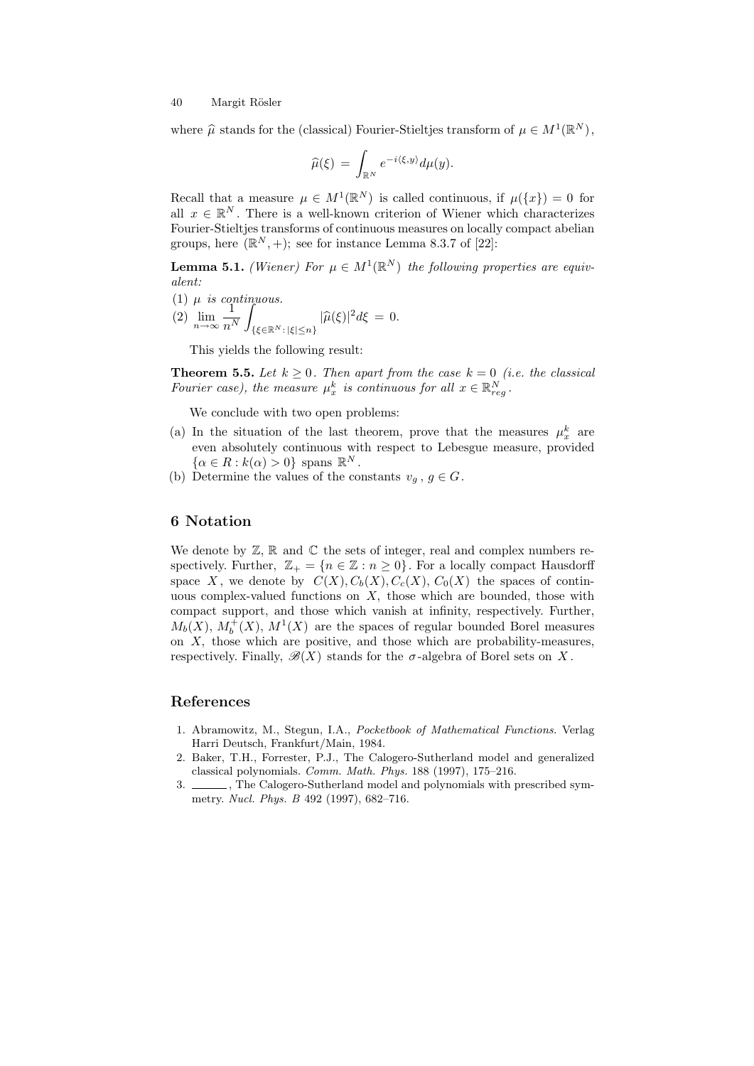where  $\hat{\mu}$  stands for the (classical) Fourier-Stieltjes transform of  $\mu \in M^1(\mathbb{R}^N)$ ,

$$
\widehat{\mu}(\xi) = \int_{\mathbb{R}^N} e^{-i\langle \xi, y \rangle} d\mu(y).
$$

Recall that a measure  $\mu \in M^1(\mathbb{R}^N)$  is called continuous, if  $\mu({x}) = 0$  for all  $x \in \mathbb{R}^N$ . There is a well-known criterion of Wiener which characterizes Fourier-Stieltjes transforms of continuous measures on locally compact abelian groups, here  $(\mathbb{R}^N, +)$ ; see for instance Lemma 8.3.7 of [22]:

**Lemma 5.1.** (Wiener) For  $\mu \in M^1(\mathbb{R}^N)$  the following properties are equivalent:

- (1)  $\mu$  is continuous.
- (2)  $\lim_{n\to\infty}\frac{1}{n^l}$  $n^N$ Z  $\int_{\{\xi\in\mathbb{R}^N:\,|\xi|\leq n\}}|\widehat{\mu}(\xi)|^2d\xi\,=\,0.$

This yields the following result:

**Theorem 5.5.** Let  $k \geq 0$ . Then apart from the case  $k = 0$  (i.e. the classical Fourier case), the measure  $\mu_x^k$  is continuous for all  $x \in \mathbb{R}_{reg}^N$ .

We conclude with two open problems:

- (a) In the situation of the last theorem, prove that the measures  $\mu_x^k$  are even absolutely continuous with respect to Lebesgue measure, provided  $\{\alpha \in R : k(\alpha) > 0\}$  spans  $\mathbb{R}^N$ .
- (b) Determine the values of the constants  $v_g$ ,  $g \in G$ .

## 6 Notation

We denote by  $\mathbb{Z}$ ,  $\mathbb{R}$  and  $\mathbb{C}$  the sets of integer, real and complex numbers respectively. Further,  $\mathbb{Z}_+ = \{n \in \mathbb{Z} : n \geq 0\}$ . For a locally compact Hausdorff space X, we denote by  $C(X)$ ,  $C_b(X)$ ,  $C_c(X)$ ,  $C_0(X)$  the spaces of continuous complex-valued functions on  $X$ , those which are bounded, those with compact support, and those which vanish at infinity, respectively. Further,  $M_b(X)$ ,  $M_b^+(X)$ ,  $M^1(X)$  are the spaces of regular bounded Borel measures on  $X$ , those which are positive, and those which are probability-measures, respectively. Finally,  $\mathcal{B}(X)$  stands for the  $\sigma$ -algebra of Borel sets on X.

## References

- 1. Abramowitz, M., Stegun, I.A., Pocketbook of Mathematical Functions. Verlag Harri Deutsch, Frankfurt/Main, 1984.
- 2. Baker, T.H., Forrester, P.J., The Calogero-Sutherland model and generalized classical polynomials. Comm. Math. Phys. 188 (1997), 175–216.
- 3.  $\frac{1}{100}$ , The Calogero-Sutherland model and polynomials with prescribed symmetry. Nucl. Phys. B 492 (1997), 682–716.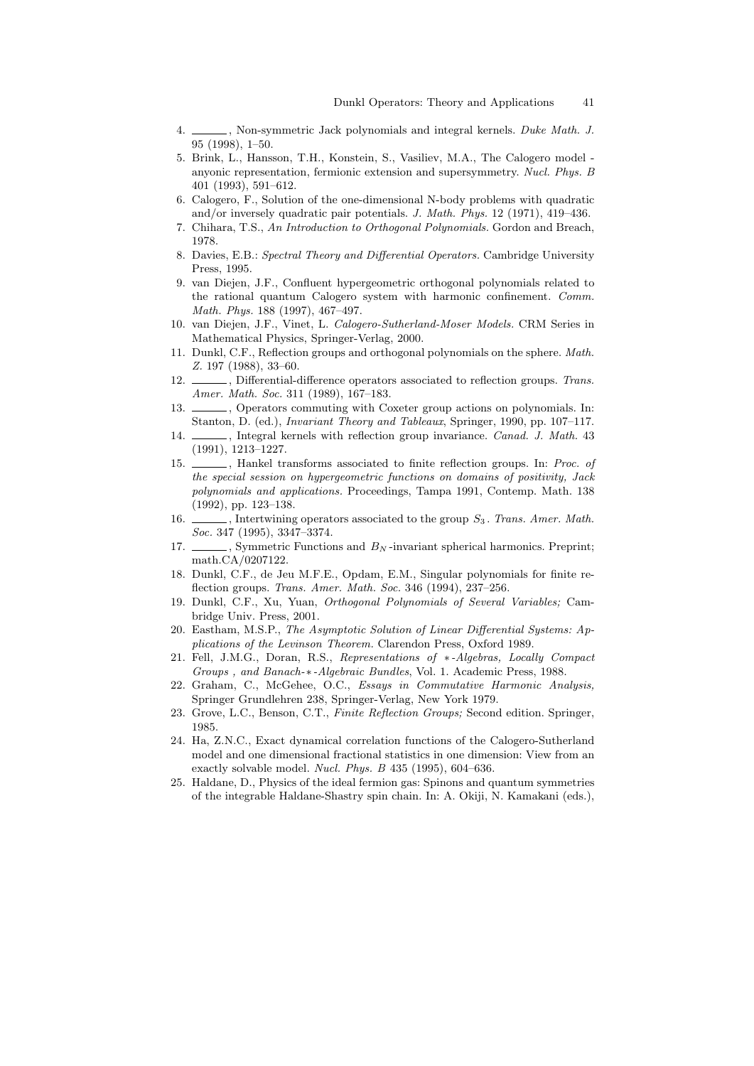- 4. Son-symmetric Jack polynomials and integral kernels. Duke Math. J. 95 (1998), 1–50.
- 5. Brink, L., Hansson, T.H., Konstein, S., Vasiliev, M.A., The Calogero model anyonic representation, fermionic extension and supersymmetry. Nucl. Phys. B 401 (1993), 591–612.
- 6. Calogero, F., Solution of the one-dimensional N-body problems with quadratic and/or inversely quadratic pair potentials. J. Math. Phys. 12 (1971), 419–436.
- 7. Chihara, T.S., An Introduction to Orthogonal Polynomials. Gordon and Breach, 1978.
- 8. Davies, E.B.: Spectral Theory and Differential Operators. Cambridge University Press, 1995.
- 9. van Diejen, J.F., Confluent hypergeometric orthogonal polynomials related to the rational quantum Calogero system with harmonic confinement. Comm. Math. Phys. 188 (1997), 467–497.
- 10. van Diejen, J.F., Vinet, L. Calogero-Sutherland-Moser Models. CRM Series in Mathematical Physics, Springer-Verlag, 2000.
- 11. Dunkl, C.F., Reflection groups and orthogonal polynomials on the sphere. Math. Z. 197 (1988), 33–60.
- 12. \_\_\_\_\_\_, Differential-difference operators associated to reflection groups. Trans. Amer. Math. Soc. 311 (1989), 167–183.
- 13.  $\_\_\_\$ , Operators commuting with Coxeter group actions on polynomials. In: Stanton, D. (ed.), Invariant Theory and Tableaux, Springer, 1990, pp. 107–117.
- 14. \_\_\_\_\_, Integral kernels with reflection group invariance. *Canad. J. Math.* 43 (1991), 1213–1227.
- 15. \_\_\_\_\_, Hankel transforms associated to finite reflection groups. In: Proc. of the special session on hypergeometric functions on domains of positivity, Jack polynomials and applications. Proceedings, Tampa 1991, Contemp. Math. 138 (1992), pp. 123–138.
- 16.  $\_\_\_\_\$ , Intertwining operators associated to the group  $S_3$ . Trans. Amer. Math. Soc. 347 (1995), 3347–3374.
- 17. Symmetric Functions and  $B_N$ -invariant spherical harmonics. Preprint; math.CA/0207122.
- 18. Dunkl, C.F., de Jeu M.F.E., Opdam, E.M., Singular polynomials for finite reflection groups. Trans. Amer. Math. Soc. 346 (1994), 237–256.
- 19. Dunkl, C.F., Xu, Yuan, Orthogonal Polynomials of Several Variables; Cambridge Univ. Press, 2001.
- 20. Eastham, M.S.P., The Asymptotic Solution of Linear Differential Systems: Applications of the Levinson Theorem. Clarendon Press, Oxford 1989.
- 21. Fell, J.M.G., Doran, R.S., Representations of ∗-Algebras, Locally Compact Groups , and Banach-∗-Algebraic Bundles, Vol. 1. Academic Press, 1988.
- Graham, C., McGehee, O.C., Essays in Commutative Harmonic Analysis, Springer Grundlehren 238, Springer-Verlag, New York 1979.
- 23. Grove, L.C., Benson, C.T., Finite Reflection Groups; Second edition. Springer, 1985.
- 24. Ha, Z.N.C., Exact dynamical correlation functions of the Calogero-Sutherland model and one dimensional fractional statistics in one dimension: View from an exactly solvable model. Nucl. Phys. B 435 (1995), 604–636.
- 25. Haldane, D., Physics of the ideal fermion gas: Spinons and quantum symmetries of the integrable Haldane-Shastry spin chain. In: A. Okiji, N. Kamakani (eds.),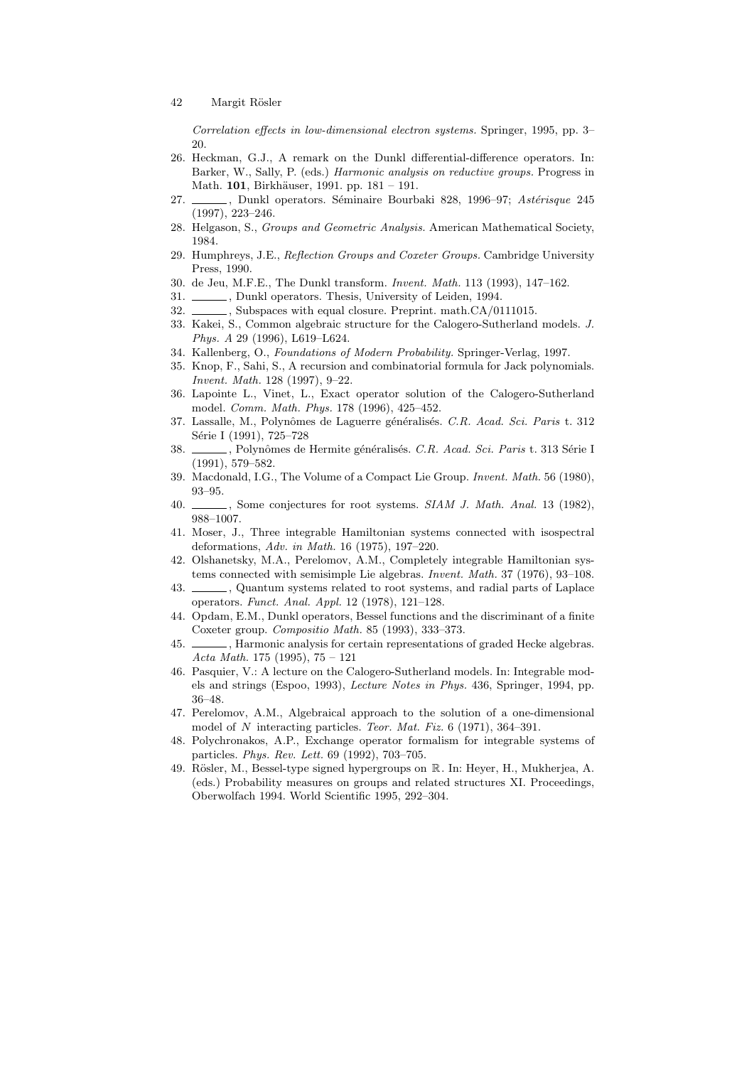Correlation effects in low-dimensional electron systems. Springer, 1995, pp. 3– 20.

- 26. Heckman, G.J., A remark on the Dunkl differential-difference operators. In: Barker, W., Sally, P. (eds.) Harmonic analysis on reductive groups. Progress in Math. 101, Birkhäuser, 1991. pp. 181 – 191.
- 27. Lunkl operators. Séminaire Bourbaki 828, 1996–97; Astérisque 245 (1997), 223–246.
- 28. Helgason, S., Groups and Geometric Analysis. American Mathematical Society, 1984.
- 29. Humphreys, J.E., Reflection Groups and Coxeter Groups. Cambridge University Press, 1990.
- 30. de Jeu, M.F.E., The Dunkl transform. Invent. Math. 113 (1993), 147–162.
- 31. Lunkl operators. Thesis, University of Leiden, 1994.
- 32. Subspaces with equal closure. Preprint. math.CA/0111015.
- 33. Kakei, S., Common algebraic structure for the Calogero-Sutherland models. J. Phys. A 29 (1996), L619–L624.
- 34. Kallenberg, O., Foundations of Modern Probability. Springer-Verlag, 1997.
- 35. Knop, F., Sahi, S., A recursion and combinatorial formula for Jack polynomials. Invent. Math. 128 (1997), 9–22.
- 36. Lapointe L., Vinet, L., Exact operator solution of the Calogero-Sutherland model. Comm. Math. Phys. 178 (1996), 425–452.
- 37. Lassalle, M., Polynômes de Laguerre généralisés. C.R. Acad. Sci. Paris t. 312 Série I (1991), 725–728
- 38. , Polynômes de Hermite généralisés. C.R. Acad. Sci. Paris t. 313 Série I (1991), 579–582.
- 39. Macdonald, I.G., The Volume of a Compact Lie Group. Invent. Math. 56 (1980), 93–95.
- 40. Some conjectures for root systems. SIAM J. Math. Anal. 13 (1982), 988–1007.
- 41. Moser, J., Three integrable Hamiltonian systems connected with isospectral deformations, Adv. in Math. 16 (1975), 197–220.
- 42. Olshanetsky, M.A., Perelomov, A.M., Completely integrable Hamiltonian systems connected with semisimple Lie algebras. Invent. Math. 37 (1976), 93–108.
- 43.  $\_\_\_\_\$ guantum systems related to root systems, and radial parts of Laplace operators. Funct. Anal. Appl. 12 (1978), 121–128.
- 44. Opdam, E.M., Dunkl operators, Bessel functions and the discriminant of a finite Coxeter group. Compositio Math. 85 (1993), 333–373.
- 45. Marmonic analysis for certain representations of graded Hecke algebras. Acta Math. 175 (1995), 75 – 121
- 46. Pasquier, V.: A lecture on the Calogero-Sutherland models. In: Integrable models and strings (Espoo, 1993), Lecture Notes in Phys. 436, Springer, 1994, pp. 36–48.
- 47. Perelomov, A.M., Algebraical approach to the solution of a one-dimensional model of N interacting particles. Teor. Mat. Fiz. 6 (1971), 364–391.
- 48. Polychronakos, A.P., Exchange operator formalism for integrable systems of particles. Phys. Rev. Lett. 69 (1992), 703–705.
- 49. Rösler, M., Bessel-type signed hypergroups on R. In: Heyer, H., Mukherjea, A. (eds.) Probability measures on groups and related structures XI. Proceedings, Oberwolfach 1994. World Scientific 1995, 292–304.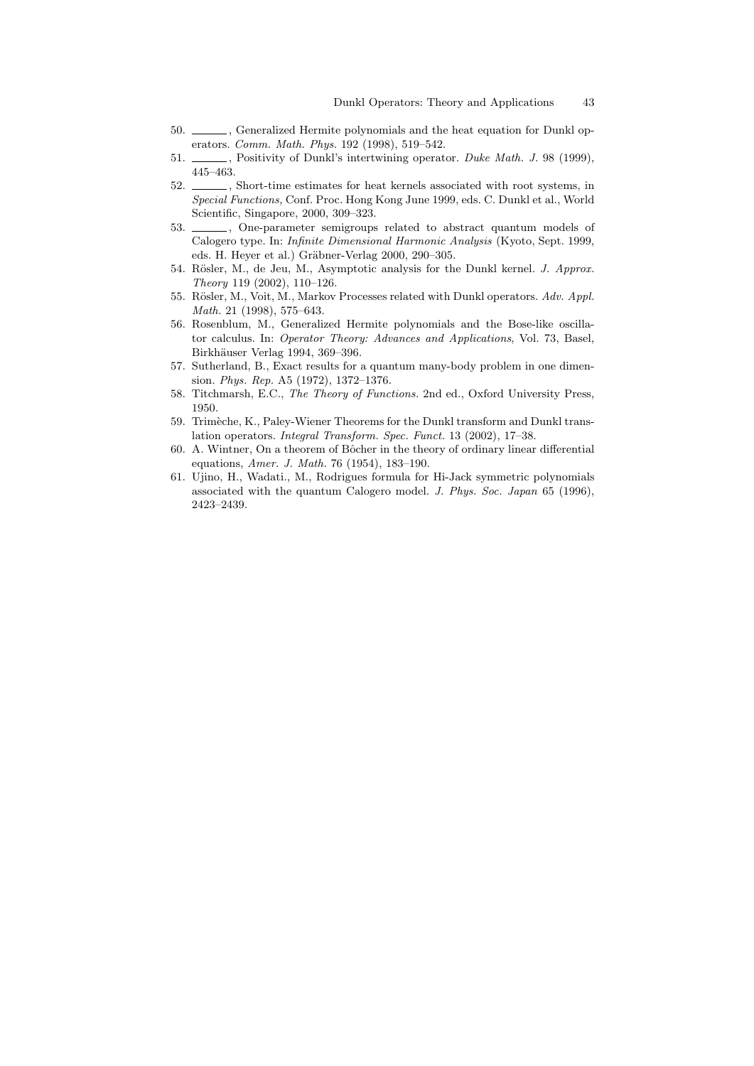- 50. Generalized Hermite polynomials and the heat equation for Dunkl operators. Comm. Math. Phys. 192 (1998), 519–542.
- 51. , Positivity of Dunkl's intertwining operator. Duke Math. J. 98 (1999), 445–463.
- 52. Short-time estimates for heat kernels associated with root systems, in Special Functions, Conf. Proc. Hong Kong June 1999, eds. C. Dunkl et al., World Scientific, Singapore, 2000, 309–323.
- 53. One-parameter semigroups related to abstract quantum models of Calogero type. In: Infinite Dimensional Harmonic Analysis (Kyoto, Sept. 1999, eds. H. Heyer et al.) Gräbner-Verlag 2000, 290-305.
- 54. Rösler, M., de Jeu, M., Asymptotic analysis for the Dunkl kernel. J. Approx. Theory 119 (2002), 110–126.
- 55. Rösler, M., Voit, M., Markov Processes related with Dunkl operators. Adv. Appl. Math. 21 (1998), 575–643.
- 56. Rosenblum, M., Generalized Hermite polynomials and the Bose-like oscillator calculus. In: Operator Theory: Advances and Applications, Vol. 73, Basel, Birkhäuser Verlag 1994, 369–396.
- 57. Sutherland, B., Exact results for a quantum many-body problem in one dimension. Phys. Rep. A5 (1972), 1372–1376.
- 58. Titchmarsh, E.C., The Theory of Functions. 2nd ed., Oxford University Press, 1950.
- 59. Trimèche, K., Paley-Wiener Theorems for the Dunkl transform and Dunkl translation operators. Integral Transform. Spec. Funct. 13 (2002), 17–38.
- 60. A. Wintner, On a theorem of Bôcher in the theory of ordinary linear differential equations, Amer. J. Math. 76 (1954), 183–190.
- 61. Ujino, H., Wadati., M., Rodrigues formula for Hi-Jack symmetric polynomials associated with the quantum Calogero model. J. Phys. Soc. Japan 65 (1996), 2423–2439.